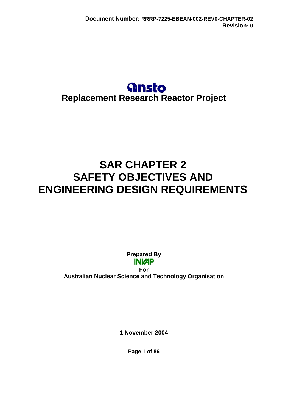## **Gnsto Replacement Research Reactor Project**

# **SAR CHAPTER 2 SAFETY OBJECTIVES AND ENGINEERING DESIGN REQUIREMENTS**

**Prepared By INIZP** 

**For Australian Nuclear Science and Technology Organisation** 

**1 November 2004** 

**Page 1 of 86**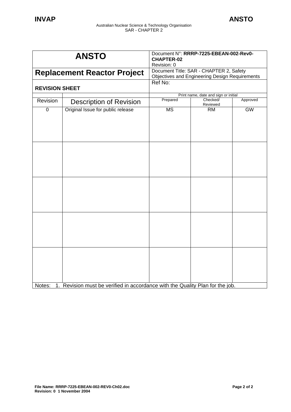| <b>ANSTO</b>                       |                                                                               | Document N°: RRRP-7225-EBEAN-002-Rev0-<br><b>CHAPTER-02</b><br>Revision: 0                       |                                      |          |
|------------------------------------|-------------------------------------------------------------------------------|--------------------------------------------------------------------------------------------------|--------------------------------------|----------|
| <b>Replacement Reactor Project</b> |                                                                               | Document Title: SAR - CHAPTER 2, Safety<br><b>Objectives and Engineering Design Requirements</b> |                                      |          |
| <b>REVISION SHEET</b>              |                                                                               | Ref No:                                                                                          |                                      |          |
|                                    |                                                                               |                                                                                                  | Print name, date and sign or initial |          |
| Revision                           | <b>Description of Revision</b>                                                | Prepared                                                                                         | Checked/<br>Reviewed                 | Approved |
| $\overline{0}$                     | Original Issue for public release                                             | <b>MS</b>                                                                                        | RM                                   | GW       |
|                                    |                                                                               |                                                                                                  |                                      |          |
|                                    |                                                                               |                                                                                                  |                                      |          |
|                                    |                                                                               |                                                                                                  |                                      |          |
| Notes:                             | 1. Revision must be verified in accordance with the Quality Plan for the job. |                                                                                                  |                                      |          |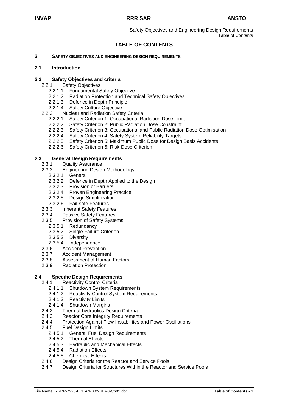Safety Objectives and Engineering Design Requirements Table of Contents

## **TABLE OF CONTENTS**

#### **2 SAFETY OBJECTIVES AND ENGINEERING DESIGN REQUIREMENTS**

#### **2.1 Introduction**

#### **2.2 Safety Objectives and criteria**

- 2.2.1 Safety Objectives
	- 2.2.1.1 Fundamental Safety Objective
	- 2.2.1.2 Radiation Protection and Technical Safety Objectives<br>2.2.1.3 Defence in Depth Principle
	- Defence in Depth Principle
	- 2.2.1.4 Safety Culture Objective
- 2.2.2 Nuclear and Radiation Safety Criteria
	- 2.2.2.1 Safety Criterion 1: Occupational Radiation Dose Limit
	- 2.2.2.2 Safety Criterion 2: Public Radiation Dose Constraint
	- 2.2.2.3 Safety Criterion 3: Occupational and Public Radiation Dose Optimisation
	- 2.2.2.4 Safety Criterion 4: Safety System Reliability Targets
	- 2.2.2.5 Safety Criterion 5: Maximum Public Dose for Design Basis Accidents
	- 2.2.2.6 Safety Criterion 6: Risk-Dose Criterion

## **2.3 General Design Requirements**

- Quality Assurance
- 2.3.2 Engineering Design Methodology
	- 2.3.2.1 General
	- 2.3.2.2 Defence in Depth Applied to the Design
	- 2.3.2.3 Provision of Barriers
	- 2.3.2.4 Proven Engineering Practice<br>2.3.2.5 Design Simplification<br>2.3.2.6 Fail-safe Features
	- **Design Simplification**
	- **Fail-safe Features**
- 2.3.3 Inherent Safety Features
- 2.3.4 Passive Safety Features
- 2.3.5 Provision of Safety Systems
	- 2.3.5.1 Redundancy
	- 2.3.5.2 Single Failure Criterion
	- 2.3.5.3 Diversity
	- 2.3.5.4 Independence
- 2.3.6 Accident Prevention
- 2.3.7 Accident Management
- 2.3.8 Assessment of Human Factors
- 2.3.9 Radiation Protection

#### **2.4 Specific Design Requirements**

- 2.4.1 Reactivity Control Criteria
	- 2.4.1.1 Shutdown System Requirements
	- 2.4.1.2 Reactivity Control System Requirements
	- 2.4.1.3 Reactivity Limits
	- 2.4.1.4 Shutdown Margins
- 2.4.2 Thermal-hydraulics Design Criteria
- 2.4.3 Reactor Core Integrity Requirements
- 2.4.4 Protection Against Flow Instabilities and Power Oscillations
- 2.4.5 Fuel Design Limits
	- 2.4.5.1 General Fuel Design Requirements
	- 2.4.5.2 Thermal Effects
	- 2.4.5.3 Hydraulic and Mechanical Effects
	- 2.4.5.4 Radiation Effects
	- 2.4.5.5 Chemical Effects
- 2.4.6 Design Criteria for the Reactor and Service Pools
- 2.4.7 Design Criteria for Structures Within the Reactor and Service Pools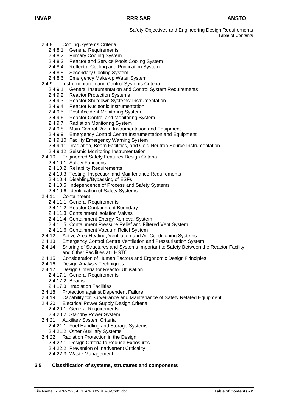Safety Objectives and Engineering Design Requirements Table of Contents

- 2.4.8 Cooling Systems Criteria
	- 2.4.8.1 General Requirements
	- 2.4.8.2 Primary Cooling System
	- 2.4.8.3 Reactor and Service Pools Cooling System
	- 2.4.8.4 Reflector Cooling and Purification System
	- 2.4.8.5 Secondary Cooling System
	- 2.4.8.6 Emergency Make-up Water System
- 2.4.9 Instrumentation and Control Systems Criteria
	- 2.4.9.1 General Instrumentation and Control System Requirements
	- 2.4.9.2 Reactor Protection Systems
	- 2.4.9.3 Reactor Shutdown Systems' Instrumentation
	- 2.4.9.4 Reactor Nucleonic Instrumentation<br>2.4.9.5 Post Accident Monitoring System
	-
	- 2.4.9.5 Post Accident Monitoring System<br>2.4.9.6 Reactor Control and Monitoring S **Reactor Control and Monitoring System**
	- 2.4.9.7 Radiation Monitoring System<br>2.4.9.8 Main Control Room Instrume
	- Main Control Room Instrumentation and Equipment
	- 2.4.9.9 Emergency Control Centre Instrumentation and Equipment
	- 2.4.9.10 Facility Emergency Warning System
	- 2.4.9.11 Irradiation, Beam Facilities, and Cold Neutron Source Instrumentation
	- 2.4.9.12 Seismic Monitoring Instrumentation
- 2.4.10 Engineered Safety Features Design Criteria
	- 2.4.10.1 Safety Functions
	- 2.4.10.2 Reliability Requirements
	- 2.4.10.3 Testing, Inspection and Maintenance Requirements
	- 2.4.10.4 Disabling/Bypassing of ESFs
	- 2.4.10.5 Independence of Process and Safety Systems
	- 2.4.10.6 Identification of Safety Systems
- 2.4.11 Containment
	- 2.4.11.1 General Requirements
	- 2.4.11.2 Reactor Containment Boundary
	- 2.4.11.3 Containment Isolation Valves
	- 2.4.11.4 Containment Energy Removal System
	- 2.4.11.5 Containment Pressure Relief and Filtered Vent System
	- 2.4.11.6 Containment Vacuum Relief System
- 2.4.12 Active Area Heating, Ventilation and Air Conditioning Systems
- 2.4.13 Emergency Control Centre Ventilation and Pressurisation System
- 2.4.14 Sharing of Structures and Systems Important to Safety Between the Reactor Facility and Other Facilities at LHSTC
- 2.4.15 Consideration of Human Factors and Ergonomic Design Principles
- 2.4.16 Design Analysis Techniques
- 2.4.17 Design Criteria for Reactor Utilisation
	- 2.4.17.1 General Requirements
	- 2.4.17.2 Beams
	- 2.4.17.3 Irradiation Facilities
- 2.4.18 Protection against Dependent Failure
- 2.4.19 Capability for Surveillance and Maintenance of Safety Related Equipment
- 2.4.20 Electrical Power Supply Design Criteria
	- 2.4.20.1 General Requirements
	- 2.4.20.2 Standby Power System
- 2.4.21 Auxiliary System Criteria
	- 2.4.21.1 Fuel Handling and Storage Systems
	- 2.4.21.2 Other Auxiliary Systems
- 2.4.22 Radiation Protection in the Design
	- 2.4.22.1 Design Criteria to Reduce Exposures
	- 2.4.22.2 Prevention of Inadvertent Criticality
	- 2.4.22.3 Waste Management

#### **2.5 Classification of systems, structures and components**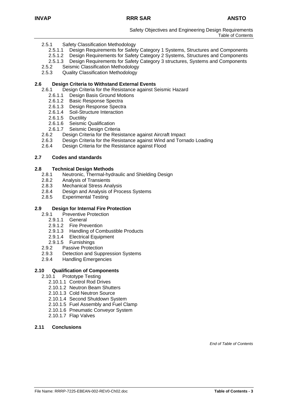Safety Objectives and Engineering Design Requirements Table of Contents

- 2.5.1 Safety Classification Methodology
	- 2.5.1.1 Design Requirements for Safety Category 1 Systems, Structures and Components
	- 2.5.1.2 Design Requirements for Safety Category 2 Systems, Structures and Components
	- 2.5.1.3 Design Requirements for Safety Category 3 structures, Systems and Components
- 2.5.2 Seismic Classification Methodology
- 2.5.3 Quality Classification Methodology

#### **2.6 Design Criteria to Withstand External Events**

- 2.6.1 Design Criteria for the Resistance against Seismic Hazard
	- 2.6.1.1 Design Basis Ground Motions<br>2.6.1.2 Basic Response Spectra
	- 2.6.1.2 Basic Response Spectra<br>2.6.1.3 Design Response Spectr
	- Design Response Spectra
	- 2.6.1.4 Soil-Structure Interaction
	- 2.6.1.5 Ductility
	- 2.6.1.6 Seismic Qualification
	- 2.6.1.7 Seismic Design Criteria
- 2.6.2 Design Criteria for the Resistance against Aircraft Impact
- 2.6.3 Design Criteria for the Resistance against Wind and Tornado Loading
- 2.6.4 Design Criteria for the Resistance against Flood

#### **2.7 Codes and standards**

#### **2.8 Technical Design Methods**

- 2.8.1 Neutronic, Thermal-hydraulic and Shielding Design
- 2.8.2 Analysis of Transients
- 2.8.3 Mechanical Stress Analysis
- 2.8.4 Design and Analysis of Process Systems
- 2.8.5 Experimental Testing

#### **2.9 Design for Internal Fire Protection**

- 2.9.1 Preventive Protection
	- 2.9.1.1 General
	- 2.9.1.2 Fire Prevention
	- 2.9.1.3 Handling of Combustible Products
	- 2.9.1.4 Electrical Equipment
	- 2.9.1.5 Furnishings
- 2.9.2 Passive Protection
- 2.9.3 Detection and Suppression Systems
- 2.9.4 Handling Emergencies

#### **2.10 Qualification of Components**

- 2.10.1 Prototype Testing
	- 2.10.1.1 Control Rod Drives
	- 2.10.1.2 Neutron Beam Shutters
	- 2.10.1.3 Cold Neutron Source
	- 2.10.1.4 Second Shutdown System
	- 2.10.1.5 Fuel Assembly and Fuel Clamp
	- 2.10.1.6 Pneumatic Conveyor System
	- 2.10.1.7 Flap Valves
- **2.11 Conclusions**

*End of Table of Contents*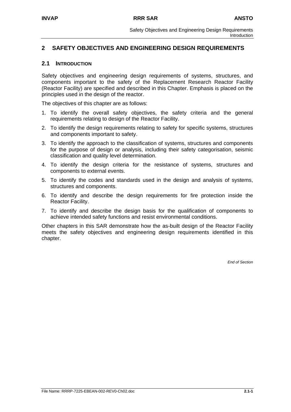## **2 SAFETY OBJECTIVES AND ENGINEERING DESIGN REQUIREMENTS**

#### **2.1 INTRODUCTION**

Safety objectives and engineering design requirements of systems, structures, and components important to the safety of the Replacement Research Reactor Facility (Reactor Facility) are specified and described in this Chapter. Emphasis is placed on the principles used in the design of the reactor.

The objectives of this chapter are as follows:

- 1. To identify the overall safety objectives, the safety criteria and the general requirements relating to design of the Reactor Facility.
- 2. To identify the design requirements relating to safety for specific systems, structures and components important to safety.
- 3. To identify the approach to the classification of systems, structures and components for the purpose of design or analysis, including their safety categorisation, seismic classification and quality level determination.
- 4. To identify the design criteria for the resistance of systems, structures and components to external events.
- 5. To identify the codes and standards used in the design and analysis of systems, structures and components.
- 6. To identify and describe the design requirements for fire protection inside the Reactor Facility.
- 7. To identify and describe the design basis for the qualification of components to achieve intended safety functions and resist environmental conditions.

Other chapters in this SAR demonstrate how the as-built design of the Reactor Facility meets the safety objectives and engineering design requirements identified in this chapter.

*End of Section*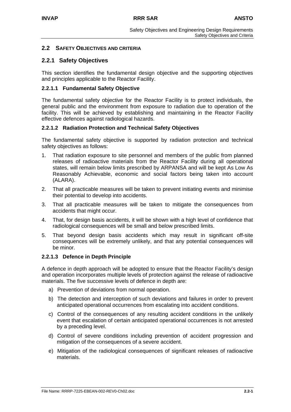## **2.2 SAFETY OBJECTIVES AND CRITERIA**

## **2.2.1 Safety Objectives**

This section identifies the fundamental design objective and the supporting objectives and principles applicable to the Reactor Facility.

## **2.2.1.1 Fundamental Safety Objective**

The fundamental safety objective for the Reactor Facility is to protect individuals, the general public and the environment from exposure to radiation due to operation of the facility. This will be achieved by establishing and maintaining in the Reactor Facility effective defences against radiological hazards.

#### **2.2.1.2 Radiation Protection and Technical Safety Objectives**

The fundamental safety objective is supported by radiation protection and technical safety objectives as follows:

- 1. That radiation exposure to site personnel and members of the public from planned releases of radioactive materials from the Reactor Facility during all operational states, will remain below limits prescribed by ARPANSA and will be kept As Low As Reasonably Achievable, economic and social factors being taken into account (ALARA).
- 2. That all practicable measures will be taken to prevent initiating events and minimise their potential to develop into accidents.
- 3. That all practicable measures will be taken to mitigate the consequences from accidents that might occur.
- 4. That, for design basis accidents, it will be shown with a high level of confidence that radiological consequences will be small and below prescribed limits.
- 5. That beyond design basis accidents which may result in significant off-site consequences will be extremely unlikely, and that any potential consequences will be minor.

#### **2.2.1.3 Defence in Depth Principle**

A defence in depth approach will be adopted to ensure that the Reactor Facility's design and operation incorporates multiple levels of protection against the release of radioactive materials. The five successive levels of defence in depth are:

- a) Prevention of deviations from normal operation.
- b) The detection and interception of such deviations and failures in order to prevent anticipated operational occurrences from escalating into accident conditions.
- c) Control of the consequences of any resulting accident conditions in the unlikely event that escalation of certain anticipated operational occurrences is not arrested by a preceding level.
- d) Control of severe conditions including prevention of accident progression and mitigation of the consequences of a severe accident.
- e) Mitigation of the radiological consequences of significant releases of radioactive materials.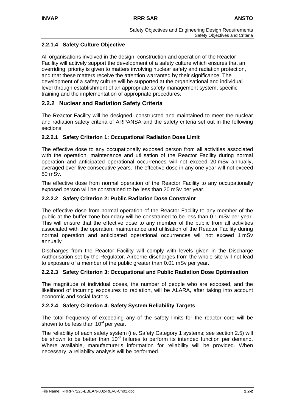## **2.2.1.4 Safety Culture Objective**

All organisations involved in the design, construction and operation of the Reactor Facility will actively support the development of a safety culture which ensures that an overriding priority is given to matters involving nuclear safety and radiation protection, and that these matters receive the attention warranted by their significance. The development of a safety culture will be supported at the organisational and individual level through establishment of an appropriate safety management system, specific training and the implementation of appropriate procedures.

## **2.2.2 Nuclear and Radiation Safety Criteria**

The Reactor Facility will be designed, constructed and maintained to meet the nuclear and radiation safety criteria of ARPANSA and the safety criteria set out in the following sections.

#### **2.2.2.1 Safety Criterion 1: Occupational Radiation Dose Limit**

The effective dose to any occupationally exposed person from all activities associated with the operation, maintenance and utilisation of the Reactor Facility during normal operation and anticipated operational occurrences will not exceed 20 mSv annually, averaged over five consecutive years. The effective dose in any one year will not exceed 50 mSv.

The effective dose from normal operation of the Reactor Facility to any occupationally exposed person will be constrained to be less than 20 mSv per year.

#### **2.2.2.2 Safety Criterion 2: Public Radiation Dose Constraint**

The effective dose from normal operation of the Reactor Facility to any member of the public at the buffer zone boundary will be constrained to be less than 0.1 mSv per year. This will ensure that the effective dose to any member of the public from all activities associated with the operation, maintenance and utilisation of the Reactor Facility during normal operation and anticipated operational occurrences will not exceed 1 mSv annually

Discharges from the Reactor Facility will comply with levels given in the Discharge Authorisation set by the Regulator. Airborne discharges from the whole site will not lead to exposure of a member of the public greater than 0.01 mSv per year.

## **2.2.2.3 Safety Criterion 3: Occupational and Public Radiation Dose Optimisation**

The magnitude of individual doses, the number of people who are exposed, and the likelihood of incurring exposures to radiation, will be ALARA, after taking into account economic and social factors.

#### **2.2.2.4 Safety Criterion 4: Safety System Reliability Targets**

The total frequency of exceeding any of the safety limits for the reactor core will be shown to be less than  $10^{-4}$  per year.

The reliability of each safety system (i.e. Safety Category 1 systems; see section 2.5) will be shown to be better than  $10<sup>-3</sup>$  failures to perform its intended function per demand. Where available, manufacturer's information for reliability will be provided. When necessary, a reliability analysis will be performed.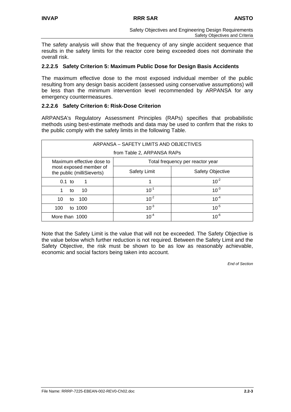The safety analysis will show that the frequency of any single accident sequence that results in the safety limits for the reactor core being exceeded does not dominate the overall risk.

#### **2.2.2.5 Safety Criterion 5: Maximum Public Dose for Design Basis Accidents**

The maximum effective dose to the most exposed individual member of the public resulting from any design basis accident (assessed using conservative assumptions) will be less than the minimum intervention level recommended by ARPANSA for any emergency countermeasures.

#### **2.2.2.6 Safety Criterion 6: Risk-Dose Criterion**

ARPANSA's Regulatory Assessment Principles (RAPs) specifies that probabilistic methods using best-estimate methods and data may be used to confirm that the risks to the public comply with the safety limits in the following Table.

| ARPANSA – SAFETY LIMITS AND OBJECTIVES               |                                  |                         |  |  |  |
|------------------------------------------------------|----------------------------------|-------------------------|--|--|--|
| from Table 2, ARPANSA RAPs                           |                                  |                         |  |  |  |
| Maximum effective dose to                            | Total frequency per reactor year |                         |  |  |  |
| most exposed member of<br>the public (milliSieverts) | <b>Safety Limit</b>              | <b>Safety Objective</b> |  |  |  |
| $0.1$ to                                             |                                  | $10^{-2}$               |  |  |  |
| 10<br>to                                             | $10^{-1}$                        | $10^{-3}$               |  |  |  |
| 10<br>100<br>to                                      | $10^{-2}$                        | $10^{-4}$               |  |  |  |
| to 1000<br>100                                       | $10^{-3}$                        | $10^{-5}$               |  |  |  |
| More than 1000                                       | $10^{-4}$                        | $10^{-6}$               |  |  |  |

Note that the Safety Limit is the value that will not be exceeded. The Safety Objective is the value below which further reduction is not required. Between the Safety Limit and the Safety Objective, the risk must be shown to be as low as reasonably achievable, economic and social factors being taken into account.

*End of Section*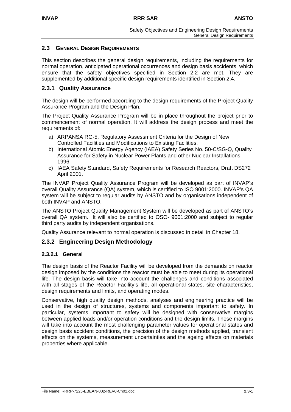## **2.3 GENERAL DESIGN REQUIREMENTS**

This section describes the general design requirements, including the requirements for normal operation, anticipated operational occurrences and design basis accidents, which ensure that the safety objectives specified in Section 2.2 are met. They are supplemented by additional specific design requirements identified in Section 2.4.

## **2.3.1 Quality Assurance**

The design will be performed according to the design requirements of the Project Quality Assurance Program and the Design Plan.

The Project Quality Assurance Program will be in place throughout the project prior to commencement of normal operation. It will address the design process and meet the requirements of:

- a) ARPANSA RG-5, Regulatory Assessment Criteria for the Design of New Controlled Facilities and Modifications to Existing Facilities.
- b) International Atomic Energy Agency (IAEA) Safety Series No. 50-C/SG-Q, Quality Assurance for Safety in Nuclear Power Plants and other Nuclear Installations, 1996.
- c) IAEA Safety Standard, Safety Requirements for Research Reactors, Draft DS272 April 2001.

The INVAP Project Quality Assurance Program will be developed as part of INVAP's overall Quality Assurance (QA) system, which is certified to ISO 9001:2000. INVAP's QA system will be subject to regular audits by ANSTO and by organisations independent of both INVAP and ANSTO.

The ANSTO Project Quality Management System will be developed as part of ANSTO's overall QA system. It will also be certified to OSO- 9001:2000 and subject to regular third party audits by independent organisations.

Quality Assurance relevant to normal operation is discussed in detail in Chapter 18.

## **2.3.2 Engineering Design Methodology**

## **2.3.2.1 General**

The design basis of the Reactor Facility will be developed from the demands on reactor design imposed by the conditions the reactor must be able to meet during its operational life. The design basis will take into account the challenges and conditions associated with all stages of the Reactor Facility's life, all operational states, site characteristics, design requirements and limits, and operating modes.

Conservative, high quality design methods, analyses and engineering practice will be used in the design of structures, systems and components important to safety. In particular, systems important to safety will be designed with conservative margins between applied loads and/or operation conditions and the design limits. These margins will take into account the most challenging parameter values for operational states and design basis accident conditions, the precision of the design methods applied, transient effects on the systems, measurement uncertainties and the ageing effects on materials properties where applicable.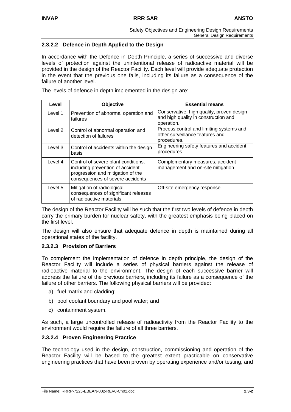## **2.3.2.2 Defence in Depth Applied to the Design**

In accordance with the Defence in Depth Principle, a series of successive and diverse levels of protection against the unintentional release of radioactive material will be provided in the design of the Reactor Facility. Each level will provide adequate protection in the event that the previous one fails, including its failure as a consequence of the failure of another level.

The levels of defence in depth implemented in the design are:

| Level   | Objective                                                                                                                                        | <b>Essential means</b>                                                                          |
|---------|--------------------------------------------------------------------------------------------------------------------------------------------------|-------------------------------------------------------------------------------------------------|
| Level 1 | Prevention of abnormal operation and<br>failures                                                                                                 | Conservative, high quality, proven design<br>and high quality in construction and<br>operation. |
| Level 2 | Control of abnormal operation and<br>detection of failures                                                                                       | Process control and limiting systems and<br>other surveillance features and<br>procedures.      |
| Level 3 | Control of accidents within the design<br>basis                                                                                                  | Engineering safety features and accident<br>procedures.                                         |
| Level 4 | Control of severe plant conditions,<br>including prevention of accident<br>progression and mitigation of the<br>consequences of severe accidents | Complementary measures, accident<br>management and on-site mitigation                           |
| Level 5 | Mitigation of radiological<br>consequences of significant releases<br>of radioactive materials                                                   | Off-site emergency response                                                                     |

The design of the Reactor Facility will be such that the first two levels of defence in depth carry the primary burden for nuclear safety, with the greatest emphasis being placed on the first level.

The design will also ensure that adequate defence in depth is maintained during all operational states of the facility.

## **2.3.2.3 Provision of Barriers**

To complement the implementation of defence in depth principle, the design of the Reactor Facility will include a series of physical barriers against the release of radioactive material to the environment. The design of each successive barrier will address the failure of the previous barriers, including its failure as a consequence of the failure of other barriers. The following physical barriers will be provided:

- a) fuel matrix and cladding;
- b) pool coolant boundary and pool water; and
- c) containment system.

As such, a large uncontrolled release of radioactivity from the Reactor Facility to the environment would require the failure of all three barriers.

## **2.3.2.4 Proven Engineering Practice**

The technology used in the design, construction, commissioning and operation of the Reactor Facility will be based to the greatest extent practicable on conservative engineering practices that have been proven by operating experience and/or testing, and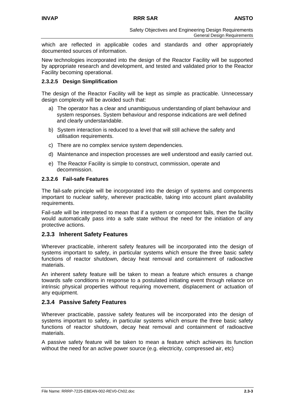which are reflected in applicable codes and standards and other appropriately documented sources of information.

New technologies incorporated into the design of the Reactor Facility will be supported by appropriate research and development, and tested and validated prior to the Reactor Facility becoming operational.

## **2.3.2.5 Design Simplification**

The design of the Reactor Facility will be kept as simple as practicable. Unnecessary design complexity will be avoided such that:

- a) The operator has a clear and unambiguous understanding of plant behaviour and system responses. System behaviour and response indications are well defined and clearly understandable.
- b) System interaction is reduced to a level that will still achieve the safety and utilisation requirements.
- c) There are no complex service system dependencies.
- d) Maintenance and inspection processes are well understood and easily carried out.
- e) The Reactor Facility is simple to construct, commission, operate and decommission.

#### **2.3.2.6 Fail-safe Features**

The fail-safe principle will be incorporated into the design of systems and components important to nuclear safety, wherever practicable, taking into account plant availability requirements.

Fail-safe will be interpreted to mean that if a system or component fails, then the facility would automatically pass into a safe state without the need for the initiation of any protective actions.

## **2.3.3 Inherent Safety Features**

Wherever practicable, inherent safety features will be incorporated into the design of systems important to safety, in particular systems which ensure the three basic safety functions of reactor shutdown, decay heat removal and containment of radioactive materials.

An inherent safety feature will be taken to mean a feature which ensures a change towards safe conditions in response to a postulated initiating event through reliance on intrinsic physical properties without requiring movement, displacement or actuation of any equipment.

## **2.3.4 Passive Safety Features**

Wherever practicable, passive safety features will be incorporated into the design of systems important to safety, in particular systems which ensure the three basic safety functions of reactor shutdown, decay heat removal and containment of radioactive materials.

A passive safety feature will be taken to mean a feature which achieves its function without the need for an active power source (e.g. electricity, compressed air, etc)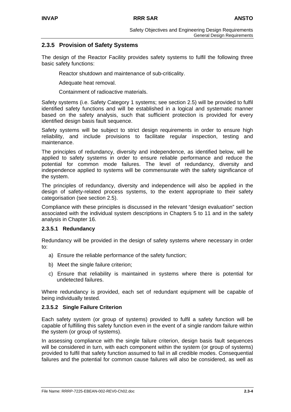## **2.3.5 Provision of Safety Systems**

The design of the Reactor Facility provides safety systems to fulfil the following three basic safety functions:

Reactor shutdown and maintenance of sub-criticality.

Adequate heat removal.

Containment of radioactive materials.

Safety systems (i.e. Safety Category 1 systems; see section 2.5) will be provided to fulfil identified safety functions and will be established in a logical and systematic manner based on the safety analysis, such that sufficient protection is provided for every identified design basis fault sequence.

Safety systems will be subject to strict design requirements in order to ensure high reliability, and include provisions to facilitate regular inspection, testing and maintenance.

The principles of redundancy, diversity and independence, as identified below, will be applied to safety systems in order to ensure reliable performance and reduce the potential for common mode failures. The level of redundancy, diversity and independence applied to systems will be commensurate with the safety significance of the system.

The principles of redundancy, diversity and independence will also be applied in the design of safety-related process systems, to the extent appropriate to their safety categorisation (see section 2.5).

Compliance with these principles is discussed in the relevant "design evaluation" section associated with the individual system descriptions in Chapters 5 to 11 and in the safety analysis in Chapter 16.

## **2.3.5.1 Redundancy**

Redundancy will be provided in the design of safety systems where necessary in order to:

- a) Ensure the reliable performance of the safety function;
- b) Meet the single failure criterion;
- c) Ensure that reliability is maintained in systems where there is potential for undetected failures.

Where redundancy is provided, each set of redundant equipment will be capable of being individually tested.

## **2.3.5.2 Single Failure Criterion**

Each safety system (or group of systems) provided to fulfil a safety function will be capable of fulfilling this safety function even in the event of a single random failure within the system (or group of systems).

In assessing compliance with the single failure criterion, design basis fault sequences will be considered in turn, with each component within the system (or group of systems) provided to fulfil that safety function assumed to fail in all credible modes. Consequential failures and the potential for common cause failures will also be considered, as well as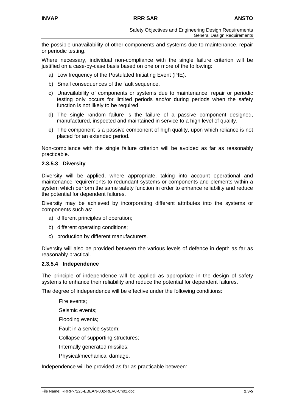the possible unavailability of other components and systems due to maintenance, repair or periodic testing.

Where necessary, individual non-compliance with the single failure criterion will be justified on a case-by-case basis based on one or more of the following:

a) Low frequency of the Postulated Initiating Event (PIE).

- b) Small consequences of the fault sequence.
- c) Unavailability of components or systems due to maintenance, repair or periodic testing only occurs for limited periods and/or during periods when the safety function is not likely to be required.
- d) The single random failure is the failure of a passive component designed, manufactured, inspected and maintained in service to a high level of quality.
- e) The component is a passive component of high quality, upon which reliance is not placed for an extended period.

Non-compliance with the single failure criterion will be avoided as far as reasonably practicable.

#### **2.3.5.3 Diversity**

Diversity will be applied, where appropriate, taking into account operational and maintenance requirements to redundant systems or components and elements within a system which perform the same safety function in order to enhance reliability and reduce the potential for dependent failures.

Diversity may be achieved by incorporating different attributes into the systems or components such as:

- a) different principles of operation;
- b) different operating conditions;
- c) production by different manufacturers.

Diversity will also be provided between the various levels of defence in depth as far as reasonably practical.

#### **2.3.5.4 Independence**

The principle of independence will be applied as appropriate in the design of safety systems to enhance their reliability and reduce the potential for dependent failures.

The degree of independence will be effective under the following conditions:

Fire events;

Seismic events;

Flooding events;

Fault in a service system;

Collapse of supporting structures;

Internally generated missiles;

Physical/mechanical damage.

Independence will be provided as far as practicable between: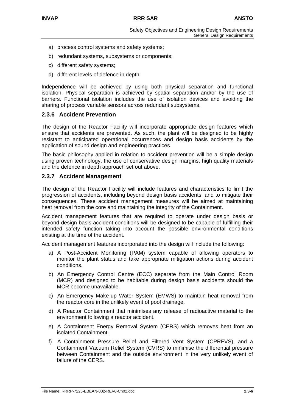- a) process control systems and safety systems;
- b) redundant systems, subsystems or components;
- c) different safety systems;
- d) different levels of defence in depth.

Independence will be achieved by using both physical separation and functional isolation. Physical separation is achieved by spatial separation and/or by the use of barriers. Functional isolation includes the use of isolation devices and avoiding the sharing of process variable sensors across redundant subsystems.

#### **2.3.6 Accident Prevention**

The design of the Reactor Facility will incorporate appropriate design features which ensure that accidents are prevented. As such, the plant will be designed to be highly resistant to anticipated operational occurrences and design basis accidents by the application of sound design and engineering practices.

The basic philosophy applied in relation to accident prevention will be a simple design using proven technology, the use of conservative design margins, high quality materials and the defence in depth approach set out above.

#### **2.3.7 Accident Management**

The design of the Reactor Facility will include features and characteristics to limit the progression of accidents, including beyond design basis accidents, and to mitigate their consequences. These accident management measures will be aimed at maintaining heat removal from the core and maintaining the integrity of the Containment.

Accident management features that are required to operate under design basis or beyond design basis accident conditions will be designed to be capable of fulfilling their intended safety function taking into account the possible environmental conditions existing at the time of the accident.

Accident management features incorporated into the design will include the following:

- a) A Post-Accident Monitoring (PAM) system capable of allowing operators to monitor the plant status and take appropriate mitigation actions during accident conditions.
- b) An Emergency Control Centre (ECC) separate from the Main Control Room (MCR) and designed to be habitable during design basis accidents should the MCR become unavailable.
- c) An Emergency Make-up Water System (EMWS) to maintain heat removal from the reactor core in the unlikely event of pool drainage.
- d) A Reactor Containment that minimises any release of radioactive material to the environment following a reactor accident.
- e) A Containment Energy Removal System (CERS) which removes heat from an isolated Containment.
- f) A Containment Pressure Relief and Filtered Vent System (CPRFVS), and a Containment Vacuum Relief System (CVRS) to minimise the differential pressure between Containment and the outside environment in the very unlikely event of failure of the CERS.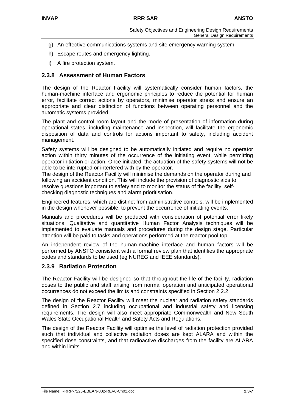- g) An effective communications systems and site emergency warning system.
- h) Escape routes and emergency lighting.
- i) A fire protection system.

## **2.3.8 Assessment of Human Factors**

The design of the Reactor Facility will systematically consider human factors, the human-machine interface and ergonomic principles to reduce the potential for human error, facilitate correct actions by operators, minimise operator stress and ensure an appropriate and clear distinction of functions between operating personnel and the automatic systems provided.

The plant and control room layout and the mode of presentation of information during operational states, including maintenance and inspection, will facilitate the ergonomic disposition of data and controls for actions important to safety, including accident management.

Safety systems will be designed to be automatically initiated and require no operator action within thirty minutes of the occurrence of the initiating event, while permitting operator initiation or action. Once initiated, the actuation of the safety systems will not be able to be interrupted or interfered with by the operator.

The design of the Reactor Facility will minimise the demands on the operator during and following an accident condition. This will include the provision of diagnostic aids to resolve questions important to safety and to monitor the status of the facility, selfchecking diagnostic techniques and alarm prioritisation.

Engineered features, which are distinct from administrative controls, will be implemented in the design whenever possible, to prevent the occurrence of initiating events.

Manuals and procedures will be produced with consideration of potential error likely situations. Qualitative and quantitative Human Factor Analysis techniques will be implemented to evaluate manuals and procedures during the design stage. Particular attention will be paid to tasks and operations performed at the reactor pool top.

An independent review of the human-machine interface and human factors will be performed by ANSTO consistent with a formal review plan that identifies the appropriate codes and standards to be used (eg NUREG and IEEE standards).

## **2.3.9 Radiation Protection**

The Reactor Facility will be designed so that throughout the life of the facility, radiation doses to the public and staff arising from normal operation and anticipated operational occurrences do not exceed the limits and constraints specified in Section 2.2.2.

The design of the Reactor Facility will meet the nuclear and radiation safety standards defined in Section 2.7 including occupational and industrial safety and licensing requirements. The design will also meet appropriate Commonwealth and New South Wales State Occupational Health and Safety Acts and Regulations.

The design of the Reactor Facility will optimise the level of radiation protection provided such that individual and collective radiation doses are kept ALARA and within the specified dose constraints, and that radioactive discharges from the facility are ALARA and within limits.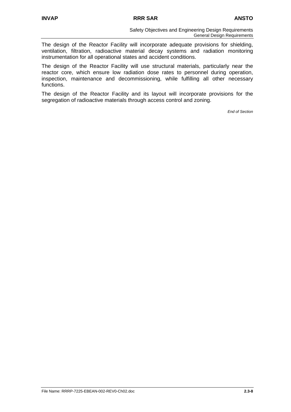The design of the Reactor Facility will incorporate adequate provisions for shielding, ventilation, filtration, radioactive material decay systems and radiation monitoring instrumentation for all operational states and accident conditions.

The design of the Reactor Facility will use structural materials, particularly near the reactor core, which ensure low radiation dose rates to personnel during operation, inspection, maintenance and decommissioning, while fulfilling all other necessary functions.

The design of the Reactor Facility and its layout will incorporate provisions for the segregation of radioactive materials through access control and zoning.

*End of Section*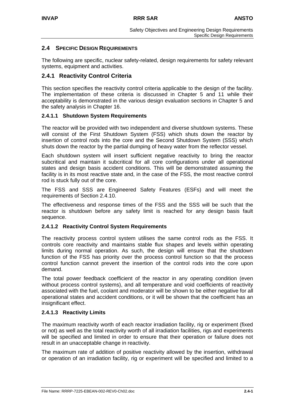## **2.4 SPECIFIC DESIGN REQUIREMENTS**

The following are specific, nuclear safety-related, design requirements for safety relevant systems, equipment and activities.

## **2.4.1 Reactivity Control Criteria**

This section specifies the reactivity control criteria applicable to the design of the facility. The implementation of these criteria is discussed in Chapter 5 and 11 while their acceptability is demonstrated in the various design evaluation sections in Chapter 5 and the safety analysis in Chapter 16.

#### **2.4.1.1 Shutdown System Requirements**

The reactor will be provided with two independent and diverse shutdown systems. These will consist of the First Shutdown System (FSS) which shuts down the reactor by insertion of control rods into the core and the Second Shutdown System (SSS) which shuts down the reactor by the partial dumping of heavy water from the reflector vessel.

Each shutdown system will insert sufficient negative reactivity to bring the reactor subcritical and maintain it subcritical for all core configurations under all operational states and design basis accident conditions. This will be demonstrated assuming the facility is in its most reactive state and, in the case of the FSS, the most reactive control rod is stuck fully out of the core.

The FSS and SSS are Engineered Safety Features (ESFs) and will meet the requirements of Section 2.4.10.

The effectiveness and response times of the FSS and the SSS will be such that the reactor is shutdown before any safety limit is reached for any design basis fault sequence.

#### **2.4.1.2 Reactivity Control System Requirements**

The reactivity process control system utilises the same control rods as the FSS. It controls core reactivity and maintains stable flux shapes and levels within operating limits during normal operation. As such, the design will ensure that the shutdown function of the FSS has priority over the process control function so that the process control function cannot prevent the insertion of the control rods into the core upon demand.

The total power feedback coefficient of the reactor in any operating condition (even without process control systems), and all temperature and void coefficients of reactivity associated with the fuel, coolant and moderator will be shown to be either negative for all operational states and accident conditions, or it will be shown that the coefficient has an insignificant effect.

## **2.4.1.3 Reactivity Limits**

The maximum reactivity worth of each reactor irradiation facility, rig or experiment (fixed or not) as well as the total reactivity worth of all irradiation facilities, rigs and experiments will be specified and limited in order to ensure that their operation or failure does not result in an unacceptable change in reactivity.

The maximum rate of addition of positive reactivity allowed by the insertion, withdrawal or operation of an irradiation facility, rig or experiment will be specified and limited to a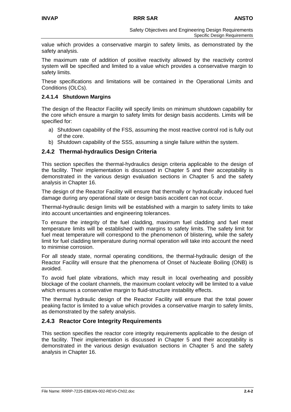value which provides a conservative margin to safety limits, as demonstrated by the safety analysis.

The maximum rate of addition of positive reactivity allowed by the reactivity control system will be specified and limited to a value which provides a conservative margin to safety limits.

These specifications and limitations will be contained in the Operational Limits and Conditions (OLCs).

#### **2.4.1.4 Shutdown Margins**

The design of the Reactor Facility will specify limits on minimum shutdown capability for the core which ensure a margin to safety limits for design basis accidents. Limits will be specified for:

- a) Shutdown capability of the FSS, assuming the most reactive control rod is fully out of the core.
- b) Shutdown capability of the SSS, assuming a single failure within the system.

## **2.4.2 Thermal-hydraulics Design Criteria**

This section specifies the thermal-hydraulics design criteria applicable to the design of the facility. Their implementation is discussed in Chapter 5 and their acceptability is demonstrated in the various design evaluation sections in Chapter 5 and the safety analysis in Chapter 16.

The design of the Reactor Facility will ensure that thermally or hydraulically induced fuel damage during any operational state or design basis accident can not occur.

Thermal-hydraulic design limits will be established with a margin to safety limits to take into account uncertainties and engineering tolerances.

To ensure the integrity of the fuel cladding, maximum fuel cladding and fuel meat temperature limits will be established with margins to safety limits. The safety limit for fuel meat temperature will correspond to the phenomenon of blistering, while the safety limit for fuel cladding temperature during normal operation will take into account the need to minimise corrosion.

For all steady state, normal operating conditions, the thermal-hydraulic design of the Reactor Facility will ensure that the phenomena of Onset of Nucleate Boiling (ONB) is avoided.

To avoid fuel plate vibrations, which may result in local overheating and possibly blockage of the coolant channels, the maximum coolant velocity will be limited to a value which ensures a conservative margin to fluid-structure instability effects.

The thermal hydraulic design of the Reactor Facility will ensure that the total power peaking factor is limited to a value which provides a conservative margin to safety limits, as demonstrated by the safety analysis.

## **2.4.3 Reactor Core Integrity Requirements**

This section specifies the reactor core integrity requirements applicable to the design of the facility. Their implementation is discussed in Chapter 5 and their acceptability is demonstrated in the various design evaluation sections in Chapter 5 and the safety analysis in Chapter 16.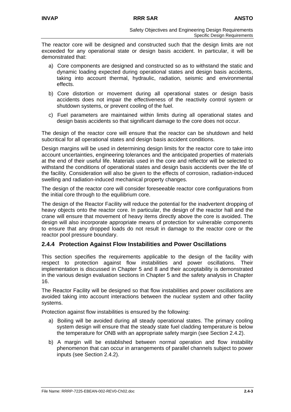The reactor core will be designed and constructed such that the design limits are not exceeded for any operational state or design basis accident. In particular, it will be demonstrated that:

- a) Core components are designed and constructed so as to withstand the static and dynamic loading expected during operational states and design basis accidents, taking into account thermal, hydraulic, radiation, seismic and environmental effects.
- b) Core distortion or movement during all operational states or design basis accidents does not impair the effectiveness of the reactivity control system or shutdown systems, or prevent cooling of the fuel.
- c) Fuel parameters are maintained within limits during all operational states and design basis accidents so that significant damage to the core does not occur.

The design of the reactor core will ensure that the reactor can be shutdown and held subcritical for all operational states and design basis accident conditions.

Design margins will be used in determining design limits for the reactor core to take into account uncertainties, engineering tolerances and the anticipated properties of materials at the end of their useful life. Materials used in the core and reflector will be selected to withstand the conditions of operational states and design basis accidents over the life of the facility. Consideration will also be given to the effects of corrosion, radiation-induced swelling and radiation-induced mechanical property changes.

The design of the reactor core will consider foreseeable reactor core configurations from the initial core through to the equilibrium core.

The design of the Reactor Facility will reduce the potential for the inadvertent dropping of heavy objects onto the reactor core. In particular, the design of the reactor hall and the crane will ensure that movement of heavy items directly above the core is avoided. The design will also incorporate appropriate means of protection for vulnerable components to ensure that any dropped loads do not result in damage to the reactor core or the reactor pool pressure boundary.

## **2.4.4 Protection Against Flow Instabilities and Power Oscillations**

This section specifies the requirements applicable to the design of the facility with respect to protection against flow instabilities and power oscillations. Their implementation is discussed in Chapter 5 and 8 and their acceptability is demonstrated in the various design evaluation sections in Chapter 5 and the safety analysis in Chapter 16.

The Reactor Facility will be designed so that flow instabilities and power oscillations are avoided taking into account interactions between the nuclear system and other facility systems.

Protection against flow instabilities is ensured by the following:

- a) Boiling will be avoided during all steady operational states. The primary cooling system design will ensure that the steady state fuel cladding temperature is below the temperature for ONB with an appropriate safety margin (see Section 2.4.2).
- b) A margin will be established between normal operation and flow instability phenomenon that can occur in arrangements of parallel channels subject to power inputs (see Section 2.4.2).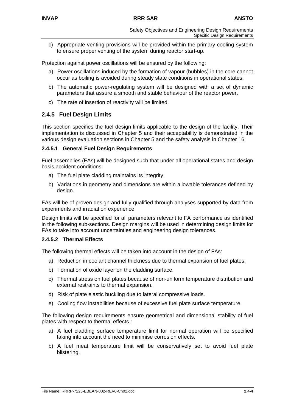c) Appropriate venting provisions will be provided within the primary cooling system to ensure proper venting of the system during reactor start-up.

Protection against power oscillations will be ensured by the following:

- a) Power oscillations induced by the formation of vapour (bubbles) in the core cannot occur as boiling is avoided during steady state conditions in operational states.
- b) The automatic power-regulating system will be designed with a set of dynamic parameters that assure a smooth and stable behaviour of the reactor power.
- c) The rate of insertion of reactivity will be limited.

## **2.4.5 Fuel Design Limits**

This section specifies the fuel design limits applicable to the design of the facility. Their implementation is discussed in Chapter 5 and their acceptability is demonstrated in the various design evaluation sections in Chapter 5 and the safety analysis in Chapter 16.

#### **2.4.5.1 General Fuel Design Requirements**

Fuel assemblies (FAs) will be designed such that under all operational states and design basis accident conditions:

- a) The fuel plate cladding maintains its integrity.
- b) Variations in geometry and dimensions are within allowable tolerances defined by design.

FAs will be of proven design and fully qualified through analyses supported by data from experiments and irradiation experience.

Design limits will be specified for all parameters relevant to FA performance as identified in the following sub-sections. Design margins will be used in determining design limits for FAs to take into account uncertainties and engineering design tolerances.

#### **2.4.5.2 Thermal Effects**

The following thermal effects will be taken into account in the design of FAs:

- a) Reduction in coolant channel thickness due to thermal expansion of fuel plates.
- b) Formation of oxide layer on the cladding surface.
- c) Thermal stress on fuel plates because of non-uniform temperature distribution and external restraints to thermal expansion.
- d) Risk of plate elastic buckling due to lateral compressive loads.
- e) Cooling flow instabilities because of excessive fuel plate surface temperature.

The following design requirements ensure geometrical and dimensional stability of fuel plates with respect to thermal effects :

- a) A fuel cladding surface temperature limit for normal operation will be specified taking into account the need to minimise corrosion effects.
- b) A fuel meat temperature limit will be conservatively set to avoid fuel plate blistering.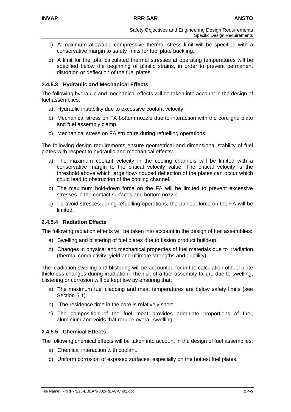- c) A maximum allowable compressive thermal stress limit will be specified with a conservative margin to safety limits for fuel plate buckling.
- d) A limit for the total calculated thermal stresses at operating temperatures will be specified below the beginning of plastic strains, in order to prevent permanent distortion or deflection of the fuel plates.

## **2.4.5.3 Hydraulic and Mechanical Effects**

The following hydraulic and mechanical effects will be taken into account in the design of fuel assemblies:

- a) Hydraulic instability due to excessive coolant velocity.
- b) Mechanical stress on FA bottom nozzle due to interaction with the core grid plate and fuel assembly clamp.
- c) Mechanical stress on FA structure during refuelling operations.

The following design requirements ensure geometrical and dimensional stability of fuel plates with respect to hydraulic and mechanical effects:

- a) The maximum coolant velocity in the cooling channels will be limited with a conservative margin to the critical velocity value. The critical velocity is the threshold above which large flow-induced deflection of the plates can occur which could lead to obstruction of the cooling channel.
- b) The maximum hold-down force on the FA will be limited to prevent excessive stresses in the contact surfaces and bottom nozzle.
- c) To avoid stresses during refuelling operations, the pull out force on the FA will be limited.

## **2.4.5.4 Radiation Effects**

The following radiation effects will be taken into account in the design of fuel assemblies:

- a) Swelling and blistering of fuel plates due to fission product build-up.
- b) Changes in physical and mechanical properties of fuel materials due to irradiation (thermal conductivity, yield and ultimate strengths and ductility).

The irradiation swelling and blistering will be accounted for in the calculation of fuel plate thickness changes during irradiation. The risk of a fuel assembly failure due to swelling, blistering or corrosion will be kept low by ensuring that:

- a) The maximum fuel cladding and meat temperatures are below safety limits (see Section 5.1).
- b) The residence time in the core is relatively short.
- c) The composition of the fuel meat provides adequate proportions of fuel, aluminium and voids that reduce overall swelling.

## **2.4.5.5 Chemical Effects**

The following chemical effects will be taken into account in the design of fuel assemblies:

- a) Chemical interaction with coolant.
- b) Uniform corrosion of exposed surfaces, especially on the hottest fuel plates.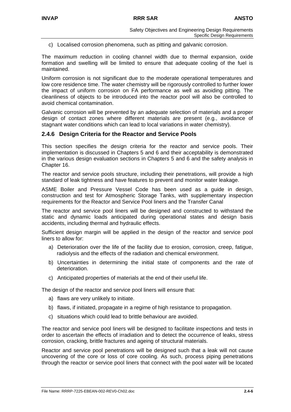c) Localised corrosion phenomena, such as pitting and galvanic corrosion.

The maximum reduction in cooling channel width due to thermal expansion, oxide formation and swelling will be limited to ensure that adequate cooling of the fuel is maintained.

Uniform corrosion is not significant due to the moderate operational temperatures and low core residence time. The water chemistry will be rigorously controlled to further lower the impact of uniform corrosion on FA performance as well as avoiding pitting. The cleanliness of objects to be introduced into the reactor pool will also be controlled to avoid chemical contamination.

Galvanic corrosion will be prevented by an adequate selection of materials and a proper design of contact zones where different materials are present (e.g., avoidance of stagnant water conditions which can lead to local variations in water chemistry).

## **2.4.6 Design Criteria for the Reactor and Service Pools**

This section specifies the design criteria for the reactor and service pools. Their implementation is discussed in Chapters 5 and 6 and their acceptability is demonstrated in the various design evaluation sections in Chapters 5 and 6 and the safety analysis in Chapter 16.

The reactor and service pools structure, including their penetrations, will provide a high standard of leak tightness and have features to prevent and monitor water leakage.

ASME Boiler and Pressure Vessel Code has been used as a guide in design, construction and test for Atmospheric Storage Tanks, with supplementary inspection requirements for the Reactor and Service Pool liners and the Transfer Canal

The reactor and service pool liners will be designed and constructed to withstand the static and dynamic loads anticipated during operational states and design basis accidents, including thermal and hydraulic effects.

Sufficient design margin will be applied in the design of the reactor and service pool liners to allow for:

- a) Deterioration over the life of the facility due to erosion, corrosion, creep, fatigue, radiolysis and the effects of the radiation and chemical environment.
- b) Uncertainties in determining the initial state of components and the rate of deterioration.
- c) Anticipated properties of materials at the end of their useful life.

The design of the reactor and service pool liners will ensure that:

- a) flaws are very unlikely to initiate.
- b) flaws, if initiated, propagate in a regime of high resistance to propagation.
- c) situations which could lead to brittle behaviour are avoided.

The reactor and service pool liners will be designed to facilitate inspections and tests in order to ascertain the effects of irradiation and to detect the occurrence of leaks, stress corrosion, cracking, brittle fractures and ageing of structural materials.

Reactor and service pool penetrations will be designed such that a leak will not cause uncovering of the core or loss of core cooling. As such, process piping penetrations through the reactor or service pool liners that connect with the pool water will be located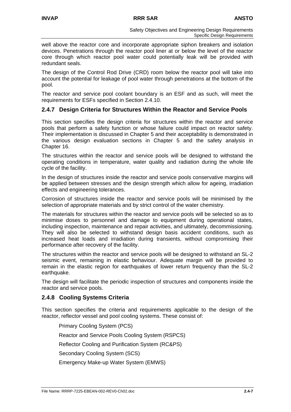well above the reactor core and incorporate appropriate siphon breakers and isolation devices. Penetrations through the reactor pool liner at or below the level of the reactor core through which reactor pool water could potentially leak will be provided with redundant seals.

The design of the Control Rod Drive (CRD) room below the reactor pool will take into account the potential for leakage of pool water through penetrations at the bottom of the pool.

The reactor and service pool coolant boundary is an ESF and as such, will meet the requirements for ESFs specified in Section 2.4.10.

## **2.4.7 Design Criteria for Structures Within the Reactor and Service Pools**

This section specifies the design criteria for structures within the reactor and service pools that perform a safety function or whose failure could impact on reactor safety. Their implementation is discussed in Chapter 5 and their acceptability is demonstrated in the various design evaluation sections in Chapter 5 and the safety analysis in Chapter 16.

The structures within the reactor and service pools will be designed to withstand the operating conditions in temperature, water quality and radiation during the whole life cycle of the facility.

In the design of structures inside the reactor and service pools conservative margins will be applied between stresses and the design strength which allow for ageing, irradiation effects and engineering tolerances.

Corrosion of structures inside the reactor and service pools will be minimised by the selection of appropriate materials and by strict control of the water chemistry.

The materials for structures within the reactor and service pools will be selected so as to minimise doses to personnel and damage to equipment during operational states, including inspection, maintenance and repair activities, and ultimately, decommissioning. They will also be selected to withstand design basis accident conditions, such as increased heat loads and irradiation during transients, without compromising their performance after recovery of the facility.

The structures within the reactor and service pools will be designed to withstand an SL-2 seismic event, remaining in elastic behaviour. Adequate margin will be provided to remain in the elastic region for earthquakes of lower return frequency than the SL-2 earthquake.

The design will facilitate the periodic inspection of structures and components inside the reactor and service pools.

## **2.4.8 Cooling Systems Criteria**

This section specifies the criteria and requirements applicable to the design of the reactor, reflector vessel and pool cooling systems. These consist of:

Primary Cooling System (PCS) Reactor and Service Pools Cooling System (RSPCS) Reflector Cooling and Purification System (RC&PS) Secondary Cooling System (SCS) Emergency Make-up Water System (EMWS)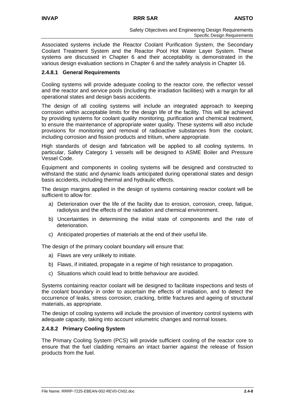Associated systems include the Reactor Coolant Purification System, the Secondary Coolant Treatment System and the Reactor Pool Hot Water Layer System. These systems are discussed in Chapter 6 and their acceptability is demonstrated in the various design evaluation sections in Chapter 6 and the safety analysis in Chapter 16.

## **2.4.8.1 General Requirements**

Cooling systems will provide adequate cooling to the reactor core, the reflector vessel and the reactor and service pools (including the irradiation facilities) with a margin for all operational states and design basis accidents.

The design of all cooling systems will include an integrated approach to keeping corrosion within acceptable limits for the design life of the facility. This will be achieved by providing systems for coolant quality monitoring, purification and chemical treatment, to ensure the maintenance of appropriate water quality. These systems will also include provisions for monitoring and removal of radioactive substances from the coolant, including corrosion and fission products and tritium, where appropriate.

High standards of design and fabrication will be applied to all cooling systems. In particular, Safety Category 1 vessels will be designed to ASME Boiler and Pressure Vessel Code.

Equipment and components in cooling systems will be designed and constructed to withstand the static and dynamic loads anticipated during operational states and design basis accidents, including thermal and hydraulic effects.

The design margins applied in the design of systems containing reactor coolant will be sufficient to allow for:

- a) Deterioration over the life of the facility due to erosion, corrosion, creep, fatigue, radiolysis and the effects of the radiation and chemical environment.
- b) Uncertainties in determining the initial state of components and the rate of deterioration.
- c) Anticipated properties of materials at the end of their useful life.

The design of the primary coolant boundary will ensure that:

- a) Flaws are very unlikely to initiate.
- b) Flaws, if initiated, propagate in a regime of high resistance to propagation.
- c) Situations which could lead to brittle behaviour are avoided.

Systems containing reactor coolant will be designed to facilitate inspections and tests of the coolant boundary in order to ascertain the effects of irradiation, and to detect the occurrence of leaks, stress corrosion, cracking, brittle fractures and ageing of structural materials, as appropriate.

The design of cooling systems will include the provision of inventory control systems with adequate capacity, taking into account volumetric changes and normal losses.

#### **2.4.8.2 Primary Cooling System**

The Primary Cooling System (PCS) will provide sufficient cooling of the reactor core to ensure that the fuel cladding remains an intact barrier against the release of fission products from the fuel.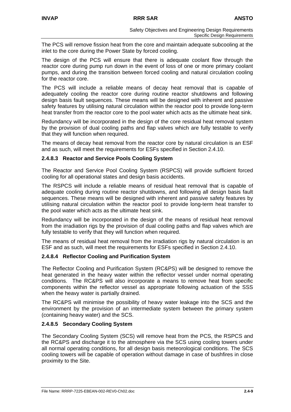The PCS will remove fission heat from the core and maintain adequate subcooling at the inlet to the core during the Power State by forced cooling.

The design of the PCS will ensure that there is adequate coolant flow through the reactor core during pump run down in the event of loss of one or more primary coolant pumps, and during the transition between forced cooling and natural circulation cooling for the reactor core.

The PCS will include a reliable means of decay heat removal that is capable of adequately cooling the reactor core during routine reactor shutdowns and following design basis fault sequences. These means will be designed with inherent and passive safety features by utilising natural circulation within the reactor pool to provide long-term heat transfer from the reactor core to the pool water which acts as the ultimate heat sink.

Redundancy will be incorporated in the design of the core residual heat removal system by the provision of dual cooling paths and flap valves which are fully testable to verify that they will function when required.

The means of decay heat removal from the reactor core by natural circulation is an ESF and as such, will meet the requirements for ESFs specified in Section 2.4.10.

## **2.4.8.3 Reactor and Service Pools Cooling System**

The Reactor and Service Pool Cooling System (RSPCS) will provide sufficient forced cooling for all operational states and design basis accidents.

The RSPCS will include a reliable means of residual heat removal that is capable of adequate cooling during routine reactor shutdowns, and following all design basis fault sequences. These means will be designed with inherent and passive safety features by utilising natural circulation within the reactor pool to provide long-term heat transfer to the pool water which acts as the ultimate heat sink.

Redundancy will be incorporated in the design of the means of residual heat removal from the irradiation rigs by the provision of dual cooling paths and flap valves which are fully testable to verify that they will function when required.

The means of residual heat removal from the irradiation rigs by natural circulation is an ESF and as such, will meet the requirements for ESFs specified in Section 2.4.10.

## **2.4.8.4 Reflector Cooling and Purification System**

The Reflector Cooling and Purification System (RC&PS) will be designed to remove the heat generated in the heavy water within the reflector vessel under normal operating conditions. The RC&PS will also incorporate a means to remove heat from specific components within the reflector vessel as appropriate following actuation of the SSS when the heavy water is partially drained.

The RC&PS will minimise the possibility of heavy water leakage into the SCS and the environment by the provision of an intermediate system between the primary system (containing heavy water) and the SCS.

## **2.4.8.5 Secondary Cooling System**

The Secondary Cooling System (SCS) will remove heat from the PCS, the RSPCS and the RC&PS and discharge it to the atmosphere via the SCS using cooling towers under all normal operating conditions, for all design basis meteorological conditions. The SCS cooling towers will be capable of operation without damage in case of bushfires in close proximity to the Site.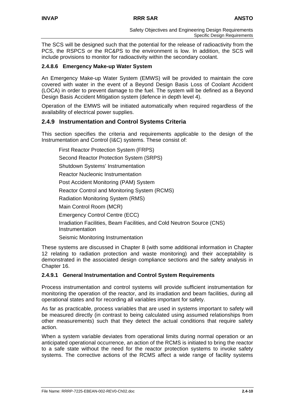The SCS will be designed such that the potential for the release of radioactivity from the PCS, the RSPCS or the RC&PS to the environment is low. In addition, the SCS will include provisions to monitor for radioactivity within the secondary coolant.

## **2.4.8.6 Emergency Make-up Water System**

An Emergency Make-up Water System (EMWS) will be provided to maintain the core covered with water in the event of a Beyond Design Basis Loss of Coolant Accident (LOCA) in order to prevent damage to the fuel. The system will be defined as a Beyond Design Basis Accident Mitigation system (defence in depth level 4).

Operation of the EMWS will be initiated automatically when required regardless of the availability of electrical power supplies.

## **2.4.9 Instrumentation and Control Systems Criteria**

This section specifies the criteria and requirements applicable to the design of the Instrumentation and Control (I&C) systems. These consist of:

First Reactor Protection System (FRPS) Second Reactor Protection System (SRPS) Shutdown Systems' Instrumentation Reactor Nucleonic Instrumentation Post Accident Monitoring (PAM) System Reactor Control and Monitoring System (RCMS) Radiation Monitoring System (RMS) Main Control Room (MCR) Emergency Control Centre (ECC) Irradiation Facilities, Beam Facilities, and Cold Neutron Source (CNS) Instrumentation Seismic Monitoring Instrumentation

These systems are discussed in Chapter 8 (with some additional information in Chapter 12 relating to radiation protection and waste monitoring) and their acceptability is demonstrated in the associated design compliance sections and the safety analysis in Chapter 16.

## **2.4.9.1 General Instrumentation and Control System Requirements**

Process instrumentation and control systems will provide sufficient instrumentation for monitoring the operation of the reactor, and its irradiation and beam facilities, during all operational states and for recording all variables important for safety.

As far as practicable, process variables that are used in systems important to safety will be measured directly (in contrast to being calculated using assumed relationships from other measurements) such that they detect the actual conditions that require safety action.

When a system variable deviates from operational limits during normal operation or an anticipated operational occurrence, an action of the RCMS is initiated to bring the reactor to a safe state without the need for the reactor protection systems to invoke safety systems. The corrective actions of the RCMS affect a wide range of facility systems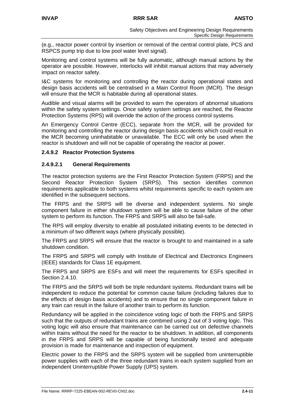(e.g., reactor power control by insertion or removal of the central control plate, PCS and RSPCS pump trip due to low pool water level signal).

Monitoring and control systems will be fully automatic, although manual actions by the operator are possible. However, interlocks will inhibit manual actions that may adversely impact on reactor safety.

I&C systems for monitoring and controlling the reactor during operational states and design basis accidents will be centralised in a Main Control Room (MCR). The design will ensure that the MCR is habitable during all operational states.

Audible and visual alarms will be provided to warn the operators of abnormal situations within the safety system settings. Once safety system settings are reached, the Reactor Protection Systems (RPS) will override the action of the process control systems.

An Emergency Control Centre (ECC), separate from the MCR, will be provided for monitoring and controlling the reactor during design basis accidents which could result in the MCR becoming uninhabitable or unavailable. The ECC will only be used when the reactor is shutdown and will not be capable of operating the reactor at power.

#### **2.4.9.2 Reactor Protection Systems**

#### **2.4.9.2.1 General Requirements**

The reactor protection systems are the First Reactor Protection System (FRPS) and the Second Reactor Protection System (SRPS). This section identifies common requirements applicable to both systems whilst requirements specific to each system are identified in the subsequent sections.

The FRPS and the SRPS will be diverse and independent systems. No single component failure in either shutdown system will be able to cause failure of the other system to perform its function. The FRPS and SRPS will also be fail-safe.

The RPS will employ diversity to enable all postulated initiating events to be detected in a minimum of two different ways (where physically possible).

The FRPS and SRPS will ensure that the reactor is brought to and maintained in a safe shutdown condition.

The FRPS and SRPS will comply with Institute of Electrical and Electronics Engineers (IEEE) standards for Class 1E equipment.

The FRPS and SRPS are ESFs and will meet the requirements for ESFs specified in Section 2.4.10.

The FRPS and the SRPS will both be triple redundant systems. Redundant trains will be independent to reduce the potential for common cause failure (including failures due to the effects of design basis accidents) and to ensure that no single component failure in any train can result in the failure of another train to perform its function.

Redundancy will be applied in the coincidence voting logic of both the FRPS and SRPS such that the outputs of redundant trains are combined using 2 out of 3 voting logic. This voting logic will also ensure that maintenance can be carried out on defective channels within trains without the need for the reactor to be shutdown. In addition, all components in the FRPS and SRPS will be capable of being functionally tested and adequate provision is made for maintenance and inspection of equipment.

Electric power to the FRPS and the SRPS system will be supplied from uninterruptible power supplies with each of the three redundant trains in each system supplied from an independent Uninterruptible Power Supply (UPS) system.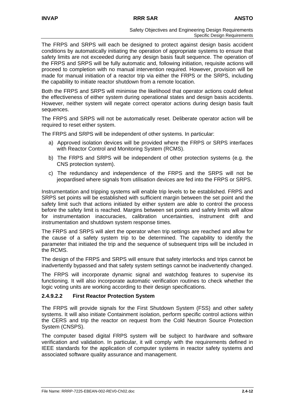The FRPS and SRPS will each be designed to protect against design basis accident conditions by automatically initiating the operation of appropriate systems to ensure that safety limits are not exceeded during any design basis fault sequence. The operation of the FRPS and SRPS will be fully automatic and, following initiation, requisite actions will proceed to completion with no manual intervention required. However, provision will be made for manual initiation of a reactor trip via either the FRPS or the SRPS, including the capability to initiate reactor shutdown from a remote location.

Both the FRPS and SRPS will minimise the likelihood that operator actions could defeat the effectiveness of either system during operational states and design basis accidents. However, neither system will negate correct operator actions during design basis fault sequences.

The FRPS and SRPS will not be automatically reset. Deliberate operator action will be required to reset either system.

The FRPS and SRPS will be independent of other systems. In particular:

- a) Approved isolation devices will be provided where the FRPS or SRPS interfaces with Reactor Control and Monitoring System (RCMS).
- b) The FRPS and SRPS will be independent of other protection systems (e.g. the CNS protection system).
- c) The redundancy and independence of the FRPS and the SRPS will not be jeopardised where signals from utilisation devices are fed into the FRPS or SRPS.

Instrumentation and tripping systems will enable trip levels to be established. FRPS and SRPS set points will be established with sufficient margin between the set point and the safety limit such that actions initiated by either system are able to control the process before the safety limit is reached. Margins between set points and safety limits will allow for instrumentation inaccuracies, calibration uncertainties, instrument drift and instrumentation and shutdown system response times.

The FRPS and SRPS will alert the operator when trip settings are reached and allow for the cause of a safety system trip to be determined. The capability to identify the parameter that initiated the trip and the sequence of subsequent trips will be included in the RCMS.

The design of the FRPS and SRPS will ensure that safety interlocks and trips cannot be inadvertently bypassed and that safety system settings cannot be inadvertently changed.

The FRPS will incorporate dynamic signal and watchdog features to supervise its functioning. It will also incorporate automatic verification routines to check whether the logic voting units are working according to their design specifications.

## **2.4.9.2.2 First Reactor Protection System**

The FRPS will provide signals for the First Shutdown System (FSS) and other safety systems. It will also initiate Containment isolation, perform specific control actions within the CERS and trip the reactor on request from the Cold Neutron Source Protection System (CNSPS).

The computer based digital FRPS system will be subject to hardware and software verification and validation. In particular, it will comply with the requirements defined in IEEE standards for the application of computer systems in reactor safety systems and associated software quality assurance and management.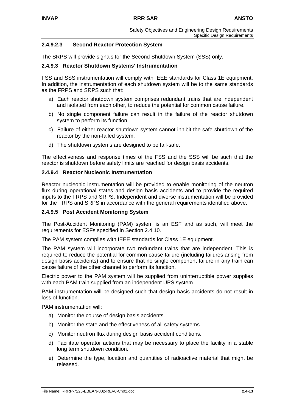## **2.4.9.2.3 Second Reactor Protection System**

The SRPS will provide signals for the Second Shutdown System (SSS) only.

#### **2.4.9.3 Reactor Shutdown Systems' Instrumentation**

FSS and SSS instrumentation will comply with IEEE standards for Class 1E equipment. In addition, the instrumentation of each shutdown system will be to the same standards as the FRPS and SRPS such that:

- a) Each reactor shutdown system comprises redundant trains that are independent and isolated from each other, to reduce the potential for common cause failure.
- b) No single component failure can result in the failure of the reactor shutdown system to perform its function.
- c) Failure of either reactor shutdown system cannot inhibit the safe shutdown of the reactor by the non-failed system.
- d) The shutdown systems are designed to be fail-safe.

The effectiveness and response times of the FSS and the SSS will be such that the reactor is shutdown before safety limits are reached for design basis accidents.

#### **2.4.9.4 Reactor Nucleonic Instrumentation**

Reactor nucleonic instrumentation will be provided to enable monitoring of the neutron flux during operational states and design basis accidents and to provide the required inputs to the FRPS and SRPS. Independent and diverse instrumentation will be provided for the FRPS and SRPS in accordance with the general requirements identified above.

## **2.4.9.5 Post Accident Monitoring System**

The Post-Accident Monitoring (PAM) system is an ESF and as such, will meet the requirements for ESFs specified in Section 2.4.10.

The PAM system complies with IEEE standards for Class 1E equipment.

The PAM system will incorporate two redundant trains that are independent. This is required to reduce the potential for common cause failure (including failures arising from design basis accidents) and to ensure that no single component failure in any train can cause failure of the other channel to perform its function.

Electric power to the PAM system will be supplied from uninterruptible power supplies with each PAM train supplied from an independent UPS system.

PAM instrumentation will be designed such that design basis accidents do not result in loss of function.

PAM instrumentation will:

- a) Monitor the course of design basis accidents.
- b) Monitor the state and the effectiveness of all safety systems.
- c) Monitor neutron flux during design basis accident conditions.
- d) Facilitate operator actions that may be necessary to place the facility in a stable long term shutdown condition.
- e) Determine the type, location and quantities of radioactive material that might be released.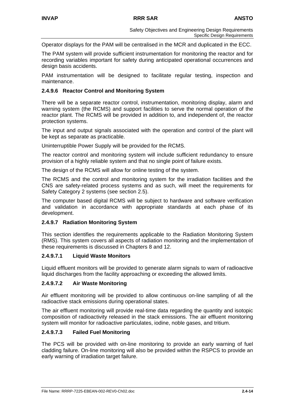Operator displays for the PAM will be centralised in the MCR and duplicated in the ECC.

The PAM system will provide sufficient instrumentation for monitoring the reactor and for recording variables important for safety during anticipated operational occurrences and design basis accidents.

PAM instrumentation will be designed to facilitate regular testing, inspection and maintenance.

## **2.4.9.6 Reactor Control and Monitoring System**

There will be a separate reactor control, instrumentation, monitoring display, alarm and warning system (the RCMS) and support facilities to serve the normal operation of the reactor plant. The RCMS will be provided in addition to, and independent of, the reactor protection systems.

The input and output signals associated with the operation and control of the plant will be kept as separate as practicable.

Uninterruptible Power Supply will be provided for the RCMS.

The reactor control and monitoring system will include sufficient redundancy to ensure provision of a highly reliable system and that no single point of failure exists.

The design of the RCMS will allow for online testing of the system.

The RCMS and the control and monitoring system for the irradiation facilities and the CNS are safety-related process systems and as such, will meet the requirements for Safety Category 2 systems (see section 2.5).

The computer based digital RCMS will be subject to hardware and software verification and validation in accordance with appropriate standards at each phase of its development.

#### **2.4.9.7 Radiation Monitoring System**

This section identifies the requirements applicable to the Radiation Monitoring System (RMS). This system covers all aspects of radiation monitoring and the implementation of these requirements is discussed in Chapters 8 and 12.

#### **2.4.9.7.1 Liquid Waste Monitors**

Liquid effluent monitors will be provided to generate alarm signals to warn of radioactive liquid discharges from the facility approaching or exceeding the allowed limits.

## **2.4.9.7.2 Air Waste Monitoring**

Air effluent monitoring will be provided to allow continuous on-line sampling of all the radioactive stack emissions during operational states.

The air effluent monitoring will provide real-time data regarding the quantity and isotopic composition of radioactivity released in the stack emissions. The air effluent monitoring system will monitor for radioactive particulates, iodine, noble gases, and tritium.

## **2.4.9.7.3 Failed Fuel Monitoring**

The PCS will be provided with on-line monitoring to provide an early warning of fuel cladding failure. On-line monitoring will also be provided within the RSPCS to provide an early warning of irradiation target failure.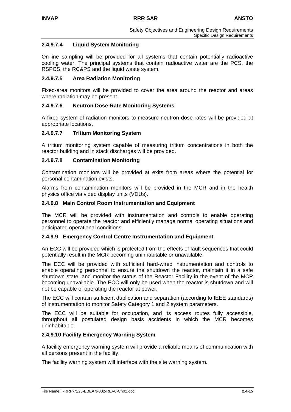## **2.4.9.7.4 Liquid System Monitoring**

On-line sampling will be provided for all systems that contain potentially radioactive cooling water. The principal systems that contain radioactive water are the PCS, the RSPCS, the RC&PS and the liquid waste system.

## **2.4.9.7.5 Area Radiation Monitoring**

Fixed-area monitors will be provided to cover the area around the reactor and areas where radiation may be present.

## **2.4.9.7.6 Neutron Dose-Rate Monitoring Systems**

A fixed system of radiation monitors to measure neutron dose-rates will be provided at appropriate locations.

## **2.4.9.7.7 Tritium Monitoring System**

A tritium monitoring system capable of measuring tritium concentrations in both the reactor building and in stack discharges will be provided.

## **2.4.9.7.8 Contamination Monitoring**

Contamination monitors will be provided at exits from areas where the potential for personal contamination exists.

Alarms from contamination monitors will be provided in the MCR and in the health physics office via video display units (VDUs).

#### **2.4.9.8 Main Control Room Instrumentation and Equipment**

The MCR will be provided with instrumentation and controls to enable operating personnel to operate the reactor and efficiently manage normal operating situations and anticipated operational conditions.

## **2.4.9.9 Emergency Control Centre Instrumentation and Equipment**

An ECC will be provided which is protected from the effects of fault sequences that could potentially result in the MCR becoming uninhabitable or unavailable.

The ECC will be provided with sufficient hard-wired instrumentation and controls to enable operating personnel to ensure the shutdown the reactor, maintain it in a safe shutdown state, and monitor the status of the Reactor Facility in the event of the MCR becoming unavailable. The ECC will only be used when the reactor is shutdown and will not be capable of operating the reactor at power.

The ECC will contain sufficient duplication and separation (according to IEEE standards) of instrumentation to monitor Safety Category 1 and 2 system parameters.

The ECC will be suitable for occupation, and its access routes fully accessible, throughout all postulated design basis accidents in which the MCR becomes uninhabitable.

#### **2.4.9.10 Facility Emergency Warning System**

A facility emergency warning system will provide a reliable means of communication with all persons present in the facility.

The facility warning system will interface with the site warning system.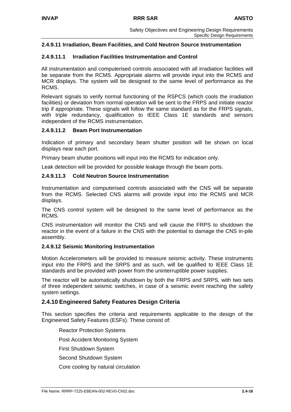## **2.4.9.11 Irradiation, Beam Facilities, and Cold Neutron Source Instrumentation**

#### **2.4.9.11.1 Irradiation Facilities Instrumentation and Control**

All instrumentation and computerised controls associated with all irradiation facilities will be separate from the RCMS. Appropriate alarms will provide input into the RCMS and MCR displays. The system will be designed to the same level of performance as the RCMS.

Relevant signals to verify normal functioning of the RSPCS (which cools the irradiation facilities) or deviation from normal operation will be sent to the FRPS and initiate reactor trip if appropriate. These signals will follow the same standard as for the FRPS signals, with triple redundancy, qualification to IEEE Class 1E standards and sensors independent of the RCMS instrumentation.

#### **2.4.9.11.2 Beam Port Instrumentation**

Indication of primary and secondary beam shutter position will be shown on local displays near each port.

Primary beam shutter positions will input into the RCMS for indication only.

Leak detection will be provided for possible leakage through the beam ports.

#### **2.4.9.11.3 Cold Neutron Source Instrumentation**

Instrumentation and computerised controls associated with the CNS will be separate from the RCMS. Selected CNS alarms will provide input into the RCMS and MCR displays.

The CNS control system will be designed to the same level of performance as the RCMS.

CNS instrumentation will monitor the CNS and will cause the FRPS to shutdown the reactor in the event of a failure in the CNS with the potential to damage the CNS in-pile assembly.

#### **2.4.9.12 Seismic Monitoring Instrumentation**

Motion Accelerometers will be provided to measure seismic activity. These instruments input into the FRPS and the SRPS and as such, will be qualified to IEEE Class 1E standards and be provided with power from the uninterruptible power supplies.

The reactor will be automatically shutdown by both the FRPS and SRPS, with two sets of three independent seismic switches, in case of a seismic event reaching the safety system settings.

## **2.4.10 Engineered Safety Features Design Criteria**

This section specifies the criteria and requirements applicable to the design of the Engineered Safety Features (ESFs). These consist of:

Reactor Protection Systems Post Accident Monitoring System First Shutdown System Second Shutdown System Core cooling by natural circulation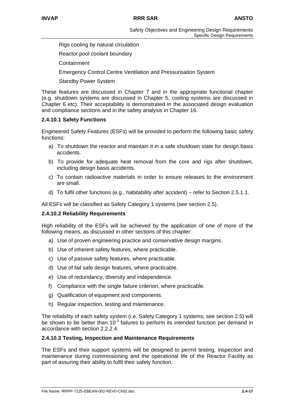Rigs cooling by natural circulation

Reactor pool coolant boundary

**Containment** 

Emergency Control Centre Ventilation and Pressurisation System

Standby Power System

These features are discussed in Chapter 7 and in the appropriate functional chapter (e.g. shutdown systems are discussed in Chapter 5, cooling systems are discussed in Chapter 6 etc). Their acceptability is demonstrated in the associated design evaluation and compliance sections and in the safety analysis in Chapter 16.

## **2.4.10.1 Safety Functions**

Engineered Safety Features (ESFs) will be provided to perform the following basic safety functions:

- a) To shutdown the reactor and maintain it in a safe shutdown state for design basis accidents.
- b) To provide for adequate heat removal from the core and rigs after shutdown, including design basis accidents.
- c) To contain radioactive materials in order to ensure releases to the environment are small.
- d) To fulfil other functions (e.g., habitability after accident) refer to Section 2.5.1.1.

All ESFs will be classified as Safety Category 1 systems (see section 2.5).

#### **2.4.10.2 Reliability Requirements**

High reliability of the ESFs will be achieved by the application of one of more of the following means, as discussed in other sections of this chapter:

- a) Use of proven engineering practice and conservative design margins.
- b) Use of inherent safety features, where practicable.
- c) Use of passive safety features, where practicable.
- d) Use of fail safe design features, where practicable.
- e) Use of redundancy, diversity and independence.
- f) Compliance with the single failure criterion, where practicable.
- g) Qualification of equipment and components.
- h) Regular inspection, testing and maintenance.

The reliability of each safety system (i.e. Safety Category 1 systems; see section 2.5) will be shown to be better than  $10<sup>3</sup>$  failures to perform its intended function per demand in accordance with section 2.2.2.4.

#### **2.4.10.3 Testing, Inspection and Maintenance Requirements**

The ESFs and their support systems will be designed to permit testing, inspection and maintenance during commissioning and the operational life of the Reactor Facility as part of assuring their ability to fulfil their safety function.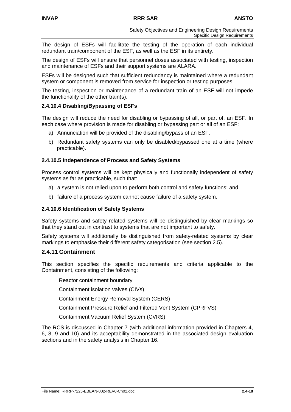The design of ESFs will facilitate the testing of the operation of each individual redundant train/component of the ESF, as well as the ESF in its entirety.

The design of ESFs will ensure that personnel doses associated with testing, inspection and maintenance of ESFs and their support systems are ALARA.

ESFs will be designed such that sufficient redundancy is maintained where a redundant system or component is removed from service for inspection or testing purposes.

The testing, inspection or maintenance of a redundant train of an ESF will not impede the functionality of the other train(s).

#### **2.4.10.4 Disabling/Bypassing of ESFs**

The design will reduce the need for disabling or bypassing of all, or part of, an ESF. In each case where provision is made for disabling or bypassing part or all of an ESF:

- a) Annunciation will be provided of the disabling/bypass of an ESF.
- b) Redundant safety systems can only be disabled/bypassed one at a time (where practicable).

#### **2.4.10.5 Independence of Process and Safety Systems**

Process control systems will be kept physically and functionally independent of safety systems as far as practicable, such that:

- a) a system is not relied upon to perform both control and safety functions; and
- b) failure of a process system cannot cause failure of a safety system.

## **2.4.10.6 Identification of Safety Systems**

Safety systems and safety related systems will be distinguished by clear markings so that they stand out in contrast to systems that are not important to safety.

Safety systems will additionally be distinguished from safety-related systems by clear markings to emphasise their different safety categorisation (see section 2.5).

## **2.4.11 Containment**

This section specifies the specific requirements and criteria applicable to the Containment, consisting of the following:

Reactor containment boundary

Containment isolation valves (CIVs)

- Containment Energy Removal System (CERS)
- Containment Pressure Relief and Filtered Vent System (CPRFVS)

Containment Vacuum Relief System (CVRS)

The RCS is discussed in Chapter 7 (with additional information provided in Chapters 4, 6, 8, 9 and 10) and its acceptability demonstrated in the associated design evaluation sections and in the safety analysis in Chapter 16.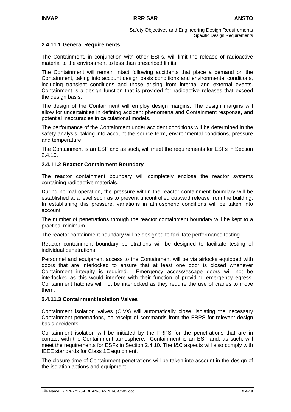#### **2.4.11.1 General Requirements**

The Containment, in conjunction with other ESFs, will limit the release of radioactive material to the environment to less than prescribed limits.

The Containment will remain intact following accidents that place a demand on the Containment, taking into account design basis conditions and environmental conditions, including transient conditions and those arising from internal and external events. Containment is a design function that is provided for radioactive releases that exceed the design basis.

The design of the Containment will employ design margins. The design margins will allow for uncertainties in defining accident phenomena and Containment response, and potential inaccuracies in calculational models.

The performance of the Containment under accident conditions will be determined in the safety analysis, taking into account the source term, environmental conditions, pressure and temperature.

The Containment is an ESF and as such, will meet the requirements for ESFs in Section 2.4.10.

#### **2.4.11.2 Reactor Containment Boundary**

The reactor containment boundary will completely enclose the reactor systems containing radioactive materials.

During normal operation, the pressure within the reactor containment boundary will be established at a level such as to prevent uncontrolled outward release from the building. In establishing this pressure, variations in atmospheric conditions will be taken into account.

The number of penetrations through the reactor containment boundary will be kept to a practical minimum.

The reactor containment boundary will be designed to facilitate performance testing.

Reactor containment boundary penetrations will be designed to facilitate testing of individual penetrations.

Personnel and equipment access to the Containment will be via airlocks equipped with doors that are interlocked to ensure that at least one door is closed whenever Containment integrity is required. Emergency access/escape doors will not be interlocked as this would interfere with their function of providing emergency egress. Containment hatches will not be interlocked as they require the use of cranes to move them.

#### **2.4.11.3 Containment Isolation Valves**

Containment isolation valves (CIVs) will automatically close, isolating the necessary Containment penetrations, on receipt of commands from the FRPS for relevant design basis accidents.

Containment isolation will be initiated by the FRPS for the penetrations that are in contact with the Containment atmosphere. Containment is an ESF and, as such, will meet the requirements for ESFs in Section 2.4.10. The I&C aspects will also comply with IEEE standards for Class 1E equipment.

The closure time of Containment penetrations will be taken into account in the design of the isolation actions and equipment.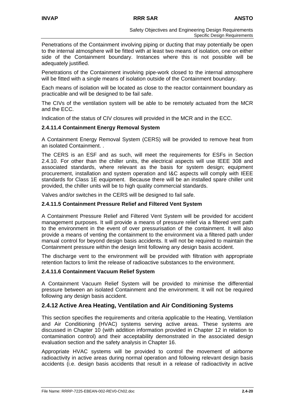Penetrations of the Containment involving piping or ducting that may potentially be open to the internal atmosphere will be fitted with at least two means of isolation, one on either side of the Containment boundary. Instances where this is not possible will be adequately justified.

Penetrations of the Containment involving pipe-work closed to the internal atmosphere will be fitted with a single means of isolation outside of the Containment boundary.

Each means of isolation will be located as close to the reactor containment boundary as practicable and will be designed to be fail safe.

The CIVs of the ventilation system will be able to be remotely actuated from the MCR and the ECC.

Indication of the status of CIV closures will provided in the MCR and in the ECC.

## **2.4.11.4 Containment Energy Removal System**

A Containment Energy Removal System (CERS) will be provided to remove heat from an isolated Containment. .

The CERS is an ESF and as such, will meet the requirements for ESFs in Section 2.4.10. For other than the chiller units, the electrical aspects will use IEEE 308 and associated standards, where relevant as the basis for system design; equipment procurement, installation and system operation and I&C aspects will comply with IEEE standards for Class 1E equipment. Because there will be an installed spare chiller unit provided, the chiller units will be to high quality commercial standards.

Valves and/or switches in the CERS will be designed to fail safe.

## **2.4.11.5 Containment Pressure Relief and Filtered Vent System**

A Containment Pressure Relief and Filtered Vent System will be provided for accident management purposes. It will provide a means of pressure relief via a filtered vent path to the environment in the event of over pressurisation of the containment. It will also provide a means of venting the containment to the environment via a filtered path under manual control for beyond design basis accidents. It will not be required to maintain the Containment pressure within the design limit following any design basis accident.

The discharge vent to the environment will be provided with filtration with appropriate retention factors to limit the release of radioactive substances to the environment.

## **2.4.11.6 Containment Vacuum Relief System**

A Containment Vacuum Relief System will be provided to minimise the differential pressure between an isolated Containment and the environment. It will not be required following any design basis accident.

## **2.4.12 Active Area Heating, Ventilation and Air Conditioning Systems**

This section specifies the requirements and criteria applicable to the Heating, Ventilation and Air Conditioning (HVAC) systems serving active areas. These systems are discussed in Chapter 10 (with addition information provided in Chapter 12 in relation to contamination control) and their acceptability demonstrated in the associated design evaluation section and the safety analysis in Chapter 16.

Appropriate HVAC systems will be provided to control the movement of airborne radioactivity in active areas during normal operation and following relevant design basis accidents (i.e. design basis accidents that result in a release of radioactivity in active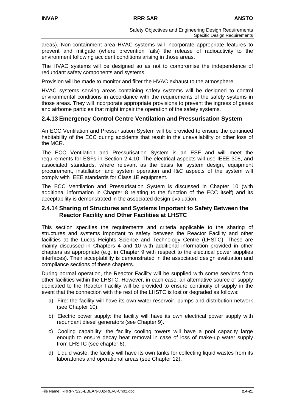areas). Non-containment area HVAC systems will incorporate appropriate features to prevent and mitigate (where prevention fails) the release of radioactivity to the environment following accident conditions arising in those areas.

The HVAC systems will be designed so as not to compromise the independence of redundant safety components and systems.

Provision will be made to monitor and filter the HVAC exhaust to the atmosphere.

HVAC systems serving areas containing safety systems will be designed to control environmental conditions in accordance with the requirements of the safety systems in those areas. They will incorporate appropriate provisions to prevent the ingress of gases and airborne particles that might impair the operation of the safety systems.

# **2.4.13 Emergency Control Centre Ventilation and Pressurisation System**

An ECC Ventilation and Pressurisation System will be provided to ensure the continued habitability of the ECC during accidents that result in the unavailability or other loss of the MCR.

The ECC Ventilation and Pressurisation System is an ESF and will meet the requirements for ESFs in Section 2.4.10. The electrical aspects will use IEEE 308, and associated standards, where relevant as the basis for system design, equipment procurement, installation and system operation and I&C aspects of the system will comply with IEEE standards for Class 1E equipment.

The ECC Ventilation and Pressurisation System is discussed in Chapter 10 (with additional information in Chapter 8 relating to the function of the ECC itself) and its acceptability is demonstrated in the associated design evaluation.

## **2.4.14 Sharing of Structures and Systems Important to Safety Between the Reactor Facility and Other Facilities at LHSTC**

This section specifies the requirements and criteria applicable to the sharing of structures and systems important to safety between the Reactor Facility and other facilities at the Lucas Heights Science and Technology Centre (LHSTC). These are mainly discussed in Chapters 4 and 10 with additional information provided in other chapters as appropriate (e.g. in Chapter 9 with respect to the electrical power supplies interfaces). Their acceptability is demonstrated in the associated design evaluation and compliance sections of these chapters.

During normal operation, the Reactor Facility will be supplied with some services from other facilities within the LHSTC. However, in each case, an alternative source of supply dedicated to the Reactor Facility will be provided to ensure continuity of supply in the event that the connection with the rest of the LHSTC is lost or degraded as follows:

- a) Fire: the facility will have its own water reservoir, pumps and distribution network (see Chapter 10).
- b) Electric power supply: the facility will have its own electrical power supply with redundant diesel generators (see Chapter 9).
- c) Cooling capability: the facility cooling towers will have a pool capacity large enough to ensure decay heat removal in case of loss of make-up water supply from LHSTC (see chapter 6).
- d) Liquid waste: the facility will have its own tanks for collecting liquid wastes from its laboratories and operational areas (see Chapter 12).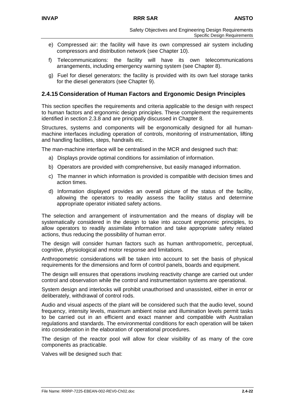- e) Compressed air: the facility will have its own compressed air system including compressors and distribution network (see Chapter 10).
- f) Telecommunications: the facility will have its own telecommunications arrangements, including emergency warning system (see Chapter 8).
- g) Fuel for diesel generators: the facility is provided with its own fuel storage tanks for the diesel generators (see Chapter 9).

## **2.4.15 Consideration of Human Factors and Ergonomic Design Principles**

This section specifies the requirements and criteria applicable to the design with respect to human factors and ergonomic design principles. These complement the requirements identified in section 2.3.8 and are principally discussed in Chapter 8.

Structures, systems and components will be ergonomically designed for all humanmachine interfaces including operation of controls, monitoring of instrumentation, lifting and handling facilities, steps, handrails etc.

The man-machine interface will be centralised in the MCR and designed such that:

- a) Displays provide optimal conditions for assimilation of information.
- b) Operators are provided with comprehensive, but easily managed information.
- c) The manner in which information is provided is compatible with decision times and action times.
- d) Information displayed provides an overall picture of the status of the facility, allowing the operators to readily assess the facility status and determine appropriate operator initiated safety actions.

The selection and arrangement of instrumentation and the means of display will be systematically considered in the design to take into account ergonomic principles, to allow operators to readily assimilate information and take appropriate safety related actions, thus reducing the possibility of human error.

The design will consider human factors such as human anthropometric, perceptual, cognitive, physiological and motor response and limitations.

Anthropometric considerations will be taken into account to set the basis of physical requirements for the dimensions and form of control panels, boards and equipment.

The design will ensures that operations involving reactivity change are carried out under control and observation while the control and instrumentation systems are operational.

System design and interlocks will prohibit unauthorised and unassisted, either in error or deliberately, withdrawal of control rods.

Audio and visual aspects of the plant will be considered such that the audio level, sound frequency, intensity levels, maximum ambient noise and illumination levels permit tasks to be carried out in an efficient and exact manner and compatible with Australian regulations and standards. The environmental conditions for each operation will be taken into consideration in the elaboration of operational procedures.

The design of the reactor pool will allow for clear visibility of as many of the core components as practicable.

Valves will be designed such that: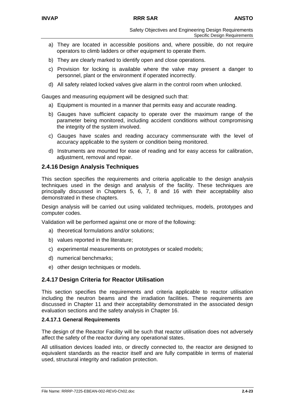- a) They are located in accessible positions and, where possible, do not require operators to climb ladders or other equipment to operate them.
- b) They are clearly marked to identify open and close operations.
- c) Provision for locking is available where the valve may present a danger to personnel, plant or the environment if operated incorrectly.
- d) All safety related locked valves give alarm in the control room when unlocked.

Gauges and measuring equipment will be designed such that:

- a) Equipment is mounted in a manner that permits easy and accurate reading.
- b) Gauges have sufficient capacity to operate over the maximum range of the parameter being monitored, including accident conditions without compromising the integrity of the system involved.
- c) Gauges have scales and reading accuracy commensurate with the level of accuracy applicable to the system or condition being monitored.
- d) Instruments are mounted for ease of reading and for easy access for calibration, adjustment, removal and repair.

## **2.4.16 Design Analysis Techniques**

This section specifies the requirements and criteria applicable to the design analysis techniques used in the design and analysis of the facility. These techniques are principally discussed in Chapters 5, 6, 7, 8 and 16 with their acceptability also demonstrated in these chapters.

Design analysis will be carried out using validated techniques, models, prototypes and computer codes.

Validation will be performed against one or more of the following:

- a) theoretical formulations and/or solutions;
- b) values reported in the literature;
- c) experimental measurements on prototypes or scaled models;
- d) numerical benchmarks;
- e) other design techniques or models.

## **2.4.17 Design Criteria for Reactor Utilisation**

This section specifies the requirements and criteria applicable to reactor utilisation including the neutron beams and the irradiation facilities. These requirements are discussed in Chapter 11 and their acceptability demonstrated in the associated design evaluation sections and the safety analysis in Chapter 16.

### **2.4.17.1 General Requirements**

The design of the Reactor Facility will be such that reactor utilisation does not adversely affect the safety of the reactor during any operational states.

All utilisation devices loaded into, or directly connected to, the reactor are designed to equivalent standards as the reactor itself and are fully compatible in terms of material used, structural integrity and radiation protection.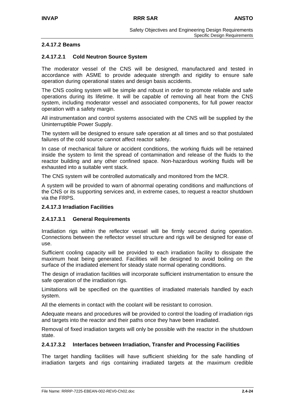## **2.4.17.2 Beams**

## **2.4.17.2.1 Cold Neutron Source System**

The moderator vessel of the CNS will be designed, manufactured and tested in accordance with ASME to provide adequate strength and rigidity to ensure safe operation during operational states and design basis accidents.

The CNS cooling system will be simple and robust in order to promote reliable and safe operations during its lifetime. It will be capable of removing all heat from the CNS system, including moderator vessel and associated components, for full power reactor operation with a safety margin.

All instrumentation and control systems associated with the CNS will be supplied by the Uninterruptible Power Supply.

The system will be designed to ensure safe operation at all times and so that postulated failures of the cold source cannot affect reactor safety.

In case of mechanical failure or accident conditions, the working fluids will be retained inside the system to limit the spread of contamination and release of the fluids to the reactor building and any other confined space. Non-hazardous working fluids will be exhausted into a suitable vent stack.

The CNS system will be controlled automatically and monitored from the MCR.

A system will be provided to warn of abnormal operating conditions and malfunctions of the CNS or its supporting services and, in extreme cases, to request a reactor shutdown via the FRPS.

#### **2.4.17.3 Irradiation Facilities**

## **2.4.17.3.1 General Requirements**

Irradiation rigs within the reflector vessel will be firmly secured during operation. Connections between the reflector vessel structure and rigs will be designed for ease of use.

Sufficient cooling capacity will be provided to each irradiation facility to dissipate the maximum heat being generated. Facilities will be designed to avoid boiling on the surface of the irradiated element for steady state normal operating conditions.

The design of irradiation facilities will incorporate sufficient instrumentation to ensure the safe operation of the irradiation rigs.

Limitations will be specified on the quantities of irradiated materials handled by each system.

All the elements in contact with the coolant will be resistant to corrosion.

Adequate means and procedures will be provided to control the loading of irradiation rigs and targets into the reactor and their paths once they have been irradiated.

Removal of fixed irradiation targets will only be possible with the reactor in the shutdown state.

#### **2.4.17.3.2 Interfaces between Irradiation, Transfer and Processing Facilities**

The target handling facilities will have sufficient shielding for the safe handling of irradiation targets and rigs containing irradiated targets at the maximum credible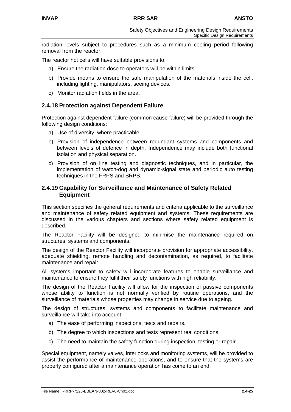radiation levels subject to procedures such as a minimum cooling period following removal from the reactor.

The reactor hot cells will have suitable provisions to:

- a) Ensure the radiation dose to operators will be within limits.
- b) Provide means to ensure the safe manipulation of the materials inside the cell, including lighting, manipulators, seeing devices.
- c) Monitor radiation fields in the area.

## **2.4.18 Protection against Dependent Failure**

Protection against dependent failure (common cause failure) will be provided through the following design conditions:

- a) Use of diversity, where practicable.
- b) Provision of independence between redundant systems and components and between levels of defence in depth. Independence may include both functional isolation and physical separation.
- c) Provision of on line testing and diagnostic techniques, and in particular, the implementation of watch-dog and dynamic-signal state and periodic auto testing techniques in the FRPS and SRPS.

### **2.4.19 Capability for Surveillance and Maintenance of Safety Related Equipment**

This section specifies the general requirements and criteria applicable to the surveillance and maintenance of safety related equipment and systems. These requirements are discussed in the various chapters and sections where safety related equipment is described.

The Reactor Facility will be designed to minimise the maintenance required on structures, systems and components.

The design of the Reactor Facility will incorporate provision for appropriate accessibility, adequate shielding, remote handling and decontamination, as required, to facilitate maintenance and repair.

All systems important to safety will incorporate features to enable surveillance and maintenance to ensure they fulfil their safety functions with high reliability.

The design of the Reactor Facility will allow for the inspection of passive components whose ability to function is not normally verified by routine operations, and the surveillance of materials whose properties may change in service due to ageing.

The design of structures, systems and components to facilitate maintenance and surveillance will take into account:

- a) The ease of performing inspections, tests and repairs.
- b) The degree to which inspections and tests represent real conditions.
- c) The need to maintain the safety function during inspection, testing or repair.

Special equipment, namely valves, interlocks and monitoring systems, will be provided to assist the performance of maintenance operations, and to ensure that the systems are properly configured after a maintenance operation has come to an end.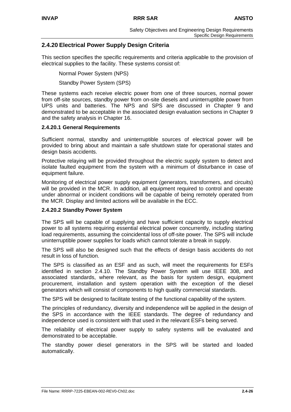# **2.4.20 Electrical Power Supply Design Criteria**

This section specifies the specific requirements and criteria applicable to the provision of electrical supplies to the facility. These systems consist of:

Normal Power System (NPS)

Standby Power System (SPS)

These systems each receive electric power from one of three sources, normal power from off-site sources, standby power from on-site diesels and uninterruptible power from UPS units and batteries. The NPS and SPS are discussed in Chapter 9 and demonstrated to be acceptable in the associated design evaluation sections in Chapter 9 and the safety analysis in Chapter 16.

## **2.4.20.1 General Requirements**

Sufficient normal, standby and uninterruptible sources of electrical power will be provided to bring about and maintain a safe shutdown state for operational states and design basis accidents.

Protective relaying will be provided throughout the electric supply system to detect and isolate faulted equipment from the system with a minimum of disturbance in case of equipment failure.

Monitoring of electrical power supply equipment (generators, transformers, and circuits) will be provided in the MCR. In addition, all equipment required to control and operate under abnormal or incident conditions will be capable of being remotely operated from the MCR. Display and limited actions will be available in the ECC.

#### **2.4.20.2 Standby Power System**

The SPS will be capable of supplying and have sufficient capacity to supply electrical power to all systems requiring essential electrical power concurrently, including starting load requirements, assuming the coincidental loss of off-site power. The SPS will include uninterruptible power supplies for loads which cannot tolerate a break in supply.

The SPS will also be designed such that the effects of design basis accidents do not result in loss of function.

The SPS is classified as an ESF and as such, will meet the requirements for ESFs identified in section 2.4.10. The Standby Power System will use IEEE 308, and associated standards, where relevant, as the basis for system design, equipment procurement, installation and system operation with the exception of the diesel generators which will consist of components to high quality commercial standards.

The SPS will be designed to facilitate testing of the functional capability of the system.

The principles of redundancy, diversity and independence will be applied in the design of the SPS in accordance with the IEEE standards. The degree of redundancy and independence used is consistent with that used in the relevant ESFs being served.

The reliability of electrical power supply to safety systems will be evaluated and demonstrated to be acceptable.

The standby power diesel generators in the SPS will be started and loaded automatically.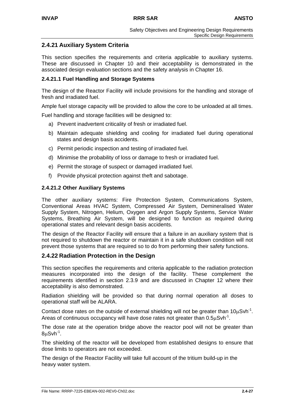# **2.4.21 Auxiliary System Criteria**

This section specifies the requirements and criteria applicable to auxiliary systems. These are discussed in Chapter 10 and their acceptability is demonstrated in the associated design evaluation sections and the safety analysis in Chapter 16.

## **2.4.21.1 Fuel Handling and Storage Systems**

The design of the Reactor Facility will include provisions for the handling and storage of fresh and irradiated fuel.

Ample fuel storage capacity will be provided to allow the core to be unloaded at all times.

Fuel handling and storage facilities will be designed to:

- a) Prevent inadvertent criticality of fresh or irradiated fuel.
- b) Maintain adequate shielding and cooling for irradiated fuel during operational states and design basis accidents.
- c) Permit periodic inspection and testing of irradiated fuel.
- d) Minimise the probability of loss or damage to fresh or irradiated fuel.
- e) Permit the storage of suspect or damaged irradiated fuel.
- f) Provide physical protection against theft and sabotage.

## **2.4.21.2 Other Auxiliary Systems**

The other auxiliary systems: Fire Protection System, Communications System, Conventional Areas HVAC System, Compressed Air System, Demineralised Water Supply System, Nitrogen, Helium, Oxygen and Argon Supply Systems, Service Water Systems, Breathing Air System, will be designed to function as required during operational states and relevant design basis accidents.

The design of the Reactor Facility will ensure that a failure in an auxiliary system that is not required to shutdown the reactor or maintain it in a safe shutdown condition will not prevent those systems that are required so to do from performing their safety functions.

## **2.4.22 Radiation Protection in the Design**

This section specifies the requirements and criteria applicable to the radiation protection measures incorporated into the design of the facility. These complement the requirements identified in section 2.3.9 and are discussed in Chapter 12 where their acceptability is also demonstrated.

Radiation shielding will be provided so that during normal operation all doses to operational staff will be ALARA.

Contact dose rates on the outside of external shielding will not be greater than  $10\mu Sv^{-1}$ . Areas of continuous occupancy will have dose rates not greater than  $0.5\mu Svh^{-1}$ .

The dose rate at the operation bridge above the reactor pool will not be greater than  $8uSvh^{-1}$ .

The shielding of the reactor will be developed from established designs to ensure that dose limits to operators are not exceeded.

The design of the Reactor Facility will take full account of the tritium build-up in the heavy water system.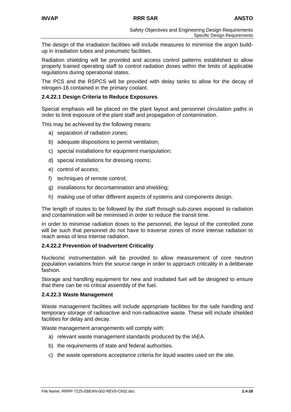The design of the irradiation facilities will include measures to minimise the argon buildup in irradiation tubes and pneumatic facilities.

Radiation shielding will be provided and access control patterns established to allow properly trained operating staff to control radiation doses within the limits of applicable regulations during operational states.

The PCS and the RSPCS will be provided with delay tanks to allow for the decay of nitrogen-16 contained in the primary coolant.

### **2.4.22.1 Design Criteria to Reduce Exposures**

Special emphasis will be placed on the plant layout and personnel circulation paths in order to limit exposure of the plant staff and propagation of contamination.

This may be achieved by the following means:

- a) separation of radiation zones;
- b) adequate dispositions to permit ventilation;
- c) special installations for equipment manipulation;
- d) special installations for dressing rooms;
- e) control of access;
- f) techniques of remote control;
- g) installations for decontamination and shielding;
- h) making use of other different aspects of systems and components design.

The length of routes to be followed by the staff through sub-zones exposed to radiation and contamination will be minimised in order to reduce the transit time.

In order to minimise radiation doses to the personnel, the layout of the controlled zone will be such that personnel do not have to traverse zones of more intense radiation to reach areas of less intense radiation.

#### **2.4.22.2 Prevention of Inadvertent Criticality**

Nucleonic instrumentation will be provided to allow measurement of core neutron population variations from the source range in order to approach criticality in a deliberate fashion.

Storage and handling equipment for new and irradiated fuel will be designed to ensure that there can be no critical assembly of the fuel.

#### **2.4.22.3 Waste Management**

Waste management facilities will include appropriate facilities for the safe handling and temporary storage of radioactive and non-radioactive waste. These will include shielded facilities for delay and decay.

Waste management arrangements will comply with:

- a) relevant waste management standards produced by the IAEA.
- b) the requirements of state and federal authorities.
- c) the waste operations acceptance criteria for liquid wastes used on the site.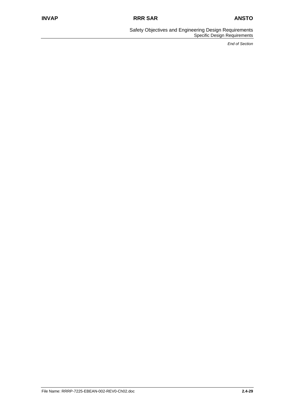Safety Objectives and Engineering Design Requirements Specific Design Requirements

*End of Section*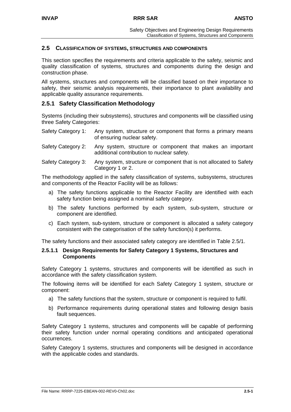## **2.5 CLASSIFICATION OF SYSTEMS, STRUCTURES AND COMPONENTS**

This section specifies the requirements and criteria applicable to the safety, seismic and quality classification of systems, structures and components during the design and construction phase.

All systems, structures and components will be classified based on their importance to safety, their seismic analysis requirements, their importance to plant availability and applicable quality assurance requirements.

## **2.5.1 Safety Classification Methodology**

Systems (including their subsystems), structures and components will be classified using three Safety Categories:

| Safety Category 1: Any system, structure or component that forms a primary means |
|----------------------------------------------------------------------------------|
| of ensuring nuclear safety.                                                      |

- Safety Category 2: Any system, structure or component that makes an important additional contribution to nuclear safety.
- Safety Category 3: Any system, structure or component that is not allocated to Safety Category 1 or 2.

The methodology applied in the safety classification of systems, subsystems, structures and components of the Reactor Facility will be as follows:

- a) The safety functions applicable to the Reactor Facility are identified with each safety function being assigned a nominal safety category.
- b) The safety functions performed by each system, sub-system, structure or component are identified.
- c) Each system, sub-system, structure or component is allocated a safety category consistent with the categorisation of the safety function(s) it performs.

The safety functions and their associated safety category are identified in Table 2.5/1.

#### **2.5.1.1 Design Requirements for Safety Category 1 Systems, Structures and Components**

Safety Category 1 systems, structures and components will be identified as such in accordance with the safety classification system.

The following items will be identified for each Safety Category 1 system, structure or component:

- a) The safety functions that the system, structure or component is required to fulfil.
- b) Performance requirements during operational states and following design basis fault sequences.

Safety Category 1 systems, structures and components will be capable of performing their safety function under normal operating conditions and anticipated operational occurrences.

Safety Category 1 systems, structures and components will be designed in accordance with the applicable codes and standards.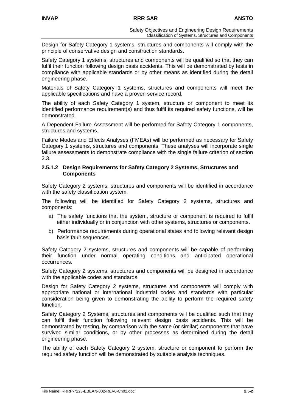Design for Safety Category 1 systems, structures and components will comply with the principle of conservative design and construction standards.

Safety Category 1 systems, structures and components will be qualified so that they can fulfil their function following design basis accidents. This will be demonstrated by tests in compliance with applicable standards or by other means as identified during the detail engineering phase.

Materials of Safety Category 1 systems, structures and components will meet the applicable specifications and have a proven service record.

The ability of each Safety Category 1 system, structure or component to meet its identified performance requirement(s) and thus fulfil its required safety functions, will be demonstrated.

A Dependent Failure Assessment will be performed for Safety Category 1 components, structures and systems.

Failure Modes and Effects Analyses (FMEAs) will be performed as necessary for Safety Category 1 systems, structures and components. These analyses will incorporate single failure assessments to demonstrate compliance with the single failure criterion of section 2.3.

#### **2.5.1.2 Design Requirements for Safety Category 2 Systems, Structures and Components**

Safety Category 2 systems, structures and components will be identified in accordance with the safety classification system.

The following will be identified for Safety Category 2 systems, structures and components:

- a) The safety functions that the system, structure or component is required to fulfil either individually or in conjunction with other systems, structures or components.
- b) Performance requirements during operational states and following relevant design basis fault sequences.

Safety Category 2 systems, structures and components will be capable of performing their function under normal operating conditions and anticipated operational occurrences.

Safety Category 2 systems, structures and components will be designed in accordance with the applicable codes and standards.

Design for Safety Category 2 systems, structures and components will comply with appropriate national or international industrial codes and standards with particular consideration being given to demonstrating the ability to perform the required safety function.

Safety Category 2 Systems, structures and components will be qualified such that they can fulfil their function following relevant design basis accidents. This will be demonstrated by testing, by comparison with the same (or similar) components that have survived similar conditions, or by other processes as determined during the detail engineering phase.

The ability of each Safety Category 2 system, structure or component to perform the required safety function will be demonstrated by suitable analysis techniques.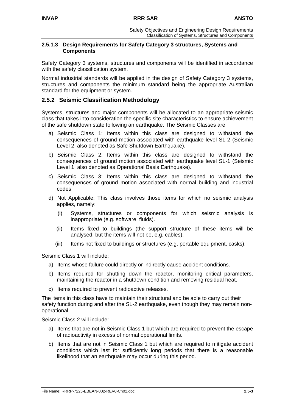### **2.5.1.3 Design Requirements for Safety Category 3 structures, Systems and Components**

Safety Category 3 systems, structures and components will be identified in accordance with the safety classification system.

Normal industrial standards will be applied in the design of Safety Category 3 systems, structures and components the minimum standard being the appropriate Australian standard for the equipment or system.

## **2.5.2 Seismic Classification Methodology**

Systems, structures and major components will be allocated to an appropriate seismic class that takes into consideration the specific site characteristics to ensure achievement of the safe shutdown state following an earthquake. The Seismic Classes are:

- a) Seismic Class 1: Items within this class are designed to withstand the consequences of ground motion associated with earthquake level SL-2 (Seismic Level 2, also denoted as Safe Shutdown Earthquake).
- b) Seismic Class 2: Items within this class are designed to withstand the consequences of ground motion associated with earthquake level SL-1 (Seismic Level 1, also denoted as Operational Basis Earthquake).
- c) Seismic Class 3: Items within this class are designed to withstand the consequences of ground motion associated with normal building and industrial codes.
- d) Not Applicable: This class involves those items for which no seismic analysis applies, namely:
	- (i) Systems, structures or components for which seismic analysis is inappropriate (e.g. software, fluids).
	- (ii) Items fixed to buildings (the support structure of these items will be analysed, but the items will not be, e.g. cables).
	- (iii) Items not fixed to buildings or structures (e.g. portable equipment, casks).

Seismic Class 1 will include:

- a) Items whose failure could directly or indirectly cause accident conditions.
- b) Items required for shutting down the reactor, monitoring critical parameters, maintaining the reactor in a shutdown condition and removing residual heat.
- c) Items required to prevent radioactive releases.

The items in this class have to maintain their structural and be able to carry out their safety function during and after the SL-2 earthquake, even though they may remain nonoperational.

Seismic Class 2 will include:

- a) Items that are not in Seismic Class 1 but which are required to prevent the escape of radioactivity in excess of normal operational limits.
- b) Items that are not in Seismic Class 1 but which are required to mitigate accident conditions which last for sufficiently long periods that there is a reasonable likelihood that an earthquake may occur during this period.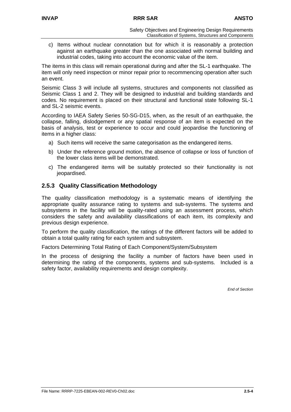c) Items without nuclear connotation but for which it is reasonably a protection against an earthquake greater than the one associated with normal building and industrial codes, taking into account the economic value of the item.

The items in this class will remain operational during and after the SL-1 earthquake. The item will only need inspection or minor repair prior to recommencing operation after such an event.

Seismic Class 3 will include all systems, structures and components not classified as Seismic Class 1 and 2. They will be designed to industrial and building standards and codes. No requirement is placed on their structural and functional state following SL-1 and SL-2 seismic events.

According to IAEA Safety Series 50-SG-D15, when, as the result of an earthquake, the collapse, falling, dislodgement or any spatial response of an item is expected on the basis of analysis, test or experience to occur and could jeopardise the functioning of items in a higher class:

- a) Such items will receive the same categorisation as the endangered items.
- b) Under the reference ground motion, the absence of collapse or loss of function of the lower class items will be demonstrated.
- c) The endangered items will be suitably protected so their functionality is not jeopardised.

# **2.5.3 Quality Classification Methodology**

The quality classification methodology is a systematic means of identifying the appropriate quality assurance rating to systems and sub-systems. The systems and subsystems in the facility will be quality-rated using an assessment process, which considers the safety and availability classifications of each item, its complexity and previous design experience.

To perform the quality classification, the ratings of the different factors will be added to obtain a total quality rating for each system and subsystem.

Factors Determining Total Rating of Each Component/System/Subsystem

In the process of designing the facility a number of factors have been used in determining the rating of the components, systems and sub-systems. Included is a safety factor, availability requirements and design complexity.

*End of Section*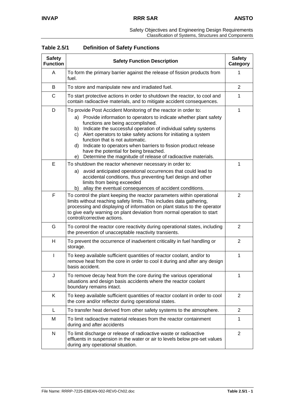|  |  | Safety Objectives and Engineering Design Requirements |
|--|--|-------------------------------------------------------|
|  |  | Classification of Systems, Structures and Components  |

| <b>Safety</b><br><b>Function</b> | <b>Safety Function Description</b>                                                                                                                                                                                                                                                                                                                                                                                                                                                                                                             |                |
|----------------------------------|------------------------------------------------------------------------------------------------------------------------------------------------------------------------------------------------------------------------------------------------------------------------------------------------------------------------------------------------------------------------------------------------------------------------------------------------------------------------------------------------------------------------------------------------|----------------|
| A                                | To form the primary barrier against the release of fission products from<br>fuel.                                                                                                                                                                                                                                                                                                                                                                                                                                                              |                |
| B                                | To store and manipulate new and irradiated fuel.                                                                                                                                                                                                                                                                                                                                                                                                                                                                                               | 2              |
| C                                | To start protective actions in order to shutdown the reactor, to cool and<br>contain radioactive materials, and to mitigate accident consequences.                                                                                                                                                                                                                                                                                                                                                                                             | 1              |
| D                                | To provide Post Accident Monitoring of the reactor in order to:<br>a) Provide information to operators to indicate whether plant safety<br>functions are being accomplished.<br>b) Indicate the successful operation of individual safety systems<br>c) Alert operators to take safety actions for initiating a system<br>function that is not automatic.<br>d) Indicate to operators when barriers to fission product release<br>have the potential for being breached.<br>Determine the magnitude of release of radioactive materials.<br>e) | 1              |
| E                                | To shutdown the reactor whenever necessary in order to:<br>avoid anticipated operational occurrences that could lead to<br>a)<br>accidental conditions, thus preventing fuel design and other<br>limits from being exceeded<br>allay the eventual consequences of accident conditions.<br>b)                                                                                                                                                                                                                                                   | 1              |
| F                                | To control the plant keeping the reactor parameters within operational<br>limits without reaching safety limits. This includes data gathering,<br>processing and displaying of information on plant status to the operator<br>to give early warning on plant deviation from normal operation to start<br>control/corrective actions.                                                                                                                                                                                                           |                |
| G                                | To control the reactor core reactivity during operational states, including<br>the prevention of unacceptable reactivity transients.                                                                                                                                                                                                                                                                                                                                                                                                           | 2              |
| Н                                | To prevent the occurrence of inadvertent criticality in fuel handling or<br>storage.                                                                                                                                                                                                                                                                                                                                                                                                                                                           |                |
| $\mathbf{I}$                     | To keep available sufficient quantities of reactor coolant, and/or to<br>remove heat from the core in order to cool it during and after any design<br>basis accident.                                                                                                                                                                                                                                                                                                                                                                          |                |
| J                                | To remove decay heat from the core during the various operational<br>situations and design basis accidents where the reactor coolant<br>boundary remains intact.                                                                                                                                                                                                                                                                                                                                                                               | 1              |
| K                                | To keep available sufficient quantities of reactor coolant in order to cool<br>the core and/or reflector during operational states.                                                                                                                                                                                                                                                                                                                                                                                                            | 2              |
| L                                | To transfer heat derived from other safety systems to the atmosphere.                                                                                                                                                                                                                                                                                                                                                                                                                                                                          | 2              |
| М                                | To limit radioactive material releases from the reactor containment<br>during and after accidents                                                                                                                                                                                                                                                                                                                                                                                                                                              | 1              |
| ${\sf N}$                        | To limit discharge or release of radioactive waste or radioactive<br>effluents in suspension in the water or air to levels below pre-set values<br>during any operational situation.                                                                                                                                                                                                                                                                                                                                                           | $\overline{2}$ |

| <b>Table 2.5/1</b> | <b>Definition of Safety Functions</b> |  |
|--------------------|---------------------------------------|--|
|                    |                                       |  |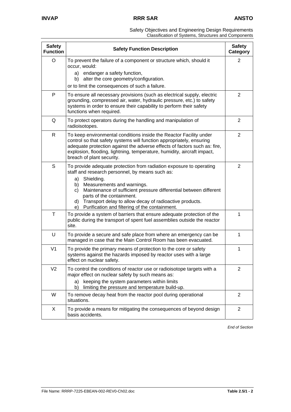| Safety Objectives and Engineering Design Requirements |
|-------------------------------------------------------|
| Classification of Systems, Structures and Components  |

| <b>Safety</b><br><b>Function</b> | <b>Safety Function Description</b>                                                                                                                                                                                                                                                                                                                                                                              | <b>Safety</b><br>Category |
|----------------------------------|-----------------------------------------------------------------------------------------------------------------------------------------------------------------------------------------------------------------------------------------------------------------------------------------------------------------------------------------------------------------------------------------------------------------|---------------------------|
| O                                | To prevent the failure of a component or structure which, should it<br>occur, would:<br>endanger a safety function,<br>a)<br>alter the core geometry/configuration.<br>b)<br>or to limit the consequences of such a failure.                                                                                                                                                                                    | 2                         |
| P                                | To ensure all necessary provisions (such as electrical supply, electric<br>grounding, compressed air, water, hydraulic pressure, etc.) to safety<br>systems in order to ensure their capability to perform their safety<br>functions when required.                                                                                                                                                             | 2                         |
| Q                                | To protect operators during the handling and manipulation of<br>radioisotopes.                                                                                                                                                                                                                                                                                                                                  | 2                         |
| R                                | To keep environmental conditions inside the Reactor Facility under<br>control so that safety systems will function appropriately, ensuring<br>adequate protection against the adverse effects of factors such as: fire,<br>explosion, flooding, lightning, temperature, humidity, aircraft impact,<br>breach of plant security.                                                                                 | 2                         |
| S                                | To provide adequate protection from radiation exposure to operating<br>staff and research personnel, by means such as:<br>Shielding.<br>a)<br>Measurements and warnings.<br>b)<br>Maintenance of sufficient pressure differential between different<br>C)<br>parts of the containment.<br>Transport delay to allow decay of radioactive products.<br>d)<br>Purification and filtering of the containment.<br>e) | 2                         |
| $\top$                           | To provide a system of barriers that ensure adequate protection of the<br>public during the transport of spent fuel assemblies outside the reactor<br>site.                                                                                                                                                                                                                                                     | 1                         |
| U                                | To provide a secure and safe place from where an emergency can be<br>managed in case that the Main Control Room has been evacuated.                                                                                                                                                                                                                                                                             | 1                         |
| V <sub>1</sub>                   | To provide the primary means of protection to the core or safety<br>systems against the hazards imposed by reactor uses with a large<br>effect on nuclear safety.                                                                                                                                                                                                                                               | 1                         |
| V <sub>2</sub>                   | To control the conditions of reactor use or radioisotope targets with a<br>major effect on nuclear safety by such means as:<br>keeping the system parameters within limits<br>a)<br>limiting the pressure and temperature build-up.<br>b)                                                                                                                                                                       | 2                         |
| W                                | To remove decay heat from the reactor pool during operational<br>situations.                                                                                                                                                                                                                                                                                                                                    | 2                         |
| X                                | To provide a means for mitigating the consequences of beyond design<br>basis accidents.                                                                                                                                                                                                                                                                                                                         | $\overline{2}$            |

*End of Section*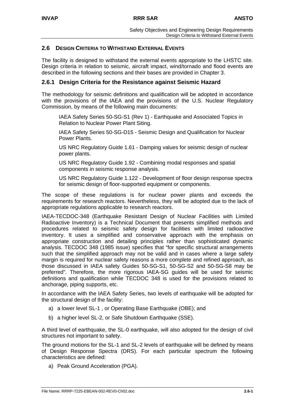# **2.6 DESIGN CRITERIA TO WITHSTAND EXTERNAL EVENTS**

The facility is designed to withstand the external events appropriate to the LHSTC site. Design criteria in relation to seismic, aircraft impact, wind/tornado and flood events are described in the following sections and their bases are provided in Chapter 3.

## **2.6.1 Design Criteria for the Resistance against Seismic Hazard**

The methodology for seismic definitions and qualification will be adopted in accordance with the provisions of the IAEA and the provisions of the U.S. Nuclear Regulatory Commission, by means of the following main documents:

IAEA Safety Series 50-SG-S1 (Rev 1) - Earthquake and Associated Topics in Relation to Nuclear Power Plant Siting.

IAEA Safety Series 50-SG-D15 - Seismic Design and Qualification for Nuclear Power Plants.

US NRC Regulatory Guide 1.61 - Damping values for seismic design of nuclear power plants.

US NRC Regulatory Guide 1.92 - Combining modal responses and spatial components in seismic response analysis.

US NRC Regulatory Guide 1.122 - Development of floor design response spectra for seismic design of floor-supported equipment or components.

The scope of these regulations is for nuclear power plants and exceeds the requirements for research reactors. Nevertheless, they will be adopted due to the lack of appropriate regulations applicable to research reactors.

IAEA-TECDOC-348 (Earthquake Resistant Design of Nuclear Facilities with Limited Radioactive Inventory) is a Technical Document that presents simplified methods and procedures related to seismic safety design for facilities with limited radioactive inventory. It uses a simplified and conservative approach with the emphasis on appropriate construction and detailing principles rather than sophisticated dynamic analysis. TECDOC 348 (1985 issue) specifies that "for specific structural arrangements such that the simplified approach may not be valid and in cases where a large safety margin is required for nuclear safety reasons a more complete and refined approach, as those discussed in IAEA safety Guides 50-SG-S1, 50-SG-S2 and 50-SG-S8 may be preferred". Therefore, the more rigorous IAEA-SG guides will be used for seismic definitions and qualification while TECDOC 348 is used for the provisions related to anchorage, piping supports, etc.

In accordance with the IAEA Safety Series, two levels of earthquake will be adopted for the structural design of the facility:

- a) a lower level SL-1 , or Operating Base Earthquake (OBE); and
- b) a higher level SL-2, or Safe Shutdown Earthquake (SSE).

A third level of earthquake, the SL-0 earthquake, will also adopted for the design of civil structures not important to safety.

The ground motions for the SL-1 and SL-2 levels of earthquake will be defined by means of Design Response Spectra (DRS). For each particular spectrum the following characteristics are defined:

a) Peak Ground Acceleration (PGA).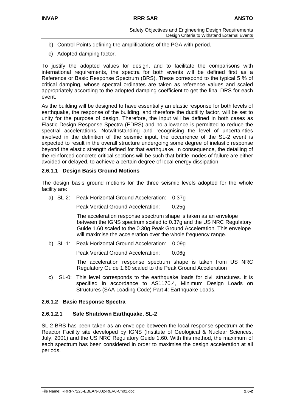- b) Control Points defining the amplifications of the PGA with period.
- c) Adopted damping factor.

To justify the adopted values for design, and to facilitate the comparisons with international requirements, the spectra for both events will be defined first as a Reference or Basic Response Spectrum (BRS). These correspond to the typical 5 % of critical damping, whose spectral ordinates are taken as reference values and scaled appropriately according to the adopted damping coefficient to get the final DRS for each event.

As the building will be designed to have essentially an elastic response for both levels of earthquake, the response of the building, and therefore the ductility factor, will be set to unity for the purpose of design. Therefore, the input will be defined in both cases as Elastic Design Response Spectra (EDRS) and no allowance is permitted to reduce the spectral accelerations. Notwithstanding and recognising the level of uncertainties involved in the definition of the seismic input, the occurrence of the SL-2 event is expected to result in the overall structure undergoing some degree of inelastic response beyond the elastic strength defined for that earthquake. In consequence, the detailing of the reinforced concrete critical sections will be such that brittle modes of failure are either avoided or delayed, to achieve a certain degree of local energy dissipation

## **2.6.1.1 Design Basis Ground Motions**

The design basis ground motions for the three seismic levels adopted for the whole facility are:

a) SL-2: Peak Horizontal Ground Acceleration: 0.37g

Peak Vertical Ground Acceleration: 0.25g

The acceleration response spectrum shape is taken as an envelope between the IGNS spectrum scaled to 0.37g and the US NRC Regulatory Guide 1.60 scaled to the 0.30g Peak Ground Acceleration. This envelope will maximise the acceleration over the whole frequency range.

b) SL-1: Peak Horizontal Ground Acceleration: 0.09g

Peak Vertical Ground Acceleration: 0.06g

The acceleration response spectrum shape is taken from US NRC Regulatory Guide 1.60 scaled to the Peak Ground Acceleration

c) SL-0: This level corresponds to the earthquake loads for civil structures. It is specified in accordance to AS1170.4, Minimum Design Loads on Structures (SAA Loading Code) Part 4: Earthquake Loads.

#### **2.6.1.2 Basic Response Spectra**

#### **2.6.1.2.1 Safe Shutdown Earthquake, SL-2**

SL-2 BRS has been taken as an envelope between the local response spectrum at the Reactor Facility site developed by IGNS (Institute of Geological & Nuclear Sciences, July, 2001) and the US NRC Regulatory Guide 1.60. With this method, the maximum of each spectrum has been considered in order to maximise the design acceleration at all periods.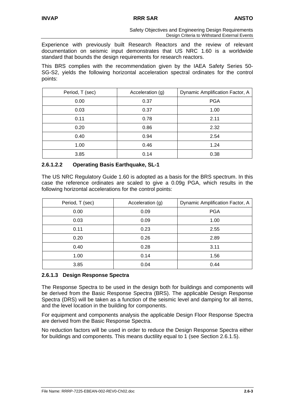Experience with previously built Research Reactors and the review of relevant documentation on seismic input demonstrates that US NRC 1.60 is a worldwide standard that bounds the design requirements for research reactors.

This BRS complies with the recommendation given by the IAEA Safety Series 50- SG-S2, yields the following horizontal acceleration spectral ordinates for the control points:

| Period, T (sec) | Acceleration (g) | Dynamic Amplification Factor, A |
|-----------------|------------------|---------------------------------|
| 0.00            | 0.37             | <b>PGA</b>                      |
| 0.03            | 0.37             | 1.00                            |
| 0.11            | 0.78             | 2.11                            |
| 0.20            | 0.86             | 2.32                            |
| 0.40            | 0.94             | 2.54                            |
| 1.00            | 0.46             | 1.24                            |
| 3.85            | 0.14             | 0.38                            |

## **2.6.1.2.2 Operating Basis Earthquake, SL-1**

The US NRC Regulatory Guide 1.60 is adopted as a basis for the BRS spectrum. In this case the reference ordinates are scaled to give a 0.09g PGA, which results in the following horizontal accelerations for the control points:

| Period, T (sec) | Acceleration (g) | Dynamic Amplification Factor, A |
|-----------------|------------------|---------------------------------|
| 0.00            | 0.09             | <b>PGA</b>                      |
| 0.03            | 0.09             | 1.00                            |
| 0.11            | 0.23             | 2.55                            |
| 0.20            | 0.26             | 2.89                            |
| 0.40            | 0.28             | 3.11                            |
| 1.00            | 0.14             | 1.56                            |
| 3.85            | 0.04             | 0.44                            |

## **2.6.1.3 Design Response Spectra**

The Response Spectra to be used in the design both for buildings and components will be derived from the Basic Response Spectra (BRS). The applicable Design Response Spectra (DRS) will be taken as a function of the seismic level and damping for all items, and the level location in the building for components.

For equipment and components analysis the applicable Design Floor Response Spectra are derived from the Basic Response Spectra.

No reduction factors will be used in order to reduce the Design Response Spectra either for buildings and components. This means ductility equal to 1 (see Section 2.6.1.5).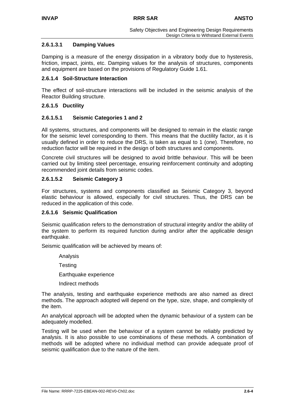## **2.6.1.3.1 Damping Values**

Damping is a measure of the energy dissipation in a vibratory body due to hysteresis, friction, impact, joints, etc. Damping values for the analysis of structures, components and equipment are based on the provisions of Regulatory Guide 1.61.

### **2.6.1.4 Soil-Structure Interaction**

The effect of soil-structure interactions will be included in the seismic analysis of the Reactor Building structure.

## **2.6.1.5 Ductility**

## **2.6.1.5.1 Seismic Categories 1 and 2**

All systems, structures, and components will be designed to remain in the elastic range for the seismic level corresponding to them. This means that the ductility factor, as it is usually defined in order to reduce the DRS, is taken as equal to 1 (one). Therefore, no reduction factor will be required in the design of both structures and components.

Concrete civil structures will be designed to avoid brittle behaviour. This will be been carried out by limiting steel percentage, ensuring reinforcement continuity and adopting recommended joint details from seismic codes.

## **2.6.1.5.2 Seismic Category 3**

For structures, systems and components classified as Seismic Category 3, beyond elastic behaviour is allowed, especially for civil structures. Thus, the DRS can be reduced in the application of this code.

#### **2.6.1.6 Seismic Qualification**

Seismic qualification refers to the demonstration of structural integrity and/or the ability of the system to perform its required function during and/or after the applicable design earthquake.

Seismic qualification will be achieved by means of:

Analysis

**Testing** 

Earthquake experience

Indirect methods

The analysis, testing and earthquake experience methods are also named as direct methods. The approach adopted will depend on the type, size, shape, and complexity of the item.

An analytical approach will be adopted when the dynamic behaviour of a system can be adequately modelled.

Testing will be used when the behaviour of a system cannot be reliably predicted by analysis. It is also possible to use combinations of these methods. A combination of methods will be adopted where no individual method can provide adequate proof of seismic qualification due to the nature of the item.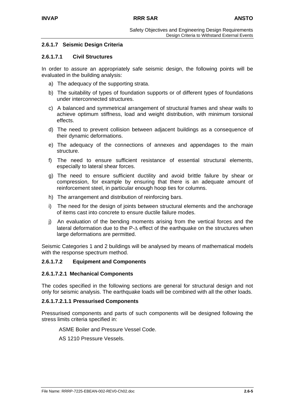## **2.6.1.7 Seismic Design Criteria**

#### **2.6.1.7.1 Civil Structures**

In order to assure an appropriately safe seismic design, the following points will be evaluated in the building analysis:

- a) The adequacy of the supporting strata.
- b) The suitability of types of foundation supports or of different types of foundations under interconnected structures.
- c) A balanced and symmetrical arrangement of structural frames and shear walls to achieve optimum stiffness, load and weight distribution, with minimum torsional effects.
- d) The need to prevent collision between adjacent buildings as a consequence of their dynamic deformations.
- e) The adequacy of the connections of annexes and appendages to the main structure.
- f) The need to ensure sufficient resistance of essential structural elements, especially to lateral shear forces.
- g) The need to ensure sufficient ductility and avoid brittle failure by shear or compression, for example by ensuring that there is an adequate amount of reinforcement steel, in particular enough hoop ties for columns.
- h) The arrangement and distribution of reinforcing bars.
- i) The need for the design of joints between structural elements and the anchorage of items cast into concrete to ensure ductile failure modes.
- j) An evaluation of the bending moments arising from the vertical forces and the lateral deformation due to the P-∆ effect of the earthquake on the structures when large deformations are permitted.

Seismic Categories 1 and 2 buildings will be analysed by means of mathematical models with the response spectrum method.

#### **2.6.1.7.2 Equipment and Components**

#### **2.6.1.7.2.1 Mechanical Components**

The codes specified in the following sections are general for structural design and not only for seismic analysis. The earthquake loads will be combined with all the other loads.

#### **2.6.1.7.2.1.1 Pressurised Components**

Pressurised components and parts of such components will be designed following the stress limits criteria specified in:

ASME Boiler and Pressure Vessel Code.

AS 1210 Pressure Vessels.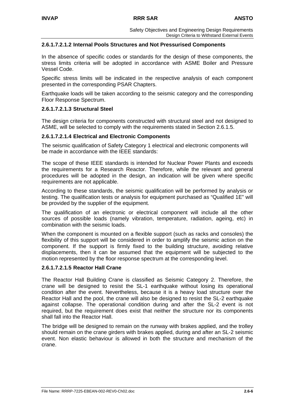## **2.6.1.7.2.1.2 Internal Pools Structures and Not Pressurised Components**

In the absence of specific codes or standards for the design of these components, the stress limits criteria will be adopted in accordance with ASME Boiler and Pressure Vessel Code.

Specific stress limits will be indicated in the respective analysis of each component presented in the corresponding PSAR Chapters.

Earthquake loads will be taken according to the seismic category and the corresponding Floor Response Spectrum.

#### **2.6.1.7.2.1.3 Structural Steel**

The design criteria for components constructed with structural steel and not designed to ASME, will be selected to comply with the requirements stated in Section 2.6.1.5.

#### **2.6.1.7.2.1.4 Electrical and Electronic Components**

The seismic qualification of Safety Category 1 electrical and electronic components will be made in accordance with the IEEE standards:

The scope of these IEEE standards is intended for Nuclear Power Plants and exceeds the requirements for a Research Reactor. Therefore, while the relevant and general procedures will be adopted in the design, an indication will be given where specific requirements are not applicable.

According to these standards, the seismic qualification will be performed by analysis or testing. The qualification tests or analysis for equipment purchased as "Qualified 1E" will be provided by the supplier of the equipment.

The qualification of an electronic or electrical component will include all the other sources of possible loads (namely vibration, temperature, radiation, ageing, etc) in combination with the seismic loads.

When the component is mounted on a flexible support (such as racks and consoles) the flexibility of this support will be considered in order to amplify the seismic action on the component. If the support is firmly fixed to the building structure, avoiding relative displacements, then it can be assumed that the equipment will be subjected to the motion represented by the floor response spectrum at the corresponding level.

#### **2.6.1.7.2.1.5 Reactor Hall Crane**

The Reactor Hall Building Crane is classified as Seismic Category 2. Therefore, the crane will be designed to resist the SL-1 earthquake without losing its operational condition after the event. Nevertheless, because it is a heavy load structure over the Reactor Hall and the pool, the crane will also be designed to resist the SL-2 earthquake against collapse. The operational condition during and after the SL-2 event is not required, but the requirement does exist that neither the structure nor its components shall fall into the Reactor Hall.

The bridge will be designed to remain on the runway with brakes applied, and the trolley should remain on the crane girders with brakes applied, during and after an SL-2 seismic event. Non elastic behaviour is allowed in both the structure and mechanism of the crane.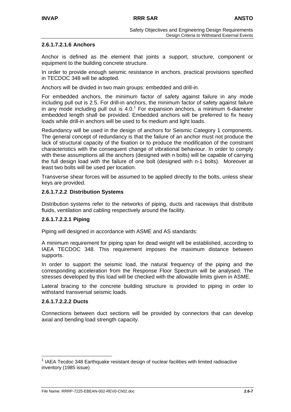## **2.6.1.7.2.1.6 Anchors**

Anchor is defined as the element that joints a support, structure, component or equipment to the building concrete structure.

In order to provide enough seismic resistance in anchors, practical provisions specified in TECDOC 348 will be adopted.

Anchors will be divided in two main groups: embedded and drill-in.

For embedded anchors, the minimum factor of safety against failure in any mode including pull out is 2.5. For drill-in anchors, the minimum factor of safety against failure in any mode including pull out is  $4.0<sup>1</sup>$  For expansion anchors, a minimum 6-diameter embedded length shall be provided. [Em](#page-58-0)bedded anchors will be preferred to fix heavy loads while drill-in anchors will be used to fix medium and light loads.

Redundancy will be used in the design of anchors for Seismic Category 1 components. The general concept of redundancy is that the failure of an anchor must not produce the lack of structural capacity of the fixation or to produce the modification of the constraint characteristics with the consequent change of vibrational behaviour. In order to comply with these assumptions all the anchors (designed with n bolts) will be capable of carrying the full design load with the failure of one bolt (designed with n-1 bolts). Moreover at least two bolts will be used per location.

Transverse shear forces will be assumed to be applied directly to the bolts, unless shear keys are provided.

## **2.6.1.7.2.2 Distribution Systems**

Distribution systems refer to the networks of piping, ducts and raceways that distribute fluids, ventilation and cabling respectively around the facility.

#### **2.6.1.7.2.2.1 Piping**

Piping will designed in accordance with ASME and AS standards:

A minimum requirement for piping span for dead weight will be established, according to IAEA TECDOC 348. This requirement imposes the maximum distance between supports.

In order to support the seismic load, the natural frequency of the piping and the corresponding acceleration from the Response Floor Spectrum will be analysed. The stresses developed by this load will be checked with the allowable limits given in ASME.

Lateral bracing to the concrete building structure is provided to piping in order to withstand transversal seismic loads.

#### **2.6.1.7.2.2.2 Ducts**

Connections between duct sections will be provided by connectors that can develop axial and bending load strength capacity.

<span id="page-58-0"></span> <sup>1</sup> IAEA Tecdoc 348 Earthquake resistant design of nuclear facilities with limited radioactive inventory (1985 issue)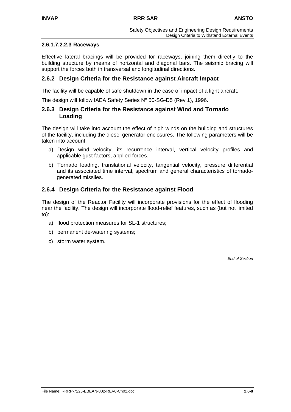## **2.6.1.7.2.2.3 Raceways**

Effective lateral bracings will be provided for raceways, joining them directly to the building structure by means of horizontal and diagonal bars. The seismic bracing will support the forces both in transversal and longitudinal directions.

# **2.6.2 Design Criteria for the Resistance against Aircraft Impact**

The facility will be capable of safe shutdown in the case of impact of a light aircraft.

The design will follow IAEA Safety Series Nº 50-SG-D5 (Rev 1), 1996.

## **2.6.3 Design Criteria for the Resistance against Wind and Tornado Loading**

The design will take into account the effect of high winds on the building and structures of the facility, including the diesel generator enclosures. The following parameters will be taken into account:

- a) Design wind velocity, its recurrence interval, vertical velocity profiles and applicable gust factors, applied forces.
- b) Tornado loading, translational velocity, tangential velocity, pressure differential and its associated time interval, spectrum and general characteristics of tornadogenerated missiles.

# **2.6.4 Design Criteria for the Resistance against Flood**

The design of the Reactor Facility will incorporate provisions for the effect of flooding near the facility. The design will incorporate flood-relief features, such as (but not limited to):

- a) flood protection measures for SL-1 structures;
- b) permanent de-watering systems;
- c) storm water system.

*End of Section*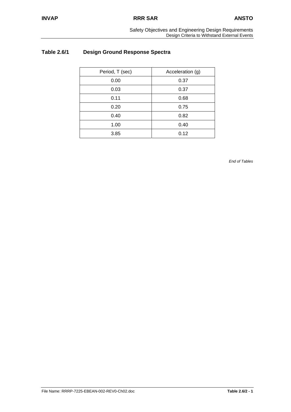# **Table 2.6/1 Design Ground Response Spectra**

| Period, T (sec) | Acceleration (g) |
|-----------------|------------------|
| 0.00            | 0.37             |
| 0.03            | 0.37             |
| 0.11            | 0.68             |
| 0.20            | 0.75             |
| 0.40            | 0.82             |
| 1.00            | 0.40             |
| 3.85            | 0.12             |

*End of Tables*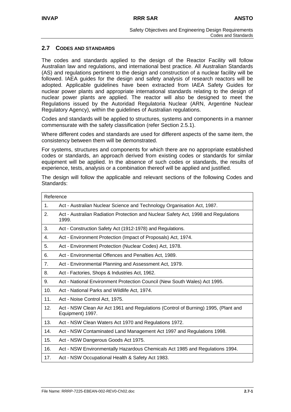## **2.7 CODES AND STANDARDS**

The codes and standards applied to the design of the Reactor Facility will follow Australian law and regulations, and international best practice. All Australian Standards (AS) and regulations pertinent to the design and construction of a nuclear facility will be followed. IAEA guides for the design and safety analysis of research reactors will be adopted. Applicable guidelines have been extracted from IAEA Safety Guides for nuclear power plants and appropriate international standards relating to the design of nuclear power plants are applied. The reactor will also be designed to meet the Regulations issued by the Autoridad Regulatoria Nuclear (ARN, Argentine Nuclear Regulatory Agency), within the guidelines of Australian regulations.

Codes and standards will be applied to structures, systems and components in a manner commensurate with the safety classification (refer Section 2.5.1).

Where different codes and standards are used for different aspects of the same item, the consistency between them will be demonstrated.

For systems, structures and components for which there are no appropriate established codes or standards, an approach derived from existing codes or standards for similar equipment will be applied. In the absence of such codes or standards, the results of experience, tests, analysis or a combination thereof will be applied and justified.

The design will follow the applicable and relevant sections of the following Codes and Standards:

| Reference |                                                                                                        |
|-----------|--------------------------------------------------------------------------------------------------------|
| 1.        | Act - Australian Nuclear Science and Technology Organisation Act, 1987.                                |
| 2.        | Act - Australian Radiation Protection and Nuclear Safety Act, 1998 and Regulations<br>1999.            |
| 3.        | Act - Construction Safety Act (1912-1978) and Regulations.                                             |
| 4.        | Act - Environment Protection (Impact of Proposals) Act, 1974.                                          |
| 5.        | Act - Environment Protection (Nuclear Codes) Act, 1978.                                                |
| 6.        | Act - Environmental Offences and Penalties Act, 1989.                                                  |
| 7.        | Act - Environmental Planning and Assessment Act, 1979.                                                 |
| 8.        | Act - Factories, Shops & Industries Act, 1962.                                                         |
| 9.        | Act - National Environment Protection Council (New South Wales) Act 1995.                              |
| 10.       | Act - National Parks and Wildlife Act, 1974.                                                           |
| 11.       | Act - Noise Control Act, 1975.                                                                         |
| 12.       | Act - NSW Clean Air Act 1961 and Regulations (Control of Burning) 1995, (Plant and<br>Equipment) 1997. |
| 13.       | Act - NSW Clean Waters Act 1970 and Regulations 1972.                                                  |
| 14.       | Act - NSW Contaminated Land Management Act 1997 and Regulations 1998.                                  |
| 15.       | Act - NSW Dangerous Goods Act 1975.                                                                    |
| 16.       | Act - NSW Environmentally Hazardous Chemicals Act 1985 and Regulations 1994.                           |
| 17.       | Act - NSW Occupational Health & Safety Act 1983.                                                       |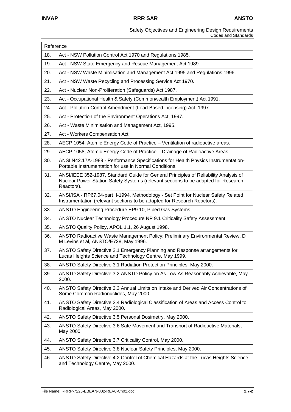| Safety Objectives and Engineering Design Requirements |                     |
|-------------------------------------------------------|---------------------|
|                                                       | Codes and Standards |

| Reference |                                                                                                                                                                                          |
|-----------|------------------------------------------------------------------------------------------------------------------------------------------------------------------------------------------|
| 18.       | Act - NSW Pollution Control Act 1970 and Regulations 1985.                                                                                                                               |
| 19.       | Act - NSW State Emergency and Rescue Management Act 1989.                                                                                                                                |
| 20.       | Act - NSW Waste Minimisation and Management Act 1995 and Regulations 1996.                                                                                                               |
| 21.       | Act - NSW Waste Recycling and Processing Service Act 1970.                                                                                                                               |
| 22.       | Act - Nuclear Non-Proliferation (Safeguards) Act 1987.                                                                                                                                   |
| 23.       | Act - Occupational Health & Safety (Commonwealth Employment) Act 1991.                                                                                                                   |
| 24.       | Act - Pollution Control Amendment (Load Based Licensing) Act, 1997.                                                                                                                      |
| 25.       | Act - Protection of the Environment Operations Act, 1997.                                                                                                                                |
| 26.       | Act - Waste Minimisation and Management Act, 1995.                                                                                                                                       |
| 27.       | Act - Workers Compensation Act.                                                                                                                                                          |
| 28.       | AECP 1054, Atomic Energy Code of Practice - Ventilation of radioactive areas.                                                                                                            |
| 29.       | AECP 1058, Atomic Energy Code of Practice - Drainage of Radioactive Areas.                                                                                                               |
| 30.       | ANSI N42.17A-1989 - Performance Specifications for Health Physics Instrumentation-<br>Portable Instrumentation for use in Normal Conditions.                                             |
| 31.       | ANSI/IEEE 352-1987, Standard Guide for General Principles of Reliability Analysis of<br>Nuclear Power Station Safety Systems (relevant sections to be adapted for Research<br>Reactors). |
| 32.       | ANSI/ISA - RP67.04-part II-1994, Methodology - Set Point for Nuclear Safety Related<br>Instrumentation (relevant sections to be adapted for Research Reactors).                          |
| 33.       | ANSTO Engineering Procedure EP9.10, Piped Gas Systems.                                                                                                                                   |
| 34.       | ANSTO Nuclear Technology Procedure NP 9.1 Criticality Safety Assessment.                                                                                                                 |
| 35.       | ANSTO Quality Policy, APOL 1.1, 26 August 1998.                                                                                                                                          |
| 36.       | ANSTO Radioactive Waste Management Policy: Preliminary Environmental Review, D<br>M Levins et al, ANSTO/E728, May 1996.                                                                  |
| 37.       | ANSTO Safety Directive 2.1 Emergency Planning and Response arrangements for<br>Lucas Heights Science and Technology Centre, May 1999.                                                    |
| 38.       | ANSTO Safety Directive 3.1 Radiation Protection Principles, May 2000.                                                                                                                    |
| 39.       | ANSTO Safety Directive 3.2 ANSTO Policy on As Low As Reasonably Achievable, May<br>2000.                                                                                                 |
| 40.       | ANSTO Safety Directive 3.3 Annual Limits on Intake and Derived Air Concentrations of<br>Some Common Radionuclides, May 2000.                                                             |
| 41.       | ANSTO Safety Directive 3.4 Radiological Classification of Areas and Access Control to<br>Radiological Areas, May 2000.                                                                   |
| 42.       | ANSTO Safety Directive 3.5 Personal Dosimetry, May 2000.                                                                                                                                 |
| 43.       | ANSTO Safety Directive 3.6 Safe Movement and Transport of Radioactive Materials,<br>May 2000.                                                                                            |
| 44.       | ANSTO Safety Directive 3.7 Criticality Control, May 2000.                                                                                                                                |
| 45.       | ANSTO Safety Directive 3.8 Nuclear Safety Principles, May 2000.                                                                                                                          |
| 46.       | ANSTO Safety Directive 4.2 Control of Chemical Hazards at the Lucas Heights Science<br>and Technology Centre, May 2000.                                                                  |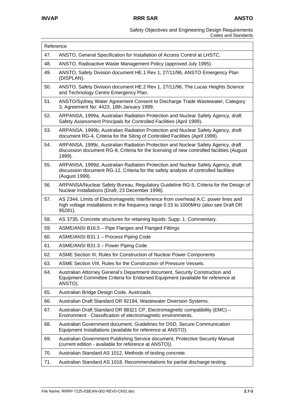| Reference |                                                                                                                                                                                            |
|-----------|--------------------------------------------------------------------------------------------------------------------------------------------------------------------------------------------|
| 47.       | ANSTO, General Specification for Installation of Access Control at LHSTC.                                                                                                                  |
| 48.       | ANSTO, Radioactive Waste Management Policy (approved July 1995).                                                                                                                           |
| 49.       | ANSTO, Safety Division document HE.1 Rev 1, 27/11/96, ANSTO Emergency Plan<br>(DISPLAN).                                                                                                   |
| 50.       | ANSTO, Safety Division document HE.2 Rev 1, 27/11/96, The Lucas Heights Science<br>and Technology Centre Emergency Plan.                                                                   |
| 51.       | ANSTO/Sydney Water Agreement Consent to Discharge Trade Wastewater, Category<br>3, Agreement No: 4423, 18th January 1999.                                                                  |
| 52.       | ARPANSA, 1999a, Australian Radiation Protection and Nuclear Safety Agency, draft<br>Safety Assessment Principals for Controlled Facilities (April 1999).                                   |
| 53.       | ARPANSA, 1999b, Australian Radiation Protection and Nuclear Safety Agency, draft<br>document RG-4, Criteria for the Siting of Controlled Facilities (April 1999).                          |
| 54.       | ARPANSA, 1999c, Australian Radiation Protection and Nuclear Safety Agency, draft<br>discussion document RG-8, Criteria for the licensing of new controlled facilities (August<br>1999).    |
| 55.       | ARPANSA, 1999d, Australian Radiation Protection and Nuclear Safety Agency, draft<br>discussion document RG-12, Criteria for the safety analysis of controlled facilities<br>(August 1999). |
| 56.       | ARPANSA/Nuclear Safety Bureau, Regulatory Guideline RG-5, Criteria for the Design of<br>Nuclear Installations (Draft, 23 December 1998).                                                   |
| 57.       | AS 2344, Limits of Electromagnetic Interference from overhead A.C. power lines and<br>high voltage installations in the frequency range 0.15 to 1000MHz (also see Draft DR<br>95281).      |
| 58.       | AS 3735, Concrete structures for retaining liquids: Supp. 1: Commentary.                                                                                                                   |
| 59.       | ASME/ANSI B16.5 - Pipe Flanges and Flanged Fittings                                                                                                                                        |
| 60.       | ASME/ANSI B31.1 - Process Piping Code                                                                                                                                                      |
| 61.       | ASME/ANSI B31.3 - Power Piping Code                                                                                                                                                        |
| 62.       | ASME Section III, Rules for Construction of Nuclear Power Components                                                                                                                       |
| 63.       | ASME Section VIII, Rules for the Construction of Pressure Vessels.                                                                                                                         |
| 64.       | Australian Attorney General's Department document, Security Construction and<br>Equipment Committee Criteria for Endorsed Equipment (available for reference at<br>ANSTO).                 |
| 65.       | Australian Bridge Design Code, Austroads.                                                                                                                                                  |
| 66.       | Australian Draft Standard DR 92194, Wastewater Diversion Systems.                                                                                                                          |
| 67.       | Australian Draft Standard DR 98321 CP, Electromagnetic compatibility (EMC) -<br>Environment - Classification of electromagnetic environments.                                              |
| 68.       | Australian Government document, Guidelines for DSD, Secure Communication<br>Equipment Installations (available for reference at ANSTO).                                                    |
| 69.       | Australian Government Publishing Service document, Protective Security Manual<br>(current edition - available for reference at ANSTO)).                                                    |
| 70.       | Australian Standard AS 1012, Methods of testing concrete.                                                                                                                                  |
| 71.       | Australian Standard AS 1018, Recommendations for partial discharge testing.                                                                                                                |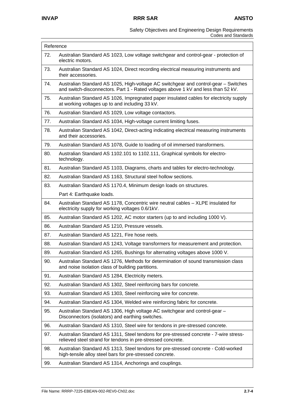| Reference |                                                                                                                                                                          |
|-----------|--------------------------------------------------------------------------------------------------------------------------------------------------------------------------|
| 72.       | Australian Standard AS 1023, Low voltage switchgear and control-gear - protection of<br>electric motors.                                                                 |
| 73.       | Australian Standard AS 1024, Direct recording electrical measuring instruments and<br>their accessories.                                                                 |
| 74.       | Australian Standard AS 1025, High-voltage AC switchgear and control-gear - Switches<br>and switch-disconnectors. Part 1 - Rated voltages above 1 kV and less than 52 kV. |
| 75.       | Australian Standard AS 1026, Impregnated paper insulated cables for electricity supply<br>at working voltages up to and including 33 kV.                                 |
| 76.       | Australian Standard AS 1029, Low voltage contactors.                                                                                                                     |
| 77.       | Australian Standard AS 1034, High-voltage current limiting fuses.                                                                                                        |
| 78.       | Australian Standard AS 1042, Direct-acting indicating electrical measuring instruments<br>and their accessories.                                                         |
| 79.       | Australian Standard AS 1078, Guide to loading of oil immersed transformers.                                                                                              |
| 80.       | Australian Standard AS 1102.101 to 1102.111, Graphical symbols for electro-<br>technology.                                                                               |
| 81.       | Australian Standard AS 1103, Diagrams, charts and tables for electro-technology.                                                                                         |
| 82.       | Australian Standard AS 1163, Structural steel hollow sections.                                                                                                           |
| 83.       | Australian Standard AS 1170.4, Minimum design loads on structures.                                                                                                       |
|           | Part 4: Earthquake loads.                                                                                                                                                |
| 84.       | Australian Standard AS 1178, Concentric wire neutral cables - XLPE insulated for<br>electricity supply for working voltages 0.6/1kV.                                     |
| 85.       | Australian Standard AS 1202, AC motor starters (up to and including 1000 V).                                                                                             |
| 86.       | Australian Standard AS 1210, Pressure vessels.                                                                                                                           |
| 87.       | Australian Standard AS 1221, Fire hose reels.                                                                                                                            |
| 88.       | Australian Standard AS 1243, Voltage transformers for measurement and protection.                                                                                        |
| 89.       | Australian Standard AS 1265, Bushings for alternating voltages above 1000 V.                                                                                             |
| 90.       | Australian Standard AS 1276, Methods for determination of sound transmission class<br>and noise isolation class of building partitions.                                  |
| 91.       | Australian Standard AS 1284, Electricity meters.                                                                                                                         |
| 92.       | Australian Standard AS 1302, Steel reinforcing bars for concrete.                                                                                                        |
| 93.       | Australian Standard AS 1303, Steel reinforcing wire for concrete.                                                                                                        |
| 94.       | Australian Standard AS 1304, Welded wire reinforcing fabric for concrete.                                                                                                |
| 95.       | Australian Standard AS 1306, High voltage AC switchgear and control-gear -<br>Disconnectors (isolators) and earthing switches.                                           |
| 96.       | Australian Standard AS 1310, Steel wire for tendons in pre-stressed concrete.                                                                                            |
| 97.       | Australian Standard AS 1311, Steel tendons for pre-stressed concrete - 7-wire stress-<br>relieved steel strand for tendons in pre-stressed concrete.                     |
| 98.       | Australian Standard AS 1313, Steel tendons for pre-stressed concrete - Cold-worked<br>high-tensile alloy steel bars for pre-stressed concrete.                           |
| 99.       | Australian Standard AS 1314, Anchorings and couplings.                                                                                                                   |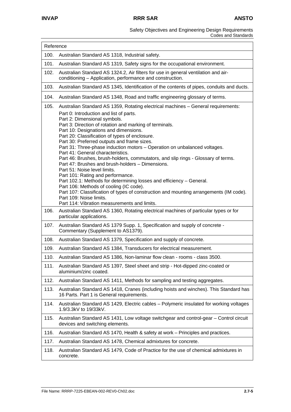| Reference |                                                                                                                                                                                                                                                                                                                                                                                                                                                                                                                                                                                                                                                                                                                                                                                                                                                                                                      |
|-----------|------------------------------------------------------------------------------------------------------------------------------------------------------------------------------------------------------------------------------------------------------------------------------------------------------------------------------------------------------------------------------------------------------------------------------------------------------------------------------------------------------------------------------------------------------------------------------------------------------------------------------------------------------------------------------------------------------------------------------------------------------------------------------------------------------------------------------------------------------------------------------------------------------|
| 100.      | Australian Standard AS 1318, Industrial safety.                                                                                                                                                                                                                                                                                                                                                                                                                                                                                                                                                                                                                                                                                                                                                                                                                                                      |
| 101.      | Australian Standard AS 1319, Safety signs for the occupational environment.                                                                                                                                                                                                                                                                                                                                                                                                                                                                                                                                                                                                                                                                                                                                                                                                                          |
| 102.      | Australian Standard AS 1324.2, Air filters for use in general ventilation and air-<br>conditioning - Application, performance and construction.                                                                                                                                                                                                                                                                                                                                                                                                                                                                                                                                                                                                                                                                                                                                                      |
| 103.      | Australian Standard AS 1345, Identification of the contents of pipes, conduits and ducts.                                                                                                                                                                                                                                                                                                                                                                                                                                                                                                                                                                                                                                                                                                                                                                                                            |
| 104.      | Australian Standard AS 1348, Road and traffic engineering glossary of terms.                                                                                                                                                                                                                                                                                                                                                                                                                                                                                                                                                                                                                                                                                                                                                                                                                         |
| 105.      | Australian Standard AS 1359, Rotating electrical machines - General requirements:                                                                                                                                                                                                                                                                                                                                                                                                                                                                                                                                                                                                                                                                                                                                                                                                                    |
|           | Part 0: Introduction and list of parts.<br>Part 2: Dimensional symbols.<br>Part 3: Direction of rotation and marking of terminals.<br>Part 10: Designations and dimensions.<br>Part 20: Classification of types of enclosure.<br>Part 30: Preferred outputs and frame sizes.<br>Part 31: Three-phase induction motors - Operation on unbalanced voltages.<br>Part 41: General characteristics.<br>Part 46: Brushes, brush-holders, commutators, and slip rings - Glossary of terms.<br>Part 47: Brushes and brush-holders - Dimensions.<br>Part 51: Noise level limits.<br>Part 101: Rating and performance.<br>Part 102.1: Methods for determining losses and efficiency - General.<br>Part 106: Methods of cooling (IC code).<br>Part 107: Classification of types of construction and mounting arrangements (IM code).<br>Part 109: Noise limits.<br>Part 114: Vibration measurements and limits. |
| 106.      | Australian Standard AS 1360, Rotating electrical machines of particular types or for<br>particular applications.                                                                                                                                                                                                                                                                                                                                                                                                                                                                                                                                                                                                                                                                                                                                                                                     |
| 107.      | Australian Standard AS 1379 Supp. 1, Specification and supply of concrete -<br>Commentary (Supplement to AS1379).                                                                                                                                                                                                                                                                                                                                                                                                                                                                                                                                                                                                                                                                                                                                                                                    |
| 108.      | Australian Standard AS 1379, Specification and supply of concrete.                                                                                                                                                                                                                                                                                                                                                                                                                                                                                                                                                                                                                                                                                                                                                                                                                                   |
| 109.      | Australian Standard AS 1384, Transducers for electrical measurement.                                                                                                                                                                                                                                                                                                                                                                                                                                                                                                                                                                                                                                                                                                                                                                                                                                 |
| 110.      | Australian Standard AS 1386, Non-laminar flow clean - rooms - class 3500.                                                                                                                                                                                                                                                                                                                                                                                                                                                                                                                                                                                                                                                                                                                                                                                                                            |
| 111.      | Australian Standard AS 1397, Steel sheet and strip - Hot-dipped zinc-coated or<br>aluminium/zinc coated.                                                                                                                                                                                                                                                                                                                                                                                                                                                                                                                                                                                                                                                                                                                                                                                             |
| 112.      | Australian Standard AS 1411, Methods for sampling and testing aggregates.                                                                                                                                                                                                                                                                                                                                                                                                                                                                                                                                                                                                                                                                                                                                                                                                                            |
| 113.      | Australian Standard AS 1418, Cranes (including hoists and winches). This Standard has<br>16 Parts. Part 1 is General requirements.                                                                                                                                                                                                                                                                                                                                                                                                                                                                                                                                                                                                                                                                                                                                                                   |
| 114.      | Australian Standard AS 1429, Electric cables - Polymeric insulated for working voltages<br>1.9/3.3kV to 19/33kV.                                                                                                                                                                                                                                                                                                                                                                                                                                                                                                                                                                                                                                                                                                                                                                                     |
| 115.      | Australian Standard AS 1431, Low voltage switchgear and control-gear – Control circuit<br>devices and switching elements.                                                                                                                                                                                                                                                                                                                                                                                                                                                                                                                                                                                                                                                                                                                                                                            |
| 116.      | Australian Standard AS 1470, Health & safety at work – Principles and practices.                                                                                                                                                                                                                                                                                                                                                                                                                                                                                                                                                                                                                                                                                                                                                                                                                     |
| 117.      | Australian Standard AS 1478, Chemical admixtures for concrete.                                                                                                                                                                                                                                                                                                                                                                                                                                                                                                                                                                                                                                                                                                                                                                                                                                       |
| 118.      | Australian Standard AS 1479, Code of Practice for the use of chemical admixtures in<br>concrete.                                                                                                                                                                                                                                                                                                                                                                                                                                                                                                                                                                                                                                                                                                                                                                                                     |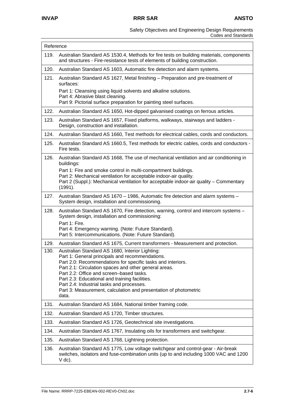|      | Reference                                                                                                                                                                             |  |
|------|---------------------------------------------------------------------------------------------------------------------------------------------------------------------------------------|--|
| 119. | Australian Standard AS 1530.4, Methods for fire tests on building materials, components<br>and structures - Fire-resistance tests of elements of building construction.               |  |
| 120. | Australian Standard AS 1603, Automatic fire detection and alarm systems.                                                                                                              |  |
| 121. | Australian Standard AS 1627, Metal finishing – Preparation and pre-treatment of<br>surfaces:                                                                                          |  |
|      | Part 1: Cleansing using liquid solvents and alkaline solutions.                                                                                                                       |  |
|      | Part 4: Abrasive blast cleaning.<br>Part 9: Pictorial surface preparation for painting steel surfaces.                                                                                |  |
| 122. | Australian Standard AS 1650, Hot-dipped galvanised coatings on ferrous articles.                                                                                                      |  |
| 123. | Australian Standard AS 1657, Fixed platforms, walkways, stairways and ladders -<br>Design, construction and installation.                                                             |  |
| 124. | Australian Standard AS 1660, Test methods for electrical cables, cords and conductors.                                                                                                |  |
| 125. | Australian Standard AS 1660.5, Test methods for electric cables, cords and conductors -<br>Fire tests.                                                                                |  |
| 126. | Australian Standard AS 1668, The use of mechanical ventilation and air conditioning in<br>buildings:                                                                                  |  |
|      | Part 1: Fire and smoke control in multi-compartment buildings.                                                                                                                        |  |
|      | Part 2: Mechanical ventilation for acceptable indoor-air quality.<br>Part 2 (Suppl.): Mechanical ventilation for acceptable indoor-air quality - Commentary<br>(1991).                |  |
| 127. | Australian Standard AS 1670 - 1986, Automatic fire detection and alarm systems -<br>System design, installation and commissioning.                                                    |  |
| 128. | Australian Standard AS 1670, Fire detection, warning, control and intercom systems -<br>System design, installation and commissioning:                                                |  |
|      | Part 1: Fire.<br>Part 4: Emergency warning. (Note: Future Standard).<br>Part 5: Intercommunications. (Note: Future Standard).                                                         |  |
| 129. | Australian Standard AS 1675, Current transformers - Measurement and protection.                                                                                                       |  |
| 130. | Australian Standard AS 1680, Interior Lighting:                                                                                                                                       |  |
|      | Part 1: General principals and recommendations.<br>Part 2.0: Recommendations for specific tasks and interiors.                                                                        |  |
|      | Part 2.1: Circulation spaces and other general areas.                                                                                                                                 |  |
|      | Part 2.2: Office and screen-based tasks.<br>Part 2.3: Educational and training facilities.                                                                                            |  |
|      | Part 2.4: Industrial tasks and processes.                                                                                                                                             |  |
|      | Part 3: Measurement, calculation and presentation of photometric<br>data.                                                                                                             |  |
| 131. | Australian Standard AS 1684, National timber framing code.                                                                                                                            |  |
| 132. | Australian Standard AS 1720, Timber structures.                                                                                                                                       |  |
| 133. | Australian Standard AS 1726, Geotechnical site investigations.                                                                                                                        |  |
| 134. | Australian Standard AS 1767, Insulating oils for transformers and switchgear.                                                                                                         |  |
| 135. | Australian Standard AS 1768, Lightning protection.                                                                                                                                    |  |
| 136. | Australian Standard AS 1775, Low voltage switchgear and control-gear - Air-break<br>switches, isolators and fuse-combination units (up to and including 1000 VAC and 1200<br>$V$ dc). |  |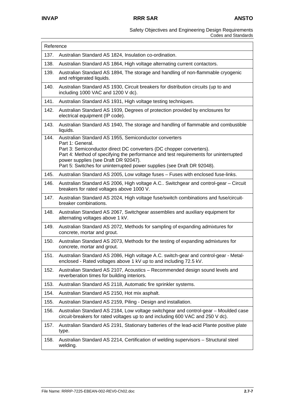| Reference |                                                                                                                                                                                                                                                                                |
|-----------|--------------------------------------------------------------------------------------------------------------------------------------------------------------------------------------------------------------------------------------------------------------------------------|
| 137.      | Australian Standard AS 1824, Insulation co-ordination.                                                                                                                                                                                                                         |
| 138.      | Australian Standard AS 1864, High voltage alternating current contactors.                                                                                                                                                                                                      |
| 139.      | Australian Standard AS 1894, The storage and handling of non-flammable cryogenic<br>and refrigerated liquids.                                                                                                                                                                  |
| 140.      | Australian Standard AS 1930, Circuit breakers for distribution circuits (up to and<br>including 1000 VAC and 1200 V dc).                                                                                                                                                       |
| 141.      | Australian Standard AS 1931, High voltage testing techniques.                                                                                                                                                                                                                  |
| 142.      | Australian Standard AS 1939, Degrees of protection provided by enclosures for<br>electrical equipment (IP code).                                                                                                                                                               |
| 143.      | Australian Standard AS 1940, The storage and handling of flammable and combustible<br>liquids.                                                                                                                                                                                 |
| 144.      | Australian Standard AS 1955, Semiconductor converters<br>Part 1: General.                                                                                                                                                                                                      |
|           | Part 3: Semiconductor direct DC converters (DC chopper converters).<br>Part 4: Method of specifying the performance and test requirements for uninterrupted<br>power supplies (see Draft DR 92047).<br>Part 5: Switches for uninterrupted power supplies (see Draft DR 92048). |
| 145.      | Australian Standard AS 2005, Low voltage fuses - Fuses with enclosed fuse-links.                                                                                                                                                                                               |
| 146.      | Australian Standard AS 2006, High voltage A.C Switchgear and control-gear - Circuit<br>breakers for rated voltages above 1000 V.                                                                                                                                               |
| 147.      | Australian Standard AS 2024, High voltage fuse/switch combinations and fuse/circuit-<br>breaker combinations.                                                                                                                                                                  |
| 148.      | Australian Standard AS 2067, Switchgear assemblies and auxiliary equipment for<br>alternating voltages above 1 kV.                                                                                                                                                             |
| 149.      | Australian Standard AS 2072, Methods for sampling of expanding admixtures for<br>concrete, mortar and grout.                                                                                                                                                                   |
| 150.      | Australian Standard AS 2073, Methods for the testing of expanding admixtures for<br>concrete, mortar and grout.                                                                                                                                                                |
| 151.      | Australian Standard AS 2086, High voltage A.C. switch-gear and control-gear - Metal-<br>enclosed - Rated voltages above 1 kV up to and including 72.5 kV.                                                                                                                      |
| 152.      | Australian Standard AS 2107, Acoustics - Recommended design sound levels and<br>reverberation times for building interiors.                                                                                                                                                    |
| 153.      | Australian Standard AS 2118, Automatic fire sprinkler systems.                                                                                                                                                                                                                 |
| 154.      | Australian Standard AS 2150, Hot mix asphalt.                                                                                                                                                                                                                                  |
| 155.      | Australian Standard AS 2159, Piling - Design and installation.                                                                                                                                                                                                                 |
| 156.      | Australian Standard AS 2184, Low voltage switchgear and control-gear - Moulded case<br>circuit-breakers for rated voltages up to and including 600 VAC and 250 V dc).                                                                                                          |
| 157.      | Australian Standard AS 2191, Stationary batteries of the lead-acid Plante positive plate<br>type.                                                                                                                                                                              |
| 158.      | Australian Standard AS 2214, Certification of welding supervisors - Structural steel<br>welding.                                                                                                                                                                               |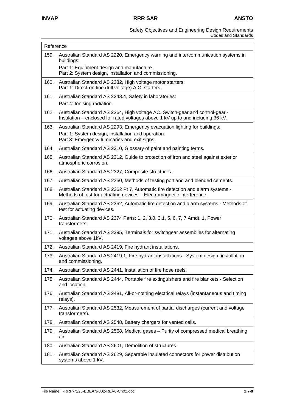| Reference |                                                                                                                                                                |
|-----------|----------------------------------------------------------------------------------------------------------------------------------------------------------------|
| 159.      | Australian Standard AS 2220, Emergency warning and intercommunication systems in<br>buildings:                                                                 |
|           | Part 1: Equipment design and manufacture.<br>Part 2: System design, installation and commissioning.                                                            |
| 160.      | Australian Standard AS 2232, High voltage motor starters:<br>Part 1: Direct-on-line (full voltage) A.C. starters.                                              |
| 161.      | Australian Standard AS 2243.4, Safety in laboratories:<br>Part 4: Ionising radiation.                                                                          |
| 162.      | Australian Standard AS 2264, High voltage AC. Switch-gear and control-gear -<br>Insulation – enclosed for rated voltages above 1 kV up to and including 36 kV. |
| 163.      | Australian Standard AS 2293. Emergency evacuation lighting for buildings:                                                                                      |
|           | Part 1: System design, installation and operation.<br>Part 3: Emergency luminaries and exit signs.                                                             |
| 164.      | Australian Standard AS 2310, Glossary of paint and painting terms.                                                                                             |
| 165.      | Australian Standard AS 2312, Guide to protection of iron and steel against exterior<br>atmospheric corrosion.                                                  |
| 166.      | Australian Standard AS 2327, Composite structures.                                                                                                             |
| 167.      | Australian Standard AS 2350, Methods of testing portland and blended cements.                                                                                  |
| 168.      | Australian Standard AS 2362 Pt 7, Automatic fire detection and alarm systems -<br>Methods of test for actuating devices - Electromagnetic interference.        |
| 169.      | Australian Standard AS 2362, Automatic fire detection and alarm systems - Methods of<br>test for actuating devices.                                            |
| 170.      | Australian Standard AS 2374 Parts: 1, 2, 3.0, 3.1, 5, 6, 7, 7 Amdt. 1, Power<br>transformers.                                                                  |
| 171.      | Australian Standard AS 2395, Terminals for switchgear assemblies for alternating<br>voltages above 1kV.                                                        |
| 172.      | Australian Standard AS 2419, Fire hydrant installations.                                                                                                       |
| 173.      | Australian Standard AS 2419.1, Fire hydrant installations - System design, installation<br>and commissioning.                                                  |
| 174.      | Australian Standard AS 2441, Installation of fire hose reels.                                                                                                  |
| 175.      | Australian Standard AS 2444, Portable fire extinguishers and fire blankets - Selection<br>and location.                                                        |
| 176.      | Australian Standard AS 2481, All-or-nothing electrical relays (instantaneous and timing<br>relays).                                                            |
| 177.      | Australian Standard AS 2532, Measurement of partial discharges (current and voltage<br>transformers).                                                          |
| 178.      | Australian Standard AS 2548, Battery chargers for vented cells.                                                                                                |
| 179.      | Australian Standard AS 2568, Medical gases - Purity of compressed medical breathing<br>air.                                                                    |
| 180.      | Australian Standard AS 2601, Demolition of structures.                                                                                                         |
| 181.      | Australian Standard AS 2629, Separable insulated connectors for power distribution<br>systems above 1 kV.                                                      |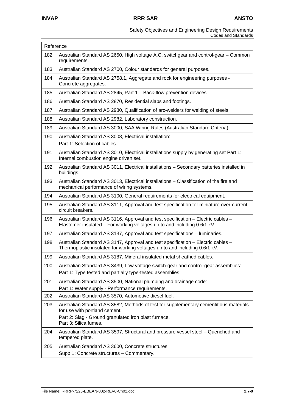| Reference |                                                                                                                                                                |
|-----------|----------------------------------------------------------------------------------------------------------------------------------------------------------------|
| 182.      | Australian Standard AS 2650, High voltage A.C. switchgear and control-gear – Common<br>requirements.                                                           |
| 183.      | Australian Standard AS 2700, Colour standards for general purposes.                                                                                            |
| 184.      | Australian Standard AS 2758.1, Aggregate and rock for engineering purposes -<br>Concrete aggregates.                                                           |
| 185.      | Australian Standard AS 2845, Part 1 - Back-flow prevention devices.                                                                                            |
| 186.      | Australian Standard AS 2870, Residential slabs and footings.                                                                                                   |
| 187.      | Australian Standard AS 2980, Qualification of arc-welders for welding of steels.                                                                               |
| 188.      | Australian Standard AS 2982, Laboratory construction.                                                                                                          |
| 189.      | Australian Standard AS 3000, SAA Wiring Rules (Australian Standard Criteria).                                                                                  |
| 190.      | Australian Standard AS 3008, Electrical installation:<br>Part 1: Selection of cables.                                                                          |
| 191.      | Australian Standard AS 3010, Electrical installations supply by generating set Part 1:<br>Internal combustion engine driven set.                               |
| 192.      | Australian Standard AS 3011, Electrical installations - Secondary batteries installed in<br>buildings.                                                         |
| 193.      | Australian Standard AS 3013, Electrical installations - Classification of the fire and<br>mechanical performance of wiring systems.                            |
| 194.      | Australian Standard AS 3100, General requirements for electrical equipment.                                                                                    |
| 195.      | Australian Standard AS 3111, Approval and test specification for miniature over-current<br>circuit breakers.                                                   |
| 196.      | Australian Standard AS 3116, Approval and test specification - Electric cables -<br>Elastomer insulated – For working voltages up to and including 0.6/1 kV.   |
| 197.      | Australian Standard AS 3137, Approval and test specifications - luminaries.                                                                                    |
| 198.      | Australian Standard AS 3147, Approval and test specification - Electric cables -<br>Thermoplastic insulated for working voltages up to and including 0.6/1 kV. |
| 199.      | Australian Standard AS 3187, Mineral insulated metal sheathed cables.                                                                                          |
| 200.      | Australian Standard AS 3439, Low voltage switch-gear and control-gear assemblies:                                                                              |
|           | Part 1: Type tested and partially type-tested assemblies.                                                                                                      |
| 201.      | Australian Standard AS 3500, National plumbing and drainage code:<br>Part 1: Water supply - Performance requirements.                                          |
| 202.      | Australian Standard AS 3570, Automotive diesel fuel.                                                                                                           |
| 203.      | Australian Standard AS 3582, Methods of test for supplementary cementitious materials<br>for use with portland cement:                                         |
|           | Part 2: Slag - Ground granulated iron blast furnace.<br>Part 3: Silica fumes.                                                                                  |
| 204.      | Australian Standard AS 3597, Structural and pressure vessel steel - Quenched and<br>tempered plate.                                                            |
| 205.      | Australian Standard AS 3600, Concrete structures:                                                                                                              |
|           | Supp 1: Concrete structures - Commentary.                                                                                                                      |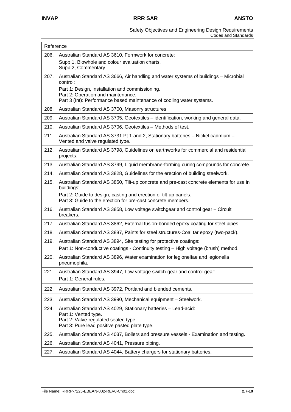| Reference |                                                                                                                                                           |
|-----------|-----------------------------------------------------------------------------------------------------------------------------------------------------------|
| 206.      | Australian Standard AS 3610, Formwork for concrete:                                                                                                       |
|           | Supp 1, Blowhole and colour evaluation charts.<br>Supp 2, Commentary.                                                                                     |
| 207.      | Australian Standard AS 3666, Air handling and water systems of buildings - Microbial<br>control:                                                          |
|           | Part 1: Design, installation and commissioning.<br>Part 2: Operation and maintenance.                                                                     |
|           | Part 3 (Int): Performance based maintenance of cooling water systems.                                                                                     |
| 208.      | Australian Standard AS 3700, Masonry structures.                                                                                                          |
| 209.      | Australian Standard AS 3705, Geotextiles - identification, working and general data.                                                                      |
| 210.      | Australian Standard AS 3706, Geotextiles - Methods of test.                                                                                               |
| 211.      | Australian Standard AS 3731 Pt 1 and 2, Stationary batteries - Nickel cadmium -<br>Vented and valve regulated type.                                       |
| 212.      | Australian Standard AS 3798, Guidelines on earthworks for commercial and residential<br>projects.                                                         |
| 213.      | Australian Standard AS 3799, Liquid membrane-forming curing compounds for concrete.                                                                       |
| 214.      | Australian Standard AS 3828, Guidelines for the erection of building steelwork.                                                                           |
| 215.      | Australian Standard AS 3850, Tilt-up concrete and pre-cast concrete elements for use in<br>buildings:                                                     |
|           | Part 2: Guide to design, casting and erection of tilt-up panels.<br>Part 3: Guide to the erection for pre-cast concrete members.                          |
| 216.      | Australian Standard AS 3858, Low voltage switchgear and control gear - Circuit<br>breakers.                                                               |
| 217.      | Australian Standard AS 3862, External fusion-bonded epoxy coating for steel pipes.                                                                        |
| 218.      | Australian Standard AS 3887, Paints for steel structures-Coal tar epoxy (two-pack).                                                                       |
| 219.      | Australian Standard AS 3894, Site testing for protective coatings:<br>Part 1: Non-conductive coatings - Continuity testing - High voltage (brush) method. |
| 220.      | Australian Standard AS 3896, Water examination for legionellae and legionella<br>pneumophila.                                                             |
| 221.      | Australian Standard AS 3947, Low voltage switch-gear and control-gear:<br>Part 1: General rules.                                                          |
| 222.      | Australian Standard AS 3972, Portland and blended cements.                                                                                                |
| 223.      | Australian Standard AS 3990, Mechanical equipment - Steelwork.                                                                                            |
| 224.      | Australian Standard AS 4029, Stationary batteries - Lead-acid:<br>Part 1: Vented type.                                                                    |
|           | Part 2: Valve-regulated sealed type.<br>Part 3: Pure lead positive pasted plate type.                                                                     |
| 225.      | Australian Standard AS 4037, Boilers and pressure vessels - Examination and testing.                                                                      |
| 226.      | Australian Standard AS 4041, Pressure piping.                                                                                                             |
| 227.      | Australian Standard AS 4044, Battery chargers for stationary batteries.                                                                                   |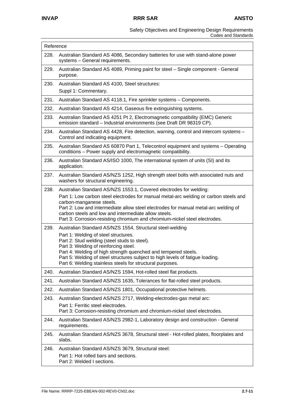| Reference |                                                                                                                                                                                                                                                                                                                                                |
|-----------|------------------------------------------------------------------------------------------------------------------------------------------------------------------------------------------------------------------------------------------------------------------------------------------------------------------------------------------------|
| 228.      | Australian Standard AS 4086, Secondary batteries for use with stand-alone power<br>systems - General requirements.                                                                                                                                                                                                                             |
| 229.      | Australian Standard AS 4089, Priming paint for steel - Single component - General<br>purpose.                                                                                                                                                                                                                                                  |
| 230.      | Australian Standard AS 4100, Steel structures:<br>Suppl 1: Commentary.                                                                                                                                                                                                                                                                         |
| 231.      | Australian Standard AS 4118.1, Fire sprinkler systems - Components.                                                                                                                                                                                                                                                                            |
| 232.      | Australian Standard AS 4214, Gaseous fire extinguishing systems.                                                                                                                                                                                                                                                                               |
| 233.      | Australian Standard AS 4251 Pt 2, Electromagnetic compatibility (EMC) Generic<br>emission standard - Industrial environments (see Draft DR 98319 CP).                                                                                                                                                                                          |
| 234.      | Australian Standard AS 4428, Fire detection, warning, control and intercom systems -<br>Control and indicating equipment.                                                                                                                                                                                                                      |
| 235.      | Australian Standard AS 60870 Part 1, Telecontrol equipment and systems - Operating<br>conditions - Power supply and electromagnetic compatibility.                                                                                                                                                                                             |
| 236.      | Australian Standard AS/ISO 1000, The international system of units (SI) and its<br>application.                                                                                                                                                                                                                                                |
| 237.      | Australian Standard AS/NZS 1252, High strength steel bolts with associated nuts and<br>washers for structural engineering.                                                                                                                                                                                                                     |
| 238.      | Australian Standard AS/NZS 1553.1, Covered electrodes for welding:                                                                                                                                                                                                                                                                             |
|           | Part 1: Low carbon steel electrodes for manual metal-arc welding or carbon steels and<br>carbon-manganese steels.<br>Part 2: Low and intermediate allow steel electrodes for manual metal-arc welding of<br>carbon steels and low and intermediate allow steels.<br>Part 3: Corrosion-resisting chromium and chromium-nickel steel electrodes. |
| 239.      | Australian Standard AS/NZS 1554, Structural steel-welding                                                                                                                                                                                                                                                                                      |
|           | Part 1: Welding of steel structures.<br>Part 2: Stud welding (steel studs to steel).<br>Part 3: Welding of reinforcing steel.<br>Part 4: Welding of high strength quenched and tempered steels.<br>Part 5: Welding of steel structures subject to high levels of fatigue loading.<br>Part 6: Welding stainless steels for structural purposes. |
| 240.      | Australian Standard AS/NZS 1594, Hot-rolled steel flat products.                                                                                                                                                                                                                                                                               |
| 241.      | Australian Standard AS/NZS 1635, Tolerances for flat-rolled steel products.                                                                                                                                                                                                                                                                    |
| 242.      | Australian Standard AS/NZS 1801, Occupational protective helmets.                                                                                                                                                                                                                                                                              |
| 243.      | Australian Standard AS/NZS 2717, Welding-electrodes-gas metal arc:<br>Part 1: Ferritic steel electrodes.<br>Part 3: Corrosion-resisting chromium and chromium-nickel steel electrodes.                                                                                                                                                         |
| 244.      | Australian Standard AS/NZS 2982-1, Laboratory design and construction - General<br>requirements.                                                                                                                                                                                                                                               |
| 245.      | Australian Standard AS/NZS 3678, Structural steel - Hot-rolled plates, floorplates and<br>slabs.                                                                                                                                                                                                                                               |
| 246.      | Australian Standard AS/NZS 3679, Structural steel:<br>Part 1: Hot rolled bars and sections.<br>Part 2: Welded I sections.                                                                                                                                                                                                                      |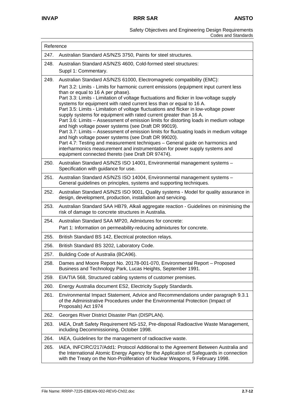| Reference |                                                                                                                                                                                                                                                                                                                                                                                                                                                                                                                                                                                                                                                                                                                                                                                                                                                             |  |
|-----------|-------------------------------------------------------------------------------------------------------------------------------------------------------------------------------------------------------------------------------------------------------------------------------------------------------------------------------------------------------------------------------------------------------------------------------------------------------------------------------------------------------------------------------------------------------------------------------------------------------------------------------------------------------------------------------------------------------------------------------------------------------------------------------------------------------------------------------------------------------------|--|
| 247.      | Australian Standard AS/NZS 3750, Paints for steel structures.                                                                                                                                                                                                                                                                                                                                                                                                                                                                                                                                                                                                                                                                                                                                                                                               |  |
| 248.      | Australian Standard AS/NZS 4600, Cold-formed steel structures:<br>Suppl 1: Commentary.                                                                                                                                                                                                                                                                                                                                                                                                                                                                                                                                                                                                                                                                                                                                                                      |  |
| 249.      | Australian Standard AS/NZS 61000, Electromagnetic compatibility (EMC):                                                                                                                                                                                                                                                                                                                                                                                                                                                                                                                                                                                                                                                                                                                                                                                      |  |
|           | Part 3.2: Limits - Limits for harmonic current emissions (equipment input current less<br>than or equal to 16 A per phase).                                                                                                                                                                                                                                                                                                                                                                                                                                                                                                                                                                                                                                                                                                                                 |  |
|           | Part 3.3: Limits - Limitation of voltage fluctuations and flicker in low-voltage supply<br>systems for equipment with rated current less than or equal to 16 A.<br>Part 3.5: Limits - Limitation of voltage fluctuations and flicker in low-voltage power<br>supply systems for equipment with rated current greater than 16 A.<br>Part 3.6: Limits - Assessment of emission limits for distorting loads in medium voltage<br>and high voltage power systems (see Draft DR 99019).<br>Part 3.7: Limits - Assessment of emission limits for fluctuating loads in medium voltage<br>and high voltage power systems (see Draft DR 99020).<br>Part 4.7: Testing and measurement techniques - General guide on harmonics and<br>interharmonics measurement and instrumentation for power supply systems and<br>equipment connected thereto (see Draft DR 97474). |  |
| 250.      | Australian Standard AS/NZS ISO 14001, Environmental management systems -<br>Specification with guidance for use.                                                                                                                                                                                                                                                                                                                                                                                                                                                                                                                                                                                                                                                                                                                                            |  |
| 251.      | Australian Standard AS/NZS ISO 14004, Environmental management systems -<br>General guidelines on principles, systems and supporting techniques.                                                                                                                                                                                                                                                                                                                                                                                                                                                                                                                                                                                                                                                                                                            |  |
| 252.      | Australian Standard AS/NZS ISO 9001, Quality systems - Model for quality assurance in<br>design, development, production, installation and servicing.                                                                                                                                                                                                                                                                                                                                                                                                                                                                                                                                                                                                                                                                                                       |  |
| 253.      | Australian Standard SAA HB79, Alkali aggregate reaction - Guidelines on minimising the<br>risk of damage to concrete structures in Australia.                                                                                                                                                                                                                                                                                                                                                                                                                                                                                                                                                                                                                                                                                                               |  |
| 254.      | Australian Standard SAA MP20, Admixtures for concrete:                                                                                                                                                                                                                                                                                                                                                                                                                                                                                                                                                                                                                                                                                                                                                                                                      |  |
|           | Part 1: Information on permeability-reducing admixtures for concrete.                                                                                                                                                                                                                                                                                                                                                                                                                                                                                                                                                                                                                                                                                                                                                                                       |  |
| 255.      | British Standard BS 142, Electrical protection relays.                                                                                                                                                                                                                                                                                                                                                                                                                                                                                                                                                                                                                                                                                                                                                                                                      |  |
| 256.      | British Standard BS 3202, Laboratory Code.                                                                                                                                                                                                                                                                                                                                                                                                                                                                                                                                                                                                                                                                                                                                                                                                                  |  |
| 257.      | Building Code of Australia (BCA96).                                                                                                                                                                                                                                                                                                                                                                                                                                                                                                                                                                                                                                                                                                                                                                                                                         |  |
| 258.      | Dames and Moore Report No. 20178-001-070, Environmental Report - Proposed<br>Business and Technology Park, Lucas Heights, September 1991.                                                                                                                                                                                                                                                                                                                                                                                                                                                                                                                                                                                                                                                                                                                   |  |
| 259.      | EIA/TIA 568, Structured cabling systems of customer premises.                                                                                                                                                                                                                                                                                                                                                                                                                                                                                                                                                                                                                                                                                                                                                                                               |  |
| 260.      | Energy Australia document ES2, Electricity Supply Standards.                                                                                                                                                                                                                                                                                                                                                                                                                                                                                                                                                                                                                                                                                                                                                                                                |  |
| 261.      | Environmental Impact Statement, Advice and Recommendations under paragraph 9.3.1<br>of the Administrative Procedures under the Environmental Protection (Impact of<br>Proposals) Act 1974                                                                                                                                                                                                                                                                                                                                                                                                                                                                                                                                                                                                                                                                   |  |
| 262.      | Georges River District Disaster Plan (DISPLAN).                                                                                                                                                                                                                                                                                                                                                                                                                                                                                                                                                                                                                                                                                                                                                                                                             |  |
| 263.      | IAEA, Draft Safety Requirement NS-152, Pre-disposal Radioactive Waste Management,<br>including Decommissioning, October 1998.                                                                                                                                                                                                                                                                                                                                                                                                                                                                                                                                                                                                                                                                                                                               |  |
| 264.      | IAEA, Guidelines for the management of radioactive waste.                                                                                                                                                                                                                                                                                                                                                                                                                                                                                                                                                                                                                                                                                                                                                                                                   |  |
| 265.      | IAEA, INFCIRC/217/Add1: Protocol Additional to the Agreement Between Australia and<br>the International Atomic Energy Agency for the Application of Safeguards in connection<br>with the Treaty on the Non-Proliferation of Nuclear Weapons, 9 February 1998.                                                                                                                                                                                                                                                                                                                                                                                                                                                                                                                                                                                               |  |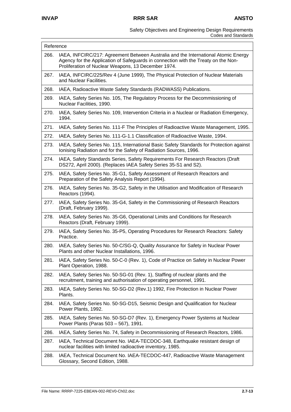|      | Reference                                                                                                                                                                                                                       |  |  |
|------|---------------------------------------------------------------------------------------------------------------------------------------------------------------------------------------------------------------------------------|--|--|
| 266. | IAEA, INFCIRC/217: Agreement Between Australia and the International Atomic Energy<br>Agency for the Application of Safeguards in connection with the Treaty on the Non-<br>Proliferation of Nuclear Weapons, 13 December 1974. |  |  |
| 267. | IAEA, INFCIRC/225/Rev 4 (June 1999), The Physical Protection of Nuclear Materials<br>and Nuclear Facilities.                                                                                                                    |  |  |
| 268. | IAEA, Radioactive Waste Safety Standards (RADWASS) Publications.                                                                                                                                                                |  |  |
| 269. | IAEA, Safety Series No. 105, The Regulatory Process for the Decommissioning of<br>Nuclear Facilities, 1990.                                                                                                                     |  |  |
| 270. | IAEA, Safety Series No. 109, Intervention Criteria in a Nuclear or Radiation Emergency,<br>1994.                                                                                                                                |  |  |
| 271. | IAEA, Safety Series No. 111-F The Principles of Radioactive Waste Management, 1995.                                                                                                                                             |  |  |
| 272. | IAEA, Safety Series No. 111-G-1.1 Classification of Radioactive Waste, 1994.                                                                                                                                                    |  |  |
| 273. | IAEA, Safety Series No. 115, International Basic Safety Standards for Protection against<br>Ionising Radiation and for the Safety of Radiation Sources, 1996.                                                                   |  |  |
| 274. | IAEA, Safety Standards Series, Safety Requirements For Research Reactors (Draft<br>DS272, April 2000). (Replaces IAEA Safety Series 35-S1 and S2).                                                                              |  |  |
| 275. | IAEA, Safety Series No. 35-G1, Safety Assessment of Research Reactors and<br>Preparation of the Safety Analysis Report (1994).                                                                                                  |  |  |
| 276. | IAEA, Safety Series No. 35-G2, Safety in the Utilisation and Modification of Research<br>Reactors (1994).                                                                                                                       |  |  |
| 277. | IAEA, Safety Series No. 35-G4, Safety in the Commissioning of Research Reactors<br>(Draft, February 1999).                                                                                                                      |  |  |
| 278. | IAEA, Safety Series No. 35-G6, Operational Limits and Conditions for Research<br>Reactors (Draft, February 1999).                                                                                                               |  |  |
| 279. | IAEA, Safety Series No. 35-P5, Operating Procedures for Research Reactors: Safety<br>Practice.                                                                                                                                  |  |  |
| 280. | IAEA, Safety Series No. 50-C/SG-Q, Quality Assurance for Safety in Nuclear Power<br>Plants and other Nuclear Installations, 1996.                                                                                               |  |  |
| 281. | IAEA, Safety Series No. 50-C-0 (Rev. 1), Code of Practice on Safety in Nuclear Power<br>Plant Operation, 1988.                                                                                                                  |  |  |
| 282. | IAEA, Safety Series No. 50-SG-01 (Rev. 1), Staffing of nuclear plants and the<br>recruitment, training and authorisation of operating personnel, 1991.                                                                          |  |  |
| 283. | IAEA, Safety Series No. 50-SG-D2 (Rev.1) 1992, Fire Protection in Nuclear Power<br>Plants.                                                                                                                                      |  |  |
| 284. | IAEA, Safety Series No. 50-SG-D15, Seismic Design and Qualification for Nuclear<br>Power Plants, 1992.                                                                                                                          |  |  |
| 285. | IAEA, Safety Series No. 50-SG-D7 (Rev. 1), Emergency Power Systems at Nuclear<br>Power Plants (Paras 503 - 567), 1991.                                                                                                          |  |  |
| 286. | IAEA, Safety Series No. 74, Safety in Decommissioning of Research Reactors, 1986.                                                                                                                                               |  |  |
| 287. | IAEA, Technical Document No. IAEA-TECDOC-348, Earthquake resistant design of<br>nuclear facilities with limited radioactive inventory, 1985.                                                                                    |  |  |
| 288. | IAEA, Technical Document No. IAEA-TECDOC-447, Radioactive Waste Management<br>Glossary, Second Edition, 1988.                                                                                                                   |  |  |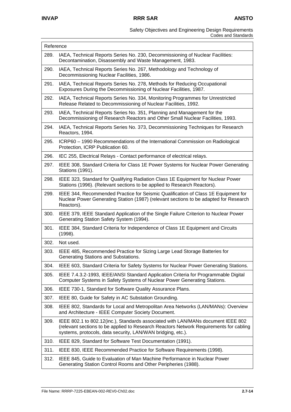#### Safety Objectives and Engineering Design Requirements Codes and Standards

| Reference |                                                                                                                                                                                                                                           |  |
|-----------|-------------------------------------------------------------------------------------------------------------------------------------------------------------------------------------------------------------------------------------------|--|
| 289.      | IAEA, Technical Reports Series No. 230, Decommissioning of Nuclear Facilities:<br>Decontamination, Disassembly and Waste Management, 1983.                                                                                                |  |
| 290.      | IAEA, Technical Reports Series No. 267, Methodology and Technology of<br>Decommissioning Nuclear Facilities, 1986.                                                                                                                        |  |
| 291.      | IAEA, Technical Reports Series No. 278, Methods for Reducing Occupational<br>Exposures During the Decommissioning of Nuclear Facilities, 1987.                                                                                            |  |
| 292.      | IAEA, Technical Reports Series No. 334, Monitoring Programmes for Unrestricted<br>Release Related to Decommissioning of Nuclear Facilities, 1992.                                                                                         |  |
| 293.      | IAEA, Technical Reports Series No. 351, Planning and Management for the<br>Decommissioning of Research Reactors and Other Small Nuclear Facilities, 1993.                                                                                 |  |
| 294.      | IAEA, Technical Reports Series No. 373, Decommissioning Techniques for Research<br>Reactors, 1994.                                                                                                                                        |  |
| 295.      | ICRP60 - 1990 Recommendations of the International Commission on Radiological<br>Protection, ICRP Publication 60.                                                                                                                         |  |
| 296.      | IEC 255, Electrical Relays - Contact performance of electrical relays.                                                                                                                                                                    |  |
| 297.      | IEEE 308, Standard Criteria for Class 1E Power Systems for Nuclear Power Generating<br>Stations (1991).                                                                                                                                   |  |
| 298.      | IEEE 323, Standard for Qualifying Radiation Class 1E Equipment for Nuclear Power<br>Stations (1996). (Relevant sections to be applied to Research Reactors).                                                                              |  |
| 299.      | IEEE 344, Recommended Practice for Seismic Qualification of Class 1E Equipment for<br>Nuclear Power Generating Station (1987) (relevant sections to be adapted for Research<br>Reactors).                                                 |  |
| 300.      | IEEE 379, IEEE Standard Application of the Single Failure Criterion to Nuclear Power<br>Generating Station Safety System (1994).                                                                                                          |  |
| 301.      | IEEE 384, Standard Criteria for Independence of Class 1E Equipment and Circuits<br>(1998).                                                                                                                                                |  |
| 302.      | Not used.                                                                                                                                                                                                                                 |  |
| 303.      | IEEE 485, Recommended Practice for Sizing Large Lead Storage Batteries for<br>Generating Stations and Substations.                                                                                                                        |  |
| 304.      | IEEE 603, Standard Criteria for Safety Systems for Nuclear Power Generating Stations.                                                                                                                                                     |  |
| 305.      | IEEE 7.4.3.2-1993, IEEE/ANSI Standard Application Criteria for Programmable Digital<br>Computer Systems in Safety Systems of Nuclear Power Generating Stations.                                                                           |  |
| 306.      | IEEE 730-1, Standard for Software Quality Assurance Plans.                                                                                                                                                                                |  |
| 307.      | IEEE 80, Guide for Safety in AC Substation Grounding.                                                                                                                                                                                     |  |
| 308.      | IEEE 802, Standards for Local and Metropolitan Area Networks (LAN/MANs): Overview<br>and Architecture - IEEE Computer Society Document.                                                                                                   |  |
| 309.      | IEEE 802.1 to 802.12(inc.), Standards associated with LAN/MANs document IEEE 802<br>(relevant sections to be applied to Research Reactors Network Requirements for cabling<br>systems, protocols, data security, LAN/WAN bridging, etc.). |  |
| 310.      | IEEE 829, Standard for Software Test Documentation (1991).                                                                                                                                                                                |  |
| 311.      | IEEE 830, IEEE Recommended Practice for Software Requirements (1998).                                                                                                                                                                     |  |
| 312.      | IEEE 845, Guide to Evaluation of Man Machine Performance in Nuclear Power<br>Generating Station Control Rooms and Other Peripheries (1988).                                                                                               |  |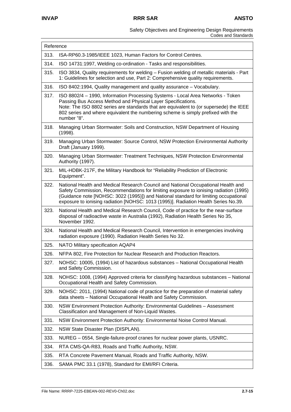| Reference |                                                                                                                                                                                                                                                                                                                                                           |  |
|-----------|-----------------------------------------------------------------------------------------------------------------------------------------------------------------------------------------------------------------------------------------------------------------------------------------------------------------------------------------------------------|--|
| 313.      | ISA-RP60.3-1985/IEEE 1023, Human Factors for Control Centres.                                                                                                                                                                                                                                                                                             |  |
| 314.      | ISO 14731:1997, Welding co-ordination - Tasks and responsibilities.                                                                                                                                                                                                                                                                                       |  |
| 315.      | ISO 3834, Quality requirements for welding - Fusion welding of metallic materials - Part<br>1: Guidelines for selection and use, Part 2: Comprehensive quality requirements.                                                                                                                                                                              |  |
| 316.      | ISO 8402:1994, Quality management and quality assurance - Vocabulary.                                                                                                                                                                                                                                                                                     |  |
| 317.      | ISO 8802/4 - 1990, Information Processing Systems - Local Area Networks - Token<br>Passing Bus Access Method and Physical Layer Specifications.<br>Note: The ISO 8802 series are standards that are equivalent to (or supersede) the IEEE<br>802 series and where equivalent the numbering scheme is simply prefixed with the<br>number "8".              |  |
| 318.      | Managing Urban Stormwater: Soils and Construction, NSW Department of Housing<br>(1998).                                                                                                                                                                                                                                                                   |  |
| 319.      | Managing Urban Stormwater: Source Control, NSW Protection Environmental Authority<br>Draft (January 1999).                                                                                                                                                                                                                                                |  |
| 320.      | Managing Urban Stormwater: Treatment Techniques, NSW Protection Environmental<br>Authority (1997).                                                                                                                                                                                                                                                        |  |
| 321.      | MIL-HDBK-217F, the Military Handbook for "Reliability Prediction of Electronic<br>Equipment".                                                                                                                                                                                                                                                             |  |
| 322.      | National Health and Medical Research Council and National Occupational Health and<br>Safety Commission, Recommendations for limiting exposure to ionising radiation (1995)<br>(Guidance note [NOHSC: 3022 (1995)]) and National standard for limiting occupational<br>exposure to ionising radiation [NOHSC: 1013 (1995)]. Radiation Health Series No.39. |  |
| 323.      | National Health and Medical Research Council, Code of practice for the near-surface<br>disposal of radioactive waste in Australia (1992), Radiation Health Series No 35,<br>November 1992.                                                                                                                                                                |  |
| 324.      | National Health and Medical Research Council, Intervention in emergencies involving<br>radiation exposure (1990). Radiation Health Series No 32.                                                                                                                                                                                                          |  |
| 325.      | NATO Military specification AQAP4                                                                                                                                                                                                                                                                                                                         |  |
| 326.      | NFPA 802, Fire Protection for Nuclear Research and Production Reactors.                                                                                                                                                                                                                                                                                   |  |
| 327.      | NOHSC: 10005, (1994) List of hazardous substances - National Occupational Health<br>and Safety Commission.                                                                                                                                                                                                                                                |  |
| 328.      | NOHSC: 1008, (1994) Approved criteria for classifying hazardous substances - National<br>Occupational Health and Safety Commission.                                                                                                                                                                                                                       |  |
| 329.      | NOHSC: 2011, (1994) National code of practice for the preparation of material safety<br>data sheets - National Occupational Health and Safety Commission.                                                                                                                                                                                                 |  |
| 330.      | NSW Environment Protection Authority: Environmental Guidelines - Assessment<br>Classification and Management of Non-Liquid Wastes.                                                                                                                                                                                                                        |  |
| 331.      | NSW Environment Protection Authority: Environmental Noise Control Manual.                                                                                                                                                                                                                                                                                 |  |
| 332.      | NSW State Disaster Plan (DISPLAN).                                                                                                                                                                                                                                                                                                                        |  |
| 333.      | NUREG - 0554, Single-failure-proof cranes for nuclear power plants, USNRC.                                                                                                                                                                                                                                                                                |  |
| 334.      | RTA CMS-QA-R83, Roads and Traffic Authority, NSW.                                                                                                                                                                                                                                                                                                         |  |
| 335.      | RTA Concrete Pavement Manual, Roads and Traffic Authority, NSW.                                                                                                                                                                                                                                                                                           |  |
| 336.      | SAMA PMC 33.1 (1978), Standard for EMI/RFI Criteria.                                                                                                                                                                                                                                                                                                      |  |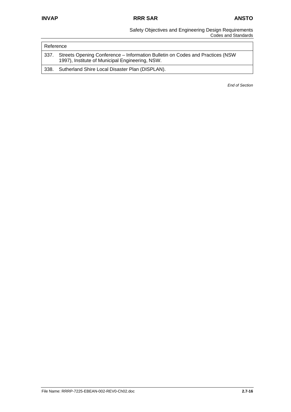#### Safety Objectives and Engineering Design Requirements Codes and Standards

| I Reference |                                                                                                                                   |
|-------------|-----------------------------------------------------------------------------------------------------------------------------------|
| l 337.      | Streets Opening Conference – Information Bulletin on Codes and Practices (NSW)<br>1997), Institute of Municipal Engineering, NSW. |
| -338.       | Sutherland Shire Local Disaster Plan (DISPLAN).                                                                                   |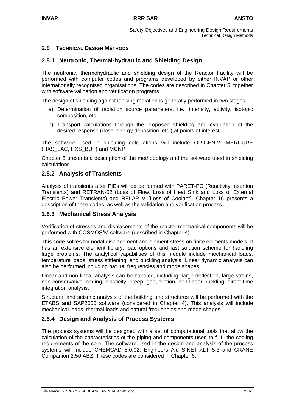# **2.8 TECHNICAL DESIGN METHODS**

# **2.8.1 Neutronic, Thermal-hydraulic and Shielding Design**

The neutronic, thermohydraulic and shielding design of the Reactor Facility will be performed with computer codes and programs developed by either INVAP or other internationally recognised organisations. The codes are described in Chapter 5, together with software validation and verification programs.

The design of shielding against ionising radiation is generally performed in two stages:

- a) Determination of radiation source parameters, i.e., intensity, activity, isotopic composition, etc.
- b) Transport calculations through the proposed shielding and evaluation of the desired response (dose, energy deposition, etc.) at points of interest.

The software used in shielding calculations will include ORIGEN-2, MERCURE (HXS\_LAC, HXS\_BUF) and MCNP

Chapter 5 presents a description of the methodology and the software used in shielding calculations.

# **2.8.2 Analysis of Transients**

Analysis of transients after PIEs will be performed with PARET-PC (Reactivity Insertion Transients) and RETRAN-02 (Loss of Flow, Loss of Heat Sink and Loss of External Electric Power Transients) and RELAP V (Loss of Coolant). Chapter 16 presents a description of these codes, as well as the validation and verification process.

# **2.8.3 Mechanical Stress Analysis**

Verification of stresses and displacements of the reactor mechanical components will be performed with COSMOS/M software (described in Chapter 4)

This code solves for nodal displacement and element stress on finite elements models. It has an extensive element library, load options and fast solution scheme for handling large problems. The analytical capabilities of this module include mechanical loads, temperature loads, stress stiffening, and buckling analysis. Linear dynamic analysis can also be performed including natural frequencies and mode shapes.

Linear and non-linear analysis can be handled, including: large deflection, large strains, non-conservative loading, plasticity, creep, gap, friction, non-linear buckling, direct time integration analysis.

Structural and seismic analysis of the building and structures will be performed with the ETABS and SAP2000 software (considered in Chapter 4). This analysis will include mechanical loads, thermal loads and natural frequencies and mode shapes.

# **2.8.4 Design and Analysis of Process Systems**

The process systems will be designed with a set of computational tools that allow the calculation of the characteristics of the piping and components used to fulfil the cooling requirements of the core. The software used in the design and analysis of the process systems will include CHEMCAD 5.0.02, Engineers Aid SINET-XLT 5.3 and CRANE Companion 2.50 ABZ. These codes are considered in Chapter 6.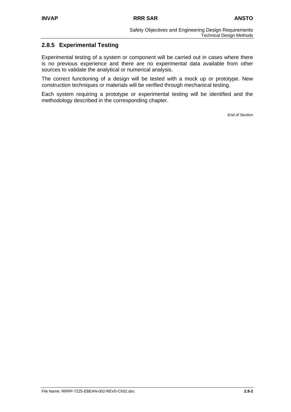# **2.8.5 Experimental Testing**

Experimental testing of a system or component will be carried out in cases where there is no previous experience and there are no experimental data available from other sources to validate the analytical or numerical analysis.

The correct functioning of a design will be tested with a mock up or prototype. New construction techniques or materials will be verified through mechanical testing.

Each system requiring a prototype or experimental testing will be identified and the methodology described in the corresponding chapter.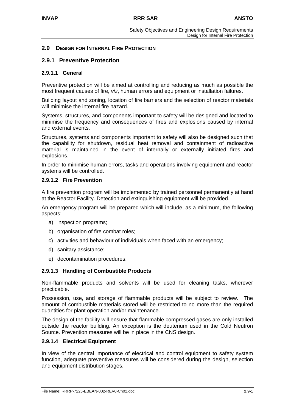# **2.9 DESIGN FOR INTERNAL FIRE PROTECTION**

### **2.9.1 Preventive Protection**

#### **2.9.1.1 General**

Preventive protection will be aimed at controlling and reducing as much as possible the most frequent causes of fire, *viz*, human errors and equipment or installation failures.

Building layout and zoning, location of fire barriers and the selection of reactor materials will minimise the internal fire hazard.

Systems, structures, and components important to safety will be designed and located to minimise the frequency and consequences of fires and explosions caused by internal and external events.

Structures, systems and components important to safety will also be designed such that the capability for shutdown, residual heat removal and containment of radioactive material is maintained in the event of internally or externally initiated fires and explosions.

In order to minimise human errors, tasks and operations involving equipment and reactor systems will be controlled.

#### **2.9.1.2 Fire Prevention**

A fire prevention program will be implemented by trained personnel permanently at hand at the Reactor Facility. Detection and extinguishing equipment will be provided.

An emergency program will be prepared which will include, as a minimum, the following aspects:

- a) inspection programs;
- b) organisation of fire combat roles;
- c) activities and behaviour of individuals when faced with an emergency;
- d) sanitary assistance;
- e) decontamination procedures.

### **2.9.1.3 Handling of Combustible Products**

Non-flammable products and solvents will be used for cleaning tasks, wherever practicable.

Possession, use, and storage of flammable products will be subject to review. The amount of combustible materials stored will be restricted to no more than the required quantities for plant operation and/or maintenance.

The design of the facility will ensure that flammable compressed gases are only installed outside the reactor building. An exception is the deuterium used in the Cold Neutron Source. Prevention measures will be in place in the CNS design.

#### **2.9.1.4 Electrical Equipment**

In view of the central importance of electrical and control equipment to safety system function, adequate preventive measures will be considered during the design, selection and equipment distribution stages.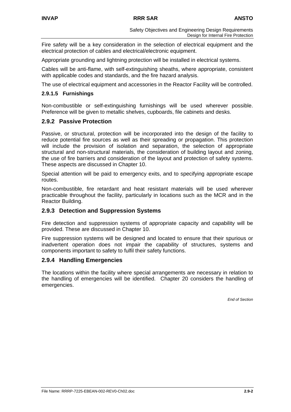Fire safety will be a key consideration in the selection of electrical equipment and the electrical protection of cables and electrical/electronic equipment.

Appropriate grounding and lightning protection will be installed in electrical systems.

Cables will be anti-flame, with self-extinguishing sheaths, where appropriate, consistent with applicable codes and standards, and the fire hazard analysis.

The use of electrical equipment and accessories in the Reactor Facility will be controlled.

## **2.9.1.5 Furnishings**

Non-combustible or self-extinguishing furnishings will be used wherever possible. Preference will be given to metallic shelves, cupboards, file cabinets and desks.

# **2.9.2 Passive Protection**

Passive, or structural, protection will be incorporated into the design of the facility to reduce potential fire sources as well as their spreading or propagation. This protection will include the provision of isolation and separation, the selection of appropriate structural and non-structural materials, the consideration of building layout and zoning, the use of fire barriers and consideration of the layout and protection of safety systems. These aspects are discussed in Chapter 10.

Special attention will be paid to emergency exits, and to specifying appropriate escape routes.

Non-combustible, fire retardant and heat resistant materials will be used wherever practicable throughout the facility, particularly in locations such as the MCR and in the Reactor Building.

# **2.9.3 Detection and Suppression Systems**

Fire detection and suppression systems of appropriate capacity and capability will be provided. These are discussed in Chapter 10.

Fire suppression systems will be designed and located to ensure that their spurious or inadvertent operation does not impair the capability of structures, systems and components important to safety to fulfil their safety functions.

# **2.9.4 Handling Emergencies**

The locations within the facility where special arrangements are necessary in relation to the handling of emergencies will be identified. Chapter 20 considers the handling of emergencies.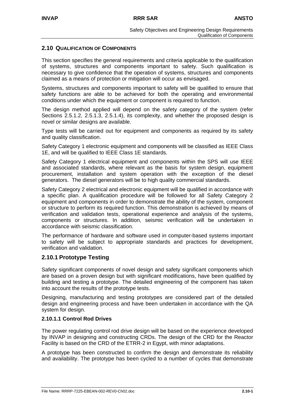# **2.10 QUALIFICATION OF COMPONENTS**

This section specifies the general requirements and criteria applicable to the qualification of systems, structures and components important to safety. Such qualification is necessary to give confidence that the operation of systems, structures and components claimed as a means of protection or mitigation will occur as envisaged.

Systems, structures and components important to safety will be qualified to ensure that safety functions are able to be achieved for both the operating and environmental conditions under which the equipment or component is required to function.

The design method applied will depend on the safety category of the system (refer Sections 2.5.1.2, 2.5.1.3, 2.5.1.4), its complexity, and whether the proposed design is novel or similar designs are available.

Type tests will be carried out for equipment and components as required by its safety and quality classification.

Safety Category 1 electronic equipment and components will be classified as IEEE Class 1E, and will be qualified to IEEE Class 1E standards.

Safety Category 1 electrical equipment and components within the SPS will use IEEE and associated standards, where relevant as the basis for system design, equipment procurement, installation and system operation with the exception of the diesel generators. The diesel generators will be to high quality commercial standards.

Safety Category 2 electrical and electronic equipment will be qualified in accordance with a specific plan. A qualification procedure will be followed for all Safety Category 2 equipment and components in order to demonstrate the ability of the system, component or structure to perform its required function. This demonstration is achieved by means of verification and validation tests, operational experience and analysis of the systems, components or structures. In addition, seismic verification will be undertaken in accordance with seismic classification.

The performance of hardware and software used in computer-based systems important to safety will be subject to appropriate standards and practices for development, verification and validation.

# **2.10.1 Prototype Testing**

Safety significant components of novel design and safety significant components which are based on a proven design but with significant modifications, have been qualified by building and testing a prototype. The detailed engineering of the component has taken into account the results of the prototype tests.

Designing, manufacturing and testing prototypes are considered part of the detailed design and engineering process and have been undertaken in accordance with the QA system for design.

## **2.10.1.1 Control Rod Drives**

The power regulating control rod drive design will be based on the experience developed by INVAP in designing and constructing CRDs. The design of the CRD for the Reactor Facility is based on the CRD of the ETRR-2 in Egypt, with minor adaptations.

A prototype has been constructed to confirm the design and demonstrate its reliability and availability. The prototype has been cycled to a number of cycles that demonstrate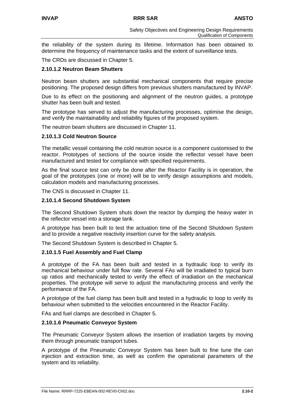the reliability of the system during its lifetime. Information has been obtained to determine the frequency of maintenance tasks and the extent of surveillance tests.

The CRDs are discussed in Chapter 5.

# **2.10.1.2 Neutron Beam Shutters**

Neutron beam shutters are substantial mechanical components that require precise positioning. The proposed design differs from previous shutters manufactured by INVAP.

Due to its effect on the positioning and alignment of the neutron guides, a prototype shutter has been built and tested.

The prototype has served to adjust the manufacturing processes, optimise the design, and verify the maintainability and reliability figures of the proposed system.

The neutron beam shutters are discussed in Chapter 11.

### **2.10.1.3 Cold Neutron Source**

The metallic vessel containing the cold neutron source is a component customised to the reactor. Prototypes of sections of the source inside the reflector vessel have been manufactured and tested for compliance with specified requirements.

As the final source test can only be done after the Reactor Facility is in operation, the goal of the prototypes (one or more) will be to verify design assumptions and models, calculation models and manufacturing processes.

The CNS is discussed in Chapter 11.

### **2.10.1.4 Second Shutdown System**

The Second Shutdown System shuts down the reactor by dumping the heavy water in the reflector vessel into a storage tank.

A prototype has been built to test the actuation time of the Second Shutdown System and to provide a negative reactivity insertion curve for the safety analysis.

The Second Shutdown System is described in Chapter 5.

### **2.10.1.5 Fuel Assembly and Fuel Clamp**

A prototype of the FA has been built and tested in a hydraulic loop to verify its mechanical behaviour under full flow rate. Several FAs will be irradiated to typical burn up ratios and mechanically tested to verify the effect of irradiation on the mechanical properties. The prototype will serve to adjust the manufacturing process and verify the performance of the FA.

A prototype of the fuel clamp has been built and tested in a hydraulic to loop to verify its behaviour when submitted to the velocities encountered in the Reactor Facility.

FAs and fuel clamps are described in Chapter 5.

### **2.10.1.6 Pneumatic Conveyor System**

The Pneumatic Conveyor System allows the insertion of irradiation targets by moving them through pneumatic transport tubes.

A prototype of the Pneumatic Conveyor System has been built to fine tune the can injection and extraction time, as well as confirm the operational parameters of the system and its reliability.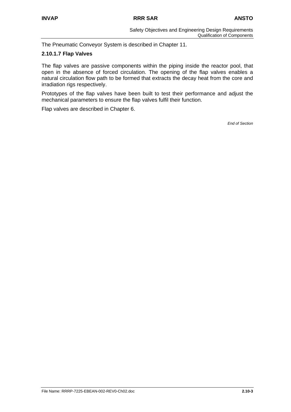The Pneumatic Conveyor System is described in Chapter 11.

### **2.10.1.7 Flap Valves**

The flap valves are passive components within the piping inside the reactor pool, that open in the absence of forced circulation. The opening of the flap valves enables a natural circulation flow path to be formed that extracts the decay heat from the core and irradiation rigs respectively.

Prototypes of the flap valves have been built to test their performance and adjust the mechanical parameters to ensure the flap valves fulfil their function.

Flap valves are described in Chapter 6.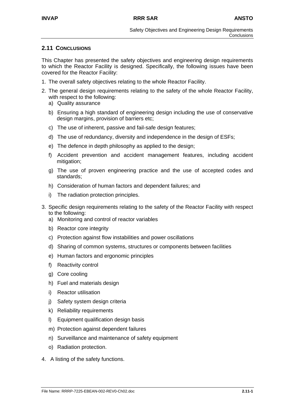# **2.11 CONCLUSIONS**

This Chapter has presented the safety objectives and engineering design requirements to which the Reactor Facility is designed. Specifically, the following issues have been covered for the Reactor Facility:

- 1. The overall safety objectives relating to the whole Reactor Facility.
- 2. The general design requirements relating to the safety of the whole Reactor Facility, with respect to the following:
	- a) Quality assurance
	- b) Ensuring a high standard of engineering design including the use of conservative design margins, provision of barriers etc;
	- c) The use of inherent, passive and fail-safe design features;
	- d) The use of redundancy, diversity and independence in the design of ESFs;
	- e) The defence in depth philosophy as applied to the design;
	- f) Accident prevention and accident management features, including accident mitigation;
	- g) The use of proven engineering practice and the use of accepted codes and standards;
	- h) Consideration of human factors and dependent failures; and
	- i) The radiation protection principles.
- 3. Specific design requirements relating to the safety of the Reactor Facility with respect to the following:
	- a) Monitoring and control of reactor variables
	- b) Reactor core integrity
	- c) Protection against flow instabilities and power oscillations
	- d) Sharing of common systems, structures or components between facilities
	- e) Human factors and ergonomic principles
	- f) Reactivity control
	- g) Core cooling
	- h) Fuel and materials design
	- i) Reactor utilisation
	- j) Safety system design criteria
	- k) Reliability requirements
	- l) Equipment qualification design basis
	- m) Protection against dependent failures
	- n) Surveillance and maintenance of safety equipment
	- o) Radiation protection.
- 4. A listing of the safety functions.